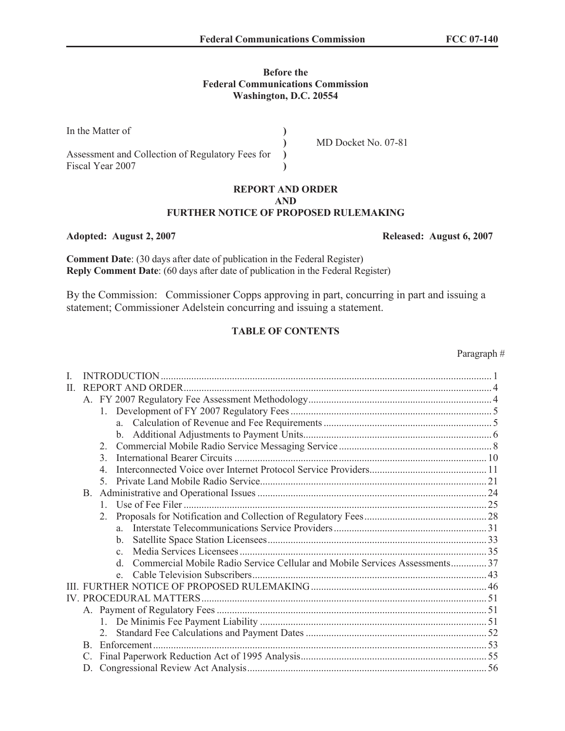### **Before the Federal Communications Commission Washington, D.C. 20554**

| In the Matter of                                 |                     |
|--------------------------------------------------|---------------------|
|                                                  | MD Docket No. 07-81 |
| Assessment and Collection of Regulatory Fees for |                     |
| Fiscal Year 2007                                 |                     |

### **REPORT AND ORDER AND FURTHER NOTICE OF PROPOSED RULEMAKING**

### **Adopted: August 2, 2007 Released: August 6, 2007**

**Comment Date**: (30 days after date of publication in the Federal Register) **Reply Comment Date**: (60 days after date of publication in the Federal Register)

By the Commission: Commissioner Copps approving in part, concurring in part and issuing a statement; Commissioner Adelstein concurring and issuing a statement.

# **TABLE OF CONTENTS**

| L  |                                                                                            |  |
|----|--------------------------------------------------------------------------------------------|--|
| H. |                                                                                            |  |
|    |                                                                                            |  |
|    | $1_{-}$                                                                                    |  |
|    |                                                                                            |  |
|    | $\mathbf{b}$ .                                                                             |  |
|    | $\mathfrak{2}^-$                                                                           |  |
|    | $\mathcal{E}$                                                                              |  |
|    | 4                                                                                          |  |
|    | $\mathcal{F}$                                                                              |  |
|    |                                                                                            |  |
|    | 1                                                                                          |  |
|    | 2.                                                                                         |  |
|    | $\mathbf{a}$                                                                               |  |
|    | b.                                                                                         |  |
|    | $\mathbf{c}$                                                                               |  |
|    | Commercial Mobile Radio Service Cellular and Mobile Services Assessments37<br>$\mathsf{d}$ |  |
|    |                                                                                            |  |
|    |                                                                                            |  |
|    |                                                                                            |  |
|    |                                                                                            |  |
|    | 1.                                                                                         |  |
|    |                                                                                            |  |
|    |                                                                                            |  |
|    | $\mathcal{C}$                                                                              |  |
|    |                                                                                            |  |

Paragraph #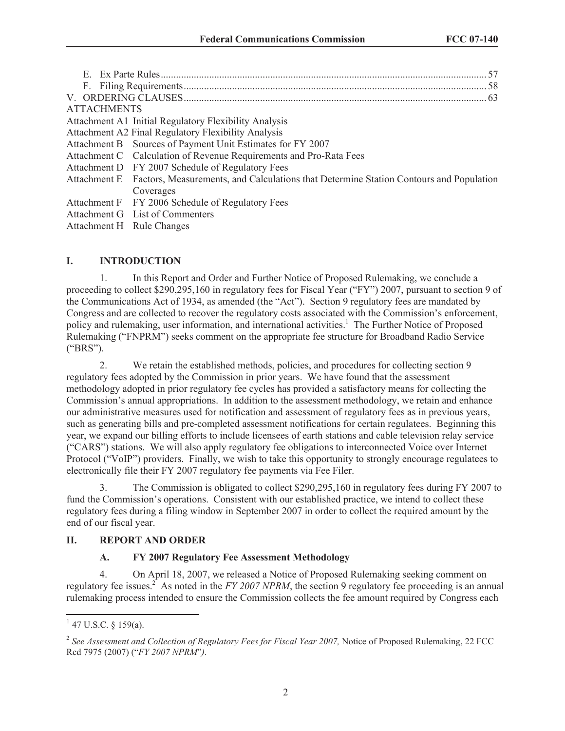| -57                                                                                                 |
|-----------------------------------------------------------------------------------------------------|
|                                                                                                     |
|                                                                                                     |
| <b>ATTACHMENTS</b>                                                                                  |
| Attachment A1 Initial Regulatory Flexibility Analysis                                               |
| Attachment A2 Final Regulatory Flexibility Analysis                                                 |
| Attachment B Sources of Payment Unit Estimates for FY 2007                                          |
| Attachment C Calculation of Revenue Requirements and Pro-Rata Fees                                  |
| Attachment D FY 2007 Schedule of Regulatory Fees                                                    |
| Attachment E Factors, Measurements, and Calculations that Determine Station Contours and Population |
| Coverages                                                                                           |
| Attachment F FY 2006 Schedule of Regulatory Fees                                                    |
| Attachment G List of Commenters                                                                     |
| Attachment H Rule Changes                                                                           |

# **I. INTRODUCTION**

1. In this Report and Order and Further Notice of Proposed Rulemaking, we conclude a proceeding to collect \$290,295,160 in regulatory fees for Fiscal Year ("FY") 2007, pursuant to section 9 of the Communications Act of 1934, as amended (the "Act"). Section 9 regulatory fees are mandated by Congress and are collected to recover the regulatory costs associated with the Commission's enforcement, policy and rulemaking, user information, and international activities.<sup>1</sup> The Further Notice of Proposed Rulemaking ("FNPRM") seeks comment on the appropriate fee structure for Broadband Radio Service ("BRS").

2. We retain the established methods, policies, and procedures for collecting section 9 regulatory fees adopted by the Commission in prior years. We have found that the assessment methodology adopted in prior regulatory fee cycles has provided a satisfactory means for collecting the Commission's annual appropriations. In addition to the assessment methodology, we retain and enhance our administrative measures used for notification and assessment of regulatory fees as in previous years, such as generating bills and pre-completed assessment notifications for certain regulatees. Beginning this year, we expand our billing efforts to include licensees of earth stations and cable television relay service ("CARS") stations. We will also apply regulatory fee obligations to interconnected Voice over Internet Protocol ("VoIP") providers. Finally, we wish to take this opportunity to strongly encourage regulatees to electronically file their FY 2007 regulatory fee payments via Fee Filer.

3. The Commission is obligated to collect \$290,295,160 in regulatory fees during FY 2007 to fund the Commission's operations. Consistent with our established practice, we intend to collect these regulatory fees during a filing window in September 2007 in order to collect the required amount by the end of our fiscal year.

## **II. REPORT AND ORDER**

## **A. FY 2007 Regulatory Fee Assessment Methodology**

4. On April 18, 2007, we released a Notice of Proposed Rulemaking seeking comment on regulatory fee issues.<sup>2</sup> As noted in the *FY 2007 NPRM*, the section 9 regulatory fee proceeding is an annual rulemaking process intended to ensure the Commission collects the fee amount required by Congress each

 $1$  47 U.S.C. § 159(a).

<sup>&</sup>lt;sup>2</sup> See Assessment and Collection of Regulatory Fees for Fiscal Year 2007, Notice of Proposed Rulemaking, 22 FCC Rcd 7975 (2007) ("*FY 2007 NPRM*"*)*.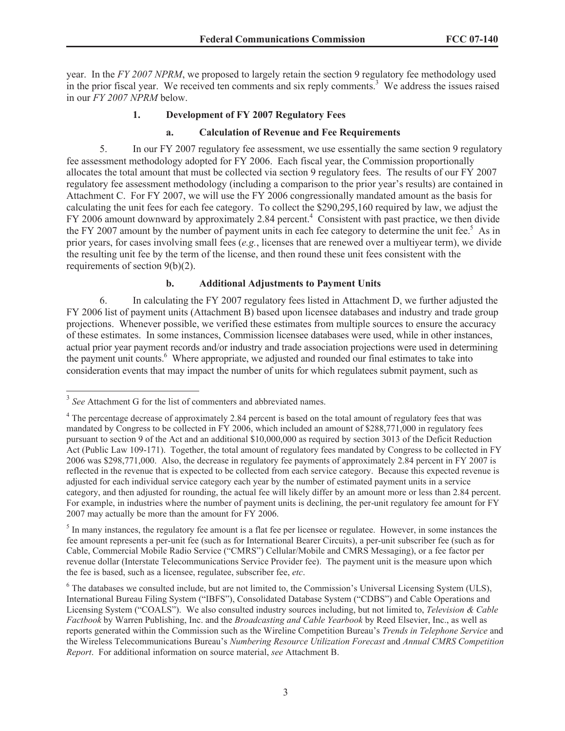year. In the *FY 2007 NPRM*, we proposed to largely retain the section 9 regulatory fee methodology used in the prior fiscal year. We received ten comments and six reply comments.<sup>3</sup> We address the issues raised in our *FY 2007 NPRM* below.

## **1. Development of FY 2007 Regulatory Fees**

### **a. Calculation of Revenue and Fee Requirements**

5. In our FY 2007 regulatory fee assessment, we use essentially the same section 9 regulatory fee assessment methodology adopted for FY 2006. Each fiscal year, the Commission proportionally allocates the total amount that must be collected via section 9 regulatory fees. The results of our FY 2007 regulatory fee assessment methodology (including a comparison to the prior year's results) are contained in Attachment C. For FY 2007, we will use the FY 2006 congressionally mandated amount as the basis for calculating the unit fees for each fee category. To collect the \$290,295,160 required by law, we adjust the FY 2006 amount downward by approximately 2.84 percent.<sup>4</sup> Consistent with past practice, we then divide the FY 2007 amount by the number of payment units in each fee category to determine the unit fee.<sup>5</sup> As in prior years, for cases involving small fees (*e.g.*, licenses that are renewed over a multiyear term), we divide the resulting unit fee by the term of the license, and then round these unit fees consistent with the requirements of section 9(b)(2).

### **b. Additional Adjustments to Payment Units**

6. In calculating the FY 2007 regulatory fees listed in Attachment D, we further adjusted the FY 2006 list of payment units (Attachment B) based upon licensee databases and industry and trade group projections. Whenever possible, we verified these estimates from multiple sources to ensure the accuracy of these estimates. In some instances, Commission licensee databases were used, while in other instances, actual prior year payment records and/or industry and trade association projections were used in determining the payment unit counts.<sup>6</sup> Where appropriate, we adjusted and rounded our final estimates to take into consideration events that may impact the number of units for which regulatees submit payment, such as

<sup>&</sup>lt;sup>3</sup> See Attachment G for the list of commenters and abbreviated names.

<sup>&</sup>lt;sup>4</sup> The percentage decrease of approximately 2.84 percent is based on the total amount of regulatory fees that was mandated by Congress to be collected in FY 2006, which included an amount of \$288,771,000 in regulatory fees pursuant to section 9 of the Act and an additional \$10,000,000 as required by section 3013 of the Deficit Reduction Act (Public Law 109-171). Together, the total amount of regulatory fees mandated by Congress to be collected in FY 2006 was \$298,771,000. Also, the decrease in regulatory fee payments of approximately 2.84 percent in FY 2007 is reflected in the revenue that is expected to be collected from each service category. Because this expected revenue is adjusted for each individual service category each year by the number of estimated payment units in a service category, and then adjusted for rounding, the actual fee will likely differ by an amount more or less than 2.84 percent. For example, in industries where the number of payment units is declining, the per-unit regulatory fee amount for FY 2007 may actually be more than the amount for FY 2006.

 $<sup>5</sup>$  In many instances, the regulatory fee amount is a flat fee per licensee or regulatee. However, in some instances the</sup> fee amount represents a per-unit fee (such as for International Bearer Circuits), a per-unit subscriber fee (such as for Cable, Commercial Mobile Radio Service ("CMRS") Cellular/Mobile and CMRS Messaging), or a fee factor per revenue dollar (Interstate Telecommunications Service Provider fee). The payment unit is the measure upon which the fee is based, such as a licensee, regulatee, subscriber fee, *etc*.

<sup>&</sup>lt;sup>6</sup> The databases we consulted include, but are not limited to, the Commission's Universal Licensing System (ULS), International Bureau Filing System ("IBFS"), Consolidated Database System ("CDBS") and Cable Operations and Licensing System ("COALS"). We also consulted industry sources including, but not limited to, *Television & Cable Factbook* by Warren Publishing, Inc. and the *Broadcasting and Cable Yearbook* by Reed Elsevier, Inc., as well as reports generated within the Commission such as the Wireline Competition Bureau's *Trends in Telephone Service* and the Wireless Telecommunications Bureau's *Numbering Resource Utilization Forecast* and *Annual CMRS Competition Report*. For additional information on source material, *see* Attachment B.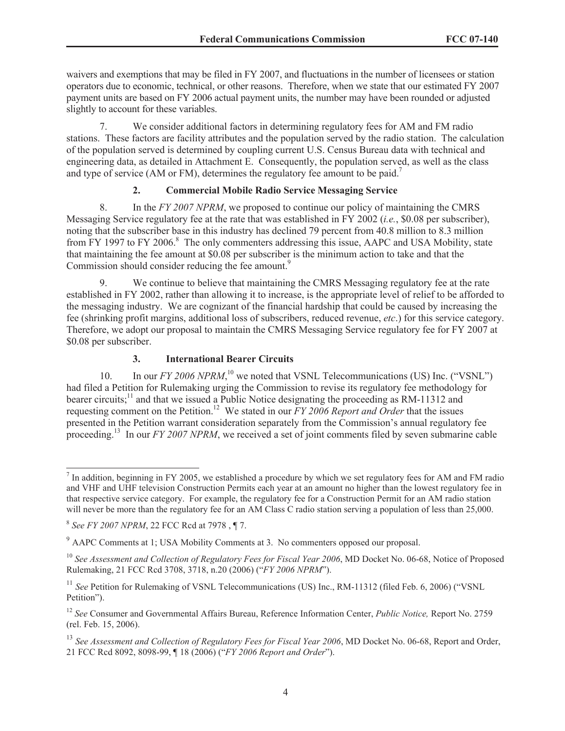waivers and exemptions that may be filed in FY 2007, and fluctuations in the number of licensees or station operators due to economic, technical, or other reasons. Therefore, when we state that our estimated FY 2007 payment units are based on FY 2006 actual payment units, the number may have been rounded or adjusted slightly to account for these variables.

7. We consider additional factors in determining regulatory fees for AM and FM radio stations. These factors are facility attributes and the population served by the radio station. The calculation of the population served is determined by coupling current U.S. Census Bureau data with technical and engineering data, as detailed in Attachment E. Consequently, the population served, as well as the class and type of service (AM or FM), determines the regulatory fee amount to be paid.<sup>7</sup>

# **2. Commercial Mobile Radio Service Messaging Service**

8. In the *FY 2007 NPRM*, we proposed to continue our policy of maintaining the CMRS Messaging Service regulatory fee at the rate that was established in FY 2002 (*i.e.*, \$0.08 per subscriber), noting that the subscriber base in this industry has declined 79 percent from 40.8 million to 8.3 million from FY 1997 to FY 2006.<sup>8</sup> The only commenters addressing this issue, AAPC and USA Mobility, state that maintaining the fee amount at \$0.08 per subscriber is the minimum action to take and that the Commission should consider reducing the fee amount.<sup>9</sup>

9. We continue to believe that maintaining the CMRS Messaging regulatory fee at the rate established in FY 2002, rather than allowing it to increase, is the appropriate level of relief to be afforded to the messaging industry. We are cognizant of the financial hardship that could be caused by increasing the fee (shrinking profit margins, additional loss of subscribers, reduced revenue, *etc*.) for this service category. Therefore, we adopt our proposal to maintain the CMRS Messaging Service regulatory fee for FY 2007 at \$0.08 per subscriber.

# **3. International Bearer Circuits**

10. In our *FY 2006 NPRM*,<sup>10</sup> we noted that VSNL Telecommunications (US) Inc. ("VSNL") had filed a Petition for Rulemaking urging the Commission to revise its regulatory fee methodology for bearer circuits;<sup>11</sup> and that we issued a Public Notice designating the proceeding as RM-11312 and requesting comment on the Petition.<sup>12</sup> We stated in our *FY 2006 Report and Order* that the issues presented in the Petition warrant consideration separately from the Commission's annual regulatory fee proceeding.<sup>13</sup> In our *FY* 2007 NPRM, we received a set of joint comments filed by seven submarine cable

 $<sup>7</sup>$  In addition, beginning in FY 2005, we established a procedure by which we set regulatory fees for AM and FM radio</sup> and VHF and UHF television Construction Permits each year at an amount no higher than the lowest regulatory fee in that respective service category. For example, the regulatory fee for a Construction Permit for an AM radio station will never be more than the regulatory fee for an AM Class C radio station serving a population of less than 25,000.

<sup>8</sup> *See FY 2007 NPRM*, 22 FCC Rcd at 7978 , ¶ 7.

<sup>9</sup> AAPC Comments at 1; USA Mobility Comments at 3. No commenters opposed our proposal.

<sup>&</sup>lt;sup>10</sup> See Assessment and Collection of Regulatory Fees for Fiscal Year 2006, MD Docket No. 06-68, Notice of Proposed Rulemaking, 21 FCC Rcd 3708, 3718, n.20 (2006) ("*FY 2006 NPRM*").

<sup>&</sup>lt;sup>11</sup> *See* Petition for Rulemaking of VSNL Telecommunications (US) Inc., RM-11312 (filed Feb. 6, 2006) ("VSNL Petition").

<sup>12</sup> *See* Consumer and Governmental Affairs Bureau, Reference Information Center, *Public Notice,* Report No. 2759 (rel. Feb. 15, 2006).

<sup>&</sup>lt;sup>13</sup> See Assessment and Collection of Regulatory Fees for Fiscal Year 2006, MD Docket No. 06-68, Report and Order, 21 FCC Rcd 8092, 8098-99, ¶ 18 (2006) ("*FY 2006 Report and Order*").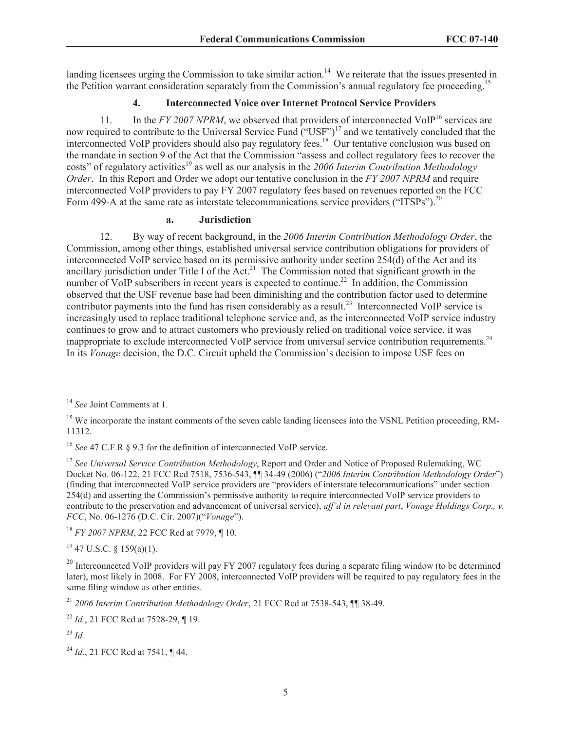landing licensees urging the Commission to take similar action.<sup>14</sup> We reiterate that the issues presented in the Petition warrant consideration separately from the Commission's annual regulatory fee proceeding.<sup>15</sup>

### **4. Interconnected Voice over Internet Protocol Service Providers**

11. In the *FY 2007 NPRM*, we observed that providers of interconnected VoIP<sup>16</sup> services are now required to contribute to the Universal Service Fund ("USF")<sup>17</sup> and we tentatively concluded that the interconnected VoIP providers should also pay regulatory fees.<sup>18</sup> Our tentative conclusion was based on the mandate in section 9 of the Act that the Commission "assess and collect regulatory fees to recover the costs" of regulatory activities<sup>19</sup> as well as our analysis in the 2006 Interim Contribution Methodology *Order*. In this Report and Order we adopt our tentative conclusion in the *FY 2007 NPRM* and require interconnected VoIP providers to pay FY 2007 regulatory fees based on revenues reported on the FCC Form 499-A at the same rate as interstate telecommunications service providers ("ITSPs").<sup>20</sup>

#### **a. Jurisdiction**

12. By way of recent background, in the *2006 Interim Contribution Methodology Order*, the Commission, among other things, established universal service contribution obligations for providers of interconnected VoIP service based on its permissive authority under section 254(d) of the Act and its ancillary jurisdiction under Title I of the Act.<sup>21</sup> The Commission noted that significant growth in the number of VoIP subscribers in recent years is expected to continue.<sup>22</sup> In addition, the Commission observed that the USF revenue base had been diminishing and the contribution factor used to determine contributor payments into the fund has risen considerably as a result.<sup>23</sup> Interconnected VoIP service is increasingly used to replace traditional telephone service and, as the interconnected VoIP service industry continues to grow and to attract customers who previously relied on traditional voice service, it was inappropriate to exclude interconnected VoIP service from universal service contribution requirements.<sup>24</sup> In its *Vonage* decision, the D.C. Circuit upheld the Commission's decision to impose USF fees on

<sup>18</sup> *FY 2007 NPRM*, 22 FCC Rcd at 7979, ¶ 10.

 $19$  47 U.S.C. § 159(a)(1).

<sup>14</sup> *See* Joint Comments at 1.

<sup>&</sup>lt;sup>15</sup> We incorporate the instant comments of the seven cable landing licensees into the VSNL Petition proceeding, RM-11312.

<sup>&</sup>lt;sup>16</sup> *See* 47 C.F.R § 9.3 for the definition of interconnected VoIP service.

<sup>17</sup> *See Universal Service Contribution Methodology*, Report and Order and Notice of Proposed Rulemaking, WC Docket No. 06-122, 21 FCC Rcd 7518, 7536-543, ¶¶ 34-49 (2006) ("*2006 Interim Contribution Methodology Order*") (finding that interconnected VoIP service providers are "providers of interstate telecommunications" under section 254(d) and asserting the Commission's permissive authority to require interconnected VoIP service providers to contribute to the preservation and advancement of universal service), *aff'd in relevant part*, *Vonage Holdings Corp., v. FCC*, No. 06-1276 (D.C. Cir. 2007)("*Vonage*").

 $^{20}$  Interconnected VoIP providers will pay FY 2007 regulatory fees during a separate filing window (to be determined later), most likely in 2008. For FY 2008, interconnected VoIP providers will be required to pay regulatory fees in the same filing window as other entities.

<sup>21</sup> *2006 Interim Contribution Methodology Order*, 21 FCC Rcd at 7538-543, ¶¶ 38-49.

<sup>22</sup> *Id.*, 21 FCC Rcd at 7528-29, ¶ 19.

<sup>23</sup> *Id.*

<sup>24</sup> *Id*., 21 FCC Rcd at 7541, ¶ 44.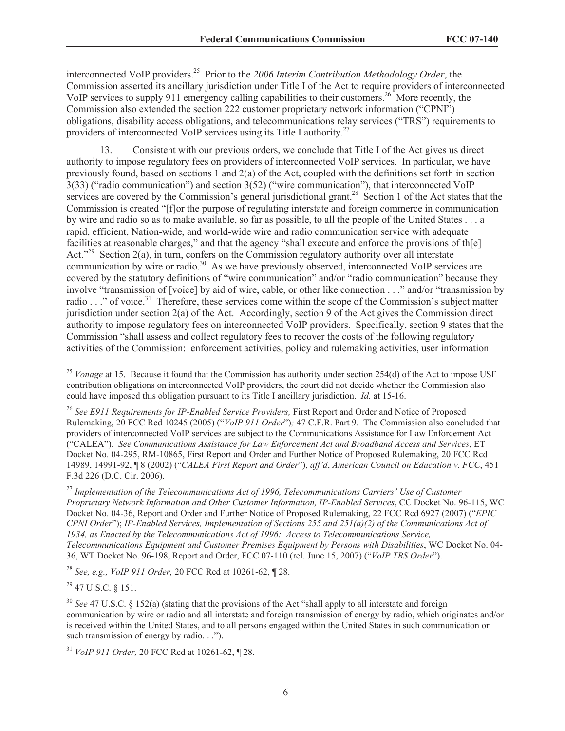interconnected VoIP providers.<sup>25</sup> Prior to the *2006 Interim Contribution Methodology Order*, the Commission asserted its ancillary jurisdiction under Title I of the Act to require providers of interconnected VoIP services to supply 911 emergency calling capabilities to their customers.<sup>26</sup> More recently, the Commission also extended the section 222 customer proprietary network information ("CPNI") obligations, disability access obligations, and telecommunications relay services ("TRS") requirements to providers of interconnected VoIP services using its Title I authority.<sup>27</sup>

13. Consistent with our previous orders, we conclude that Title I of the Act gives us direct authority to impose regulatory fees on providers of interconnected VoIP services. In particular, we have previously found, based on sections 1 and 2(a) of the Act, coupled with the definitions set forth in section 3(33) ("radio communication") and section 3(52) ("wire communication"), that interconnected VoIP services are covered by the Commission's general jurisdictional grant.<sup>28</sup> Section 1 of the Act states that the Commission is created "[f]or the purpose of regulating interstate and foreign commerce in communication by wire and radio so as to make available, so far as possible, to all the people of the United States . . . a rapid, efficient, Nation-wide, and world-wide wire and radio communication service with adequate facilities at reasonable charges," and that the agency "shall execute and enforce the provisions of th[e] Act."<sup>29</sup> Section 2(a), in turn, confers on the Commission regulatory authority over all interstate communication by wire or radio.<sup>30</sup> As we have previously observed, interconnected VoIP services are covered by the statutory definitions of "wire communication" and/or "radio communication" because they involve "transmission of [voice] by aid of wire, cable, or other like connection . . ." and/or "transmission by radio . . ." of voice.<sup>31</sup> Therefore, these services come within the scope of the Commission's subject matter jurisdiction under section 2(a) of the Act. Accordingly, section 9 of the Act gives the Commission direct authority to impose regulatory fees on interconnected VoIP providers. Specifically, section 9 states that the Commission "shall assess and collect regulatory fees to recover the costs of the following regulatory activities of the Commission: enforcement activities, policy and rulemaking activities, user information

<sup>27</sup> *Implementation of the Telecommunications Act of 1996, Telecommunications Carriers' Use of Customer Proprietary Network Information and Other Customer Information, IP-Enabled Services*, CC Docket No. 96-115, WC Docket No. 04-36, Report and Order and Further Notice of Proposed Rulemaking, 22 FCC Rcd 6927 (2007) ("*EPIC CPNI Order*"); *IP-Enabled Services, Implementation of Sections 255 and 251(a)(2) of the Communications Act of 1934, as Enacted by the Telecommunications Act of 1996: Access to Telecommunications Service, Telecommunications Equipment and Customer Premises Equipment by Persons with Disabilities*, WC Docket No. 04- 36, WT Docket No. 96-198, Report and Order, FCC 07-110 (rel. June 15, 2007) ("*VoIP TRS Order*").

<sup>28</sup> *See, e.g., VoIP 911 Order,* 20 FCC Rcd at 10261-62, ¶ 28.

 $^{29}$  47 U.S.C. § 151.

<sup>&</sup>lt;sup>25</sup> *Vonage* at 15. Because it found that the Commission has authority under section 254(d) of the Act to impose USF contribution obligations on interconnected VoIP providers, the court did not decide whether the Commission also could have imposed this obligation pursuant to its Title I ancillary jurisdiction. *Id.* at 15-16.

<sup>&</sup>lt;sup>26</sup> See E911 Requirements for IP-Enabled Service Providers, First Report and Order and Notice of Proposed Rulemaking, 20 FCC Rcd 10245 (2005) ("*VoIP 911 Order*")*;* 47 C.F.R. Part 9. The Commission also concluded that providers of interconnected VoIP services are subject to the Communications Assistance for Law Enforcement Act ("CALEA"). *See Communications Assistance for Law Enforcement Act and Broadband Access and Services*, ET Docket No. 04-295, RM-10865, First Report and Order and Further Notice of Proposed Rulemaking, 20 FCC Rcd 14989, 14991-92, ¶ 8 (2002) ("*CALEA First Report and Order*"), *aff'd*, *American Council on Education v. FCC*, 451 F.3d 226 (D.C. Cir. 2006).

<sup>&</sup>lt;sup>30</sup> *See* 47 U.S.C. § 152(a) (stating that the provisions of the Act "shall apply to all interstate and foreign communication by wire or radio and all interstate and foreign transmission of energy by radio, which originates and/or is received within the United States, and to all persons engaged within the United States in such communication or such transmission of energy by radio. . .").

<sup>31</sup> *VoIP 911 Order,* 20 FCC Rcd at 10261-62, ¶ 28.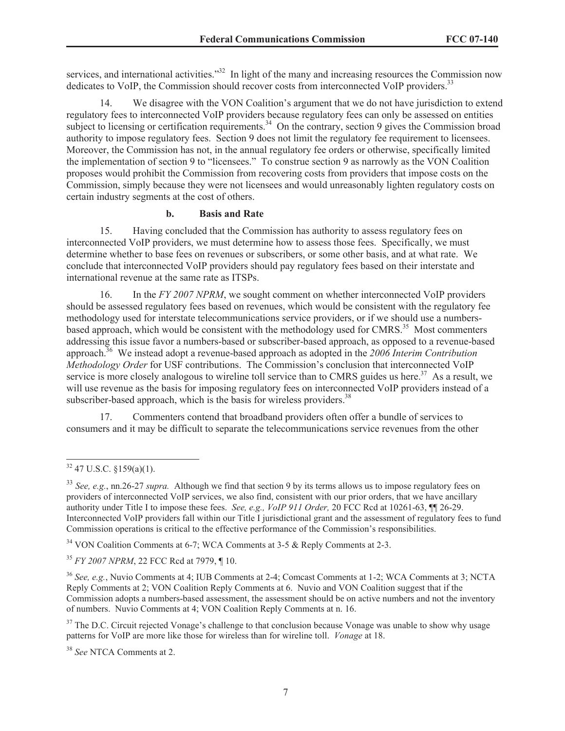services, and international activities."<sup>32</sup> In light of the many and increasing resources the Commission now dedicates to VoIP, the Commission should recover costs from interconnected VoIP providers.<sup>33</sup>

14. We disagree with the VON Coalition's argument that we do not have jurisdiction to extend regulatory fees to interconnected VoIP providers because regulatory fees can only be assessed on entities subject to licensing or certification requirements.<sup>34</sup> On the contrary, section 9 gives the Commission broad authority to impose regulatory fees. Section 9 does not limit the regulatory fee requirement to licensees. Moreover, the Commission has not, in the annual regulatory fee orders or otherwise, specifically limited the implementation of section 9 to "licensees." To construe section 9 as narrowly as the VON Coalition proposes would prohibit the Commission from recovering costs from providers that impose costs on the Commission, simply because they were not licensees and would unreasonably lighten regulatory costs on certain industry segments at the cost of others.

### **b. Basis and Rate**

15. Having concluded that the Commission has authority to assess regulatory fees on interconnected VoIP providers, we must determine how to assess those fees. Specifically, we must determine whether to base fees on revenues or subscribers, or some other basis, and at what rate. We conclude that interconnected VoIP providers should pay regulatory fees based on their interstate and international revenue at the same rate as ITSPs.

16. In the *FY 2007 NPRM*, we sought comment on whether interconnected VoIP providers should be assessed regulatory fees based on revenues, which would be consistent with the regulatory fee methodology used for interstate telecommunications service providers, or if we should use a numbersbased approach, which would be consistent with the methodology used for CMRS.<sup>35</sup> Most commenters addressing this issue favor a numbers-based or subscriber-based approach, as opposed to a revenue-based approach.<sup>36</sup> We instead adopt a revenue-based approach as adopted in the *2006 Interim Contribution Methodology Order* for USF contributions. The Commission's conclusion that interconnected VoIP service is more closely analogous to wireline toll service than to CMRS guides us here.<sup>37</sup> As a result, we will use revenue as the basis for imposing regulatory fees on interconnected VoIP providers instead of a subscriber-based approach, which is the basis for wireless providers.<sup>38</sup>

17. Commenters contend that broadband providers often offer a bundle of services to consumers and it may be difficult to separate the telecommunications service revenues from the other

<sup>35</sup> *FY 2007 NPRM*, 22 FCC Rcd at 7979, ¶ 10.

 $\frac{32}{47}$  U.S.C. §159(a)(1).

<sup>33</sup> *See, e.g.*, nn.26-27 *supra.* Although we find that section 9 by its terms allows us to impose regulatory fees on providers of interconnected VoIP services, we also find, consistent with our prior orders, that we have ancillary authority under Title I to impose these fees. *See, e.g., VoIP 911 Order,* 20 FCC Rcd at 10261-63, ¶¶ 26-29. Interconnected VoIP providers fall within our Title I jurisdictional grant and the assessment of regulatory fees to fund Commission operations is critical to the effective performance of the Commission's responsibilities.

<sup>&</sup>lt;sup>34</sup> VON Coalition Comments at 6-7; WCA Comments at 3-5 & Reply Comments at 2-3.

<sup>36</sup> *See, e.g.*, Nuvio Comments at 4; IUB Comments at 2-4; Comcast Comments at 1-2; WCA Comments at 3; NCTA Reply Comments at 2; VON Coalition Reply Comments at 6. Nuvio and VON Coalition suggest that if the Commission adopts a numbers-based assessment, the assessment should be on active numbers and not the inventory of numbers. Nuvio Comments at 4; VON Coalition Reply Comments at n. 16.

<sup>&</sup>lt;sup>37</sup> The D.C. Circuit rejected Vonage's challenge to that conclusion because Vonage was unable to show why usage patterns for VoIP are more like those for wireless than for wireline toll. *Vonage* at 18.

<sup>38</sup> *See* NTCA Comments at 2.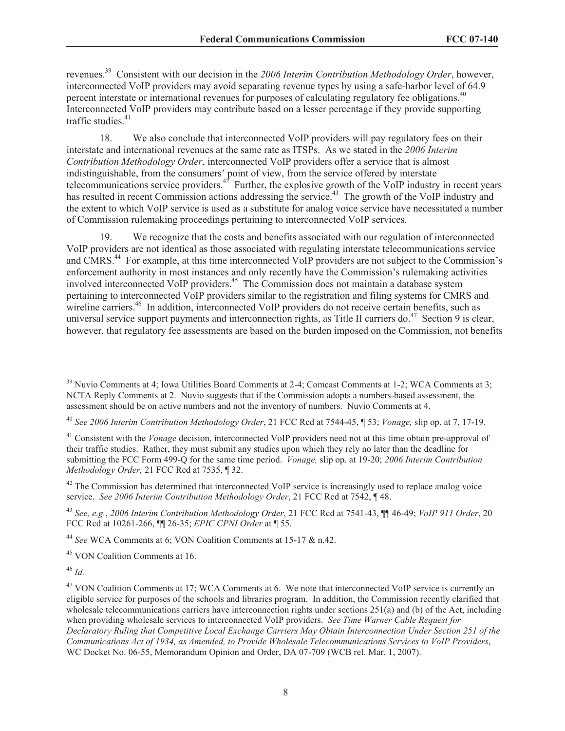revenues.<sup>39</sup> Consistent with our decision in the *2006 Interim Contribution Methodology Order*, however, interconnected VoIP providers may avoid separating revenue types by using a safe-harbor level of 64.9 percent interstate or international revenues for purposes of calculating regulatory fee obligations.<sup>40</sup> Interconnected VoIP providers may contribute based on a lesser percentage if they provide supporting traffic studies. $41$ 

18. We also conclude that interconnected VoIP providers will pay regulatory fees on their interstate and international revenues at the same rate as ITSPs. As we stated in the *2006 Interim Contribution Methodology Order*, interconnected VoIP providers offer a service that is almost indistinguishable, from the consumers' point of view, from the service offered by interstate telecommunications service providers.<sup>42</sup> Further, the explosive growth of the VoIP industry in recent years has resulted in recent Commission actions addressing the service.<sup>43</sup> The growth of the VoIP industry and the extent to which VoIP service is used as a substitute for analog voice service have necessitated a number of Commission rulemaking proceedings pertaining to interconnected VoIP services.

19. We recognize that the costs and benefits associated with our regulation of interconnected VoIP providers are not identical as those associated with regulating interstate telecommunications service and CMRS.<sup>44</sup> For example, at this time interconnected VoIP providers are not subject to the Commission's enforcement authority in most instances and only recently have the Commission's rulemaking activities involved interconnected VoIP providers.<sup>45</sup> The Commission does not maintain a database system pertaining to interconnected VoIP providers similar to the registration and filing systems for CMRS and wireline carriers.<sup>46</sup> In addition, interconnected VoIP providers do not receive certain benefits, such as universal service support payments and interconnection rights, as Title II carriers do.<sup>47</sup> Section 9 is clear, however, that regulatory fee assessments are based on the burden imposed on the Commission, not benefits

<sup>44</sup> *See* WCA Comments at 6; VON Coalition Comments at 15-17 & n.42.

<sup>45</sup> VON Coalition Comments at 16.

<sup>46</sup> *Id.*

<sup>&</sup>lt;sup>39</sup> Nuvio Comments at 4; Iowa Utilities Board Comments at 2-4; Comcast Comments at 1-2; WCA Comments at 3; NCTA Reply Comments at 2. Nuvio suggests that if the Commission adopts a numbers-based assessment, the assessment should be on active numbers and not the inventory of numbers. Nuvio Comments at 4.

<sup>40</sup> *See 2006 Interim Contribution Methodology Order*, 21 FCC Rcd at 7544-45, ¶ 53; *Vonage,* slip op. at 7, 17-19.

<sup>41</sup> Consistent with the *Vonage* decision, interconnected VoIP providers need not at this time obtain pre-approval of their traffic studies. Rather, they must submit any studies upon which they rely no later than the deadline for submitting the FCC Form 499-Q for the same time period. *Vonage,* slip op. at 19-20; *2006 Interim Contribution Methodology Order,* 21 FCC Rcd at 7535, ¶ 32.

<sup>&</sup>lt;sup>42</sup> The Commission has determined that interconnected VoIP service is increasingly used to replace analog voice service. *See 2006 Interim Contribution Methodology Order*, 21 FCC Rcd at 7542, ¶ 48.

<sup>43</sup> *See, e.g.*, *2006 Interim Contribution Methodology Order*, 21 FCC Rcd at 7541-43, ¶¶ 46-49; *VoIP 911 Order*, 20 FCC Rcd at 10261-266, ¶¶ 26-35; *EPIC CPNI Order* at ¶ 55.

<sup>&</sup>lt;sup>47</sup> VON Coalition Comments at 17; WCA Comments at 6. We note that interconnected VoIP service is currently an eligible service for purposes of the schools and libraries program. In addition, the Commission recently clarified that wholesale telecommunications carriers have interconnection rights under sections 251(a) and (b) of the Act, including when providing wholesale services to interconnected VoIP providers. *See Time Warner Cable Request for Declaratory Ruling that Competitive Local Exchange Carriers May Obtain Interconnection Under Section 251 of the Communications Act of 1934, as Amended, to Provide Wholesale Telecommunications Services to VoIP Providers*, WC Docket No. 06-55, Memorandum Opinion and Order, DA 07-709 (WCB rel. Mar. 1, 2007).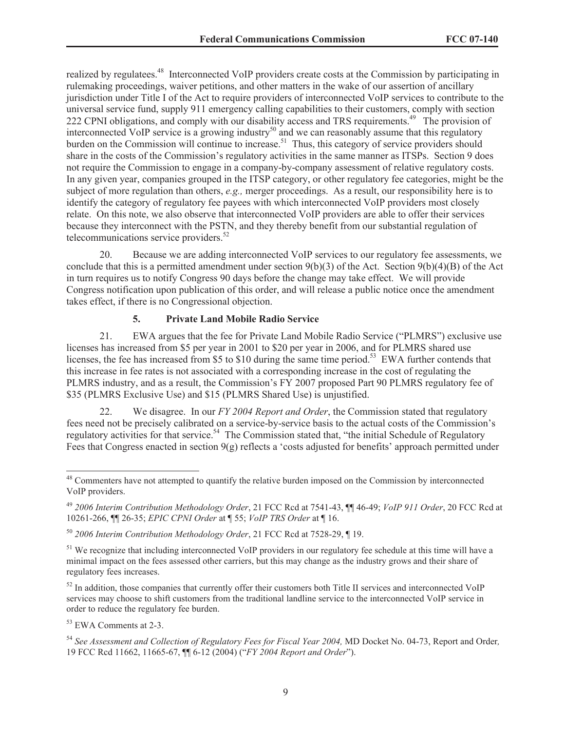realized by regulatees.<sup>48</sup> Interconnected VoIP providers create costs at the Commission by participating in rulemaking proceedings, waiver petitions, and other matters in the wake of our assertion of ancillary jurisdiction under Title I of the Act to require providers of interconnected VoIP services to contribute to the universal service fund, supply 911 emergency calling capabilities to their customers, comply with section 222 CPNI obligations, and comply with our disability access and TRS requirements.<sup>49</sup> The provision of interconnected VoIP service is a growing industry<sup>50</sup> and we can reasonably assume that this regulatory burden on the Commission will continue to increase.<sup>51</sup> Thus, this category of service providers should share in the costs of the Commission's regulatory activities in the same manner as ITSPs. Section 9 does not require the Commission to engage in a company-by-company assessment of relative regulatory costs. In any given year, companies grouped in the ITSP category, or other regulatory fee categories, might be the subject of more regulation than others, *e.g.,* merger proceedings. As a result, our responsibility here is to identify the category of regulatory fee payees with which interconnected VoIP providers most closely relate. On this note, we also observe that interconnected VoIP providers are able to offer their services because they interconnect with the PSTN, and they thereby benefit from our substantial regulation of telecommunications service providers. $52$ 

20. Because we are adding interconnected VoIP services to our regulatory fee assessments, we conclude that this is a permitted amendment under section  $9(b)(3)$  of the Act. Section  $9(b)(4)(B)$  of the Act in turn requires us to notify Congress 90 days before the change may take effect. We will provide Congress notification upon publication of this order, and will release a public notice once the amendment takes effect, if there is no Congressional objection.

#### **5. Private Land Mobile Radio Service**

21. EWA argues that the fee for Private Land Mobile Radio Service ("PLMRS") exclusive use licenses has increased from \$5 per year in 2001 to \$20 per year in 2006, and for PLMRS shared use licenses, the fee has increased from \$5 to \$10 during the same time period.<sup>53</sup> EWA further contends that this increase in fee rates is not associated with a corresponding increase in the cost of regulating the PLMRS industry, and as a result, the Commission's FY 2007 proposed Part 90 PLMRS regulatory fee of \$35 (PLMRS Exclusive Use) and \$15 (PLMRS Shared Use) is unjustified.

22. We disagree. In our *FY 2004 Report and Order*, the Commission stated that regulatory fees need not be precisely calibrated on a service-by-service basis to the actual costs of the Commission's regulatory activities for that service.<sup>54</sup> The Commission stated that, "the initial Schedule of Regulatory Fees that Congress enacted in section 9(g) reflects a 'costs adjusted for benefits' approach permitted under

 $52$  In addition, those companies that currently offer their customers both Title II services and interconnected VoIP services may choose to shift customers from the traditional landline service to the interconnected VoIP service in order to reduce the regulatory fee burden.

<sup>53</sup> EWA Comments at 2-3.

<sup>&</sup>lt;sup>48</sup> Commenters have not attempted to quantify the relative burden imposed on the Commission by interconnected VoIP providers.

<sup>49</sup> *2006 Interim Contribution Methodology Order*, 21 FCC Rcd at 7541-43, ¶¶ 46-49; *VoIP 911 Order*, 20 FCC Rcd at 10261-266, ¶¶ 26-35; *EPIC CPNI Order* at ¶ 55; *VoIP TRS Order* at ¶ 16.

<sup>50</sup> *2006 Interim Contribution Methodology Order*, 21 FCC Rcd at 7528-29, ¶ 19.

<sup>&</sup>lt;sup>51</sup> We recognize that including interconnected VoIP providers in our regulatory fee schedule at this time will have a minimal impact on the fees assessed other carriers, but this may change as the industry grows and their share of regulatory fees increases.

<sup>54</sup> *See Assessment and Collection of Regulatory Fees for Fiscal Year 2004,* MD Docket No. 04-73, Report and Order*,*  19 FCC Rcd 11662, 11665-67, ¶¶ 6-12 (2004) ("*FY 2004 Report and Order*").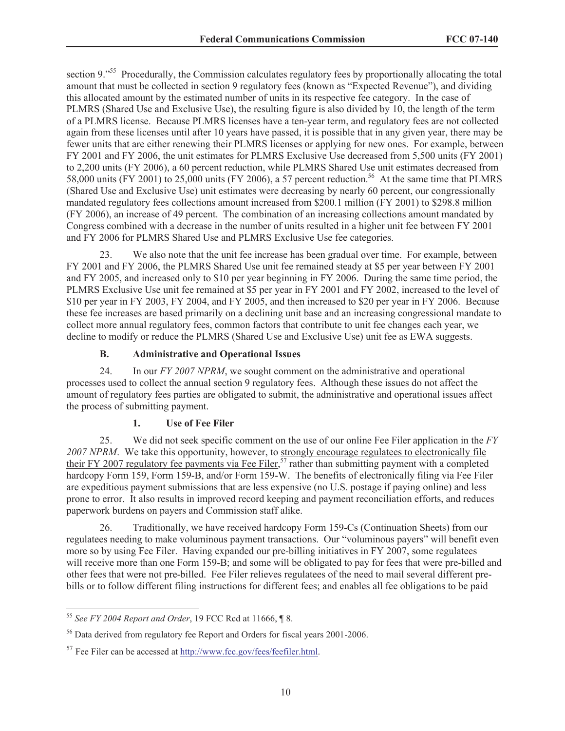section 9.<sup>"55</sup> Procedurally, the Commission calculates regulatory fees by proportionally allocating the total amount that must be collected in section 9 regulatory fees (known as "Expected Revenue"), and dividing this allocated amount by the estimated number of units in its respective fee category. In the case of PLMRS (Shared Use and Exclusive Use), the resulting figure is also divided by 10, the length of the term of a PLMRS license. Because PLMRS licenses have a ten-year term, and regulatory fees are not collected again from these licenses until after 10 years have passed, it is possible that in any given year, there may be fewer units that are either renewing their PLMRS licenses or applying for new ones. For example, between FY 2001 and FY 2006, the unit estimates for PLMRS Exclusive Use decreased from 5,500 units (FY 2001) to 2,200 units (FY 2006), a 60 percent reduction, while PLMRS Shared Use unit estimates decreased from 58,000 units (FY 2001) to 25,000 units (FY 2006), a 57 percent reduction.<sup>56</sup> At the same time that PLMRS (Shared Use and Exclusive Use) unit estimates were decreasing by nearly 60 percent, our congressionally mandated regulatory fees collections amount increased from \$200.1 million (FY 2001) to \$298.8 million (FY 2006), an increase of 49 percent. The combination of an increasing collections amount mandated by Congress combined with a decrease in the number of units resulted in a higher unit fee between FY 2001 and FY 2006 for PLMRS Shared Use and PLMRS Exclusive Use fee categories.

23. We also note that the unit fee increase has been gradual over time. For example, between FY 2001 and FY 2006, the PLMRS Shared Use unit fee remained steady at \$5 per year between FY 2001 and FY 2005, and increased only to \$10 per year beginning in FY 2006. During the same time period, the PLMRS Exclusive Use unit fee remained at \$5 per year in FY 2001 and FY 2002, increased to the level of \$10 per year in FY 2003, FY 2004, and FY 2005, and then increased to \$20 per year in FY 2006. Because these fee increases are based primarily on a declining unit base and an increasing congressional mandate to collect more annual regulatory fees, common factors that contribute to unit fee changes each year, we decline to modify or reduce the PLMRS (Shared Use and Exclusive Use) unit fee as EWA suggests.

### **B. Administrative and Operational Issues**

24. In our *FY 2007 NPRM*, we sought comment on the administrative and operational processes used to collect the annual section 9 regulatory fees. Although these issues do not affect the amount of regulatory fees parties are obligated to submit, the administrative and operational issues affect the process of submitting payment.

### **1. Use of Fee Filer**

25. We did not seek specific comment on the use of our online Fee Filer application in the *FY 2007 NPRM*. We take this opportunity, however, to strongly encourage regulatees to electronically file their FY 2007 regulatory fee payments via Fee Filer,<sup>57</sup> rather than submitting payment with a completed hardcopy Form 159, Form 159-B, and/or Form 159-W. The benefits of electronically filing via Fee Filer are expeditious payment submissions that are less expensive (no U.S. postage if paying online) and less prone to error. It also results in improved record keeping and payment reconciliation efforts, and reduces paperwork burdens on payers and Commission staff alike.

26. Traditionally, we have received hardcopy Form 159-Cs (Continuation Sheets) from our regulatees needing to make voluminous payment transactions. Our "voluminous payers" will benefit even more so by using Fee Filer. Having expanded our pre-billing initiatives in FY 2007, some regulatees will receive more than one Form 159-B; and some will be obligated to pay for fees that were pre-billed and other fees that were not pre-billed. Fee Filer relieves regulatees of the need to mail several different prebills or to follow different filing instructions for different fees; and enables all fee obligations to be paid

<sup>55</sup> *See FY 2004 Report and Order*, 19 FCC Rcd at 11666, ¶ 8.

<sup>&</sup>lt;sup>56</sup> Data derived from regulatory fee Report and Orders for fiscal years 2001-2006.

<sup>57</sup> Fee Filer can be accessed at http://www.fcc.gov/fees/feefiler.html.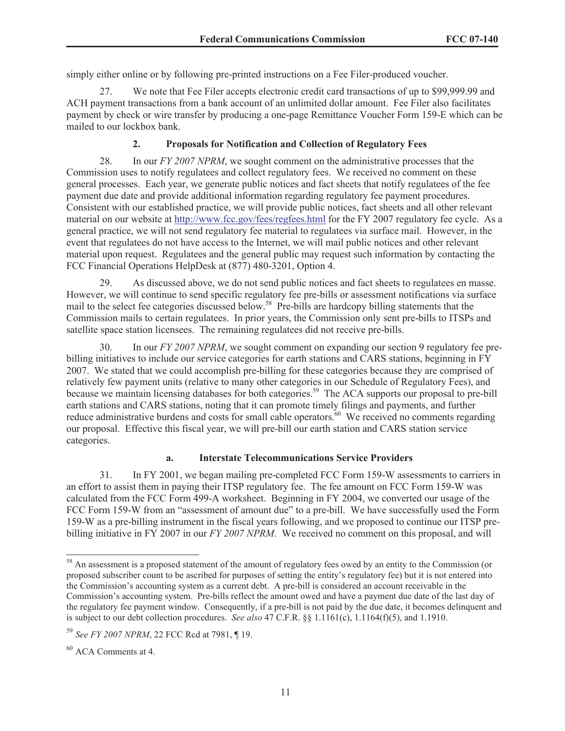simply either online or by following pre-printed instructions on a Fee Filer-produced voucher.

27. We note that Fee Filer accepts electronic credit card transactions of up to \$99,999.99 and ACH payment transactions from a bank account of an unlimited dollar amount. Fee Filer also facilitates payment by check or wire transfer by producing a one-page Remittance Voucher Form 159-E which can be mailed to our lockbox bank.

# **2. Proposals for Notification and Collection of Regulatory Fees**

28. In our *FY 2007 NPRM*, we sought comment on the administrative processes that the Commission uses to notify regulatees and collect regulatory fees. We received no comment on these general processes. Each year, we generate public notices and fact sheets that notify regulatees of the fee payment due date and provide additional information regarding regulatory fee payment procedures. Consistent with our established practice, we will provide public notices, fact sheets and all other relevant material on our website at http://www.fcc.gov/fees/regfees.html for the FY 2007 regulatory fee cycle. As a general practice, we will not send regulatory fee material to regulatees via surface mail. However, in the event that regulatees do not have access to the Internet, we will mail public notices and other relevant material upon request. Regulatees and the general public may request such information by contacting the FCC Financial Operations HelpDesk at (877) 480-3201, Option 4.

29. As discussed above, we do not send public notices and fact sheets to regulatees en masse. However, we will continue to send specific regulatory fee pre-bills or assessment notifications via surface mail to the select fee categories discussed below.<sup>58</sup> Pre-bills are hardcopy billing statements that the Commission mails to certain regulatees. In prior years, the Commission only sent pre-bills to ITSPs and satellite space station licensees. The remaining regulatees did not receive pre-bills.

30. In our *FY 2007 NPRM*, we sought comment on expanding our section 9 regulatory fee prebilling initiatives to include our service categories for earth stations and CARS stations, beginning in FY 2007. We stated that we could accomplish pre-billing for these categories because they are comprised of relatively few payment units (relative to many other categories in our Schedule of Regulatory Fees), and because we maintain licensing databases for both categories.<sup>59</sup> The ACA supports our proposal to pre-bill earth stations and CARS stations, noting that it can promote timely filings and payments, and further reduce administrative burdens and costs for small cable operators.<sup>60</sup> We received no comments regarding our proposal. Effective this fiscal year, we will pre-bill our earth station and CARS station service categories.

## **a. Interstate Telecommunications Service Providers**

31. In FY 2001, we began mailing pre-completed FCC Form 159-W assessments to carriers in an effort to assist them in paying their ITSP regulatory fee. The fee amount on FCC Form 159-W was calculated from the FCC Form 499-A worksheet. Beginning in FY 2004, we converted our usage of the FCC Form 159-W from an "assessment of amount due" to a pre-bill. We have successfully used the Form 159-W as a pre-billing instrument in the fiscal years following, and we proposed to continue our ITSP prebilling initiative in FY 2007 in our *FY 2007 NPRM*. We received no comment on this proposal, and will

<sup>&</sup>lt;sup>58</sup> An assessment is a proposed statement of the amount of regulatory fees owed by an entity to the Commission (or proposed subscriber count to be ascribed for purposes of setting the entity's regulatory fee) but it is not entered into the Commission's accounting system as a current debt. A pre-bill is considered an account receivable in the Commission's accounting system. Pre-bills reflect the amount owed and have a payment due date of the last day of the regulatory fee payment window. Consequently, if a pre-bill is not paid by the due date, it becomes delinquent and is subject to our debt collection procedures. *See also* 47 C.F.R. §§ 1.1161(c), 1.1164(f)(5), and 1.1910.

<sup>59</sup> *See FY 2007 NPRM*, 22 FCC Rcd at 7981, ¶ 19.

<sup>60</sup> ACA Comments at 4.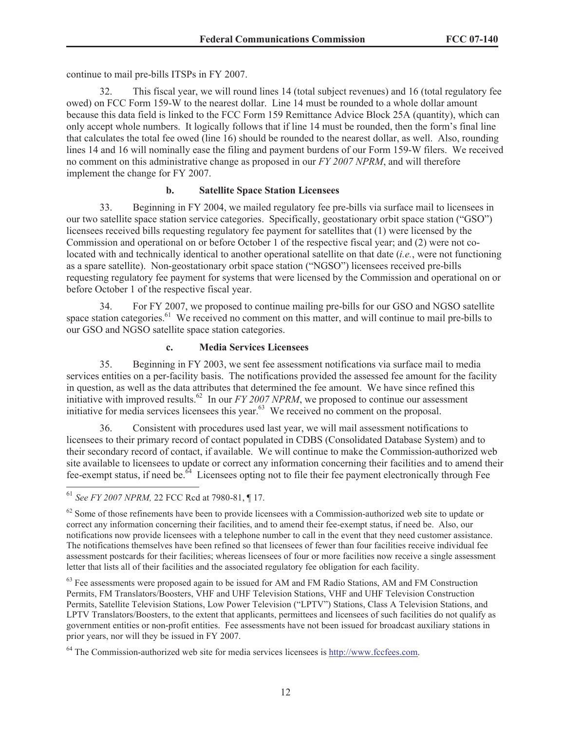continue to mail pre-bills ITSPs in FY 2007.

32. This fiscal year, we will round lines 14 (total subject revenues) and 16 (total regulatory fee owed) on FCC Form 159-W to the nearest dollar. Line 14 must be rounded to a whole dollar amount because this data field is linked to the FCC Form 159 Remittance Advice Block 25A (quantity), which can only accept whole numbers. It logically follows that if line 14 must be rounded, then the form's final line that calculates the total fee owed (line 16) should be rounded to the nearest dollar, as well. Also, rounding lines 14 and 16 will nominally ease the filing and payment burdens of our Form 159-W filers. We received no comment on this administrative change as proposed in our *FY 2007 NPRM*, and will therefore implement the change for FY 2007.

### **b. Satellite Space Station Licensees**

33. Beginning in FY 2004, we mailed regulatory fee pre-bills via surface mail to licensees in our two satellite space station service categories. Specifically, geostationary orbit space station ("GSO") licensees received bills requesting regulatory fee payment for satellites that (1) were licensed by the Commission and operational on or before October 1 of the respective fiscal year; and (2) were not colocated with and technically identical to another operational satellite on that date (*i.e.*, were not functioning as a spare satellite). Non-geostationary orbit space station ("NGSO") licensees received pre-bills requesting regulatory fee payment for systems that were licensed by the Commission and operational on or before October 1 of the respective fiscal year.

34. For FY 2007, we proposed to continue mailing pre-bills for our GSO and NGSO satellite space station categories.<sup>61</sup> We received no comment on this matter, and will continue to mail pre-bills to our GSO and NGSO satellite space station categories.

## **c. Media Services Licensees**

35. Beginning in FY 2003, we sent fee assessment notifications via surface mail to media services entities on a per-facility basis. The notifications provided the assessed fee amount for the facility in question, as well as the data attributes that determined the fee amount. We have since refined this initiative with improved results.<sup>62</sup> In our *FY 2007 NPRM*, we proposed to continue our assessment initiative for media services licensees this year.<sup>63</sup> We received no comment on the proposal.

36. Consistent with procedures used last year, we will mail assessment notifications to licensees to their primary record of contact populated in CDBS (Consolidated Database System) and to their secondary record of contact, if available. We will continue to make the Commission-authorized web site available to licensees to update or correct any information concerning their facilities and to amend their fee-exempt status, if need be.<sup>64</sup> Licensees opting not to file their fee payment electronically through Fee

<sup>63</sup> Fee assessments were proposed again to be issued for AM and FM Radio Stations, AM and FM Construction Permits, FM Translators/Boosters, VHF and UHF Television Stations, VHF and UHF Television Construction Permits, Satellite Television Stations, Low Power Television ("LPTV") Stations, Class A Television Stations, and LPTV Translators/Boosters, to the extent that applicants, permittees and licensees of such facilities do not qualify as government entities or non-profit entities. Fee assessments have not been issued for broadcast auxiliary stations in prior years, nor will they be issued in FY 2007.

<sup>64</sup> The Commission-authorized web site for media services licensees is http://www.fccfees.com.

<sup>61</sup> *See FY 2007 NPRM,* 22 FCC Rcd at 7980-81, ¶ 17.

 $62$  Some of those refinements have been to provide licensees with a Commission-authorized web site to update or correct any information concerning their facilities, and to amend their fee-exempt status, if need be. Also, our notifications now provide licensees with a telephone number to call in the event that they need customer assistance. The notifications themselves have been refined so that licensees of fewer than four facilities receive individual fee assessment postcards for their facilities; whereas licensees of four or more facilities now receive a single assessment letter that lists all of their facilities and the associated regulatory fee obligation for each facility.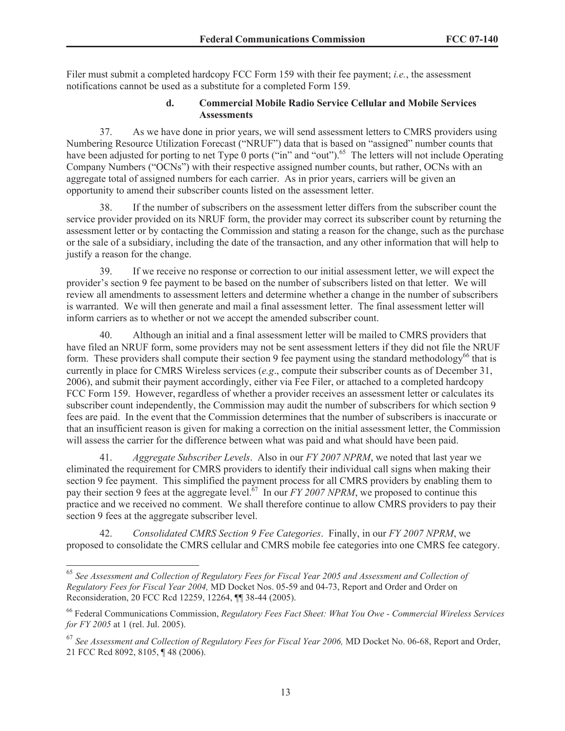Filer must submit a completed hardcopy FCC Form 159 with their fee payment; *i.e.*, the assessment notifications cannot be used as a substitute for a completed Form 159.

### **d. Commercial Mobile Radio Service Cellular and Mobile Services Assessments**

37. As we have done in prior years, we will send assessment letters to CMRS providers using Numbering Resource Utilization Forecast ("NRUF") data that is based on "assigned" number counts that have been adjusted for porting to net Type 0 ports ("in" and "out").<sup>65</sup> The letters will not include Operating Company Numbers ("OCNs") with their respective assigned number counts, but rather, OCNs with an aggregate total of assigned numbers for each carrier. As in prior years, carriers will be given an opportunity to amend their subscriber counts listed on the assessment letter.

38. If the number of subscribers on the assessment letter differs from the subscriber count the service provider provided on its NRUF form, the provider may correct its subscriber count by returning the assessment letter or by contacting the Commission and stating a reason for the change, such as the purchase or the sale of a subsidiary, including the date of the transaction, and any other information that will help to justify a reason for the change.

39. If we receive no response or correction to our initial assessment letter, we will expect the provider's section 9 fee payment to be based on the number of subscribers listed on that letter. We will review all amendments to assessment letters and determine whether a change in the number of subscribers is warranted. We will then generate and mail a final assessment letter. The final assessment letter will inform carriers as to whether or not we accept the amended subscriber count.

40. Although an initial and a final assessment letter will be mailed to CMRS providers that have filed an NRUF form, some providers may not be sent assessment letters if they did not file the NRUF form. These providers shall compute their section 9 fee payment using the standard methodology<sup>66</sup> that is currently in place for CMRS Wireless services (*e.g*., compute their subscriber counts as of December 31, 2006), and submit their payment accordingly, either via Fee Filer, or attached to a completed hardcopy FCC Form 159. However, regardless of whether a provider receives an assessment letter or calculates its subscriber count independently, the Commission may audit the number of subscribers for which section 9 fees are paid. In the event that the Commission determines that the number of subscribers is inaccurate or that an insufficient reason is given for making a correction on the initial assessment letter, the Commission will assess the carrier for the difference between what was paid and what should have been paid.

41. *Aggregate Subscriber Levels*. Also in our *FY 2007 NPRM*, we noted that last year we eliminated the requirement for CMRS providers to identify their individual call signs when making their section 9 fee payment. This simplified the payment process for all CMRS providers by enabling them to pay their section 9 fees at the aggregate level.<sup>67</sup> In our *FY 2007 NPRM*, we proposed to continue this practice and we received no comment. We shall therefore continue to allow CMRS providers to pay their section 9 fees at the aggregate subscriber level.

42. *Consolidated CMRS Section 9 Fee Categories*. Finally, in our *FY 2007 NPRM*, we proposed to consolidate the CMRS cellular and CMRS mobile fee categories into one CMRS fee category.

<sup>65</sup> *See Assessment and Collection of Regulatory Fees for Fiscal Year 2005 and Assessment and Collection of Regulatory Fees for Fiscal Year 2004,* MD Docket Nos. 05-59 and 04-73, Report and Order and Order on Reconsideration, 20 FCC Rcd 12259, 12264, ¶¶ 38-44 (2005).

<sup>66</sup> Federal Communications Commission, *Regulatory Fees Fact Sheet: What You Owe - Commercial Wireless Services for FY 2005* at 1 (rel. Jul. 2005).

<sup>67</sup> *See Assessment and Collection of Regulatory Fees for Fiscal Year 2006,* MD Docket No. 06-68, Report and Order, 21 FCC Rcd 8092, 8105, ¶ 48 (2006).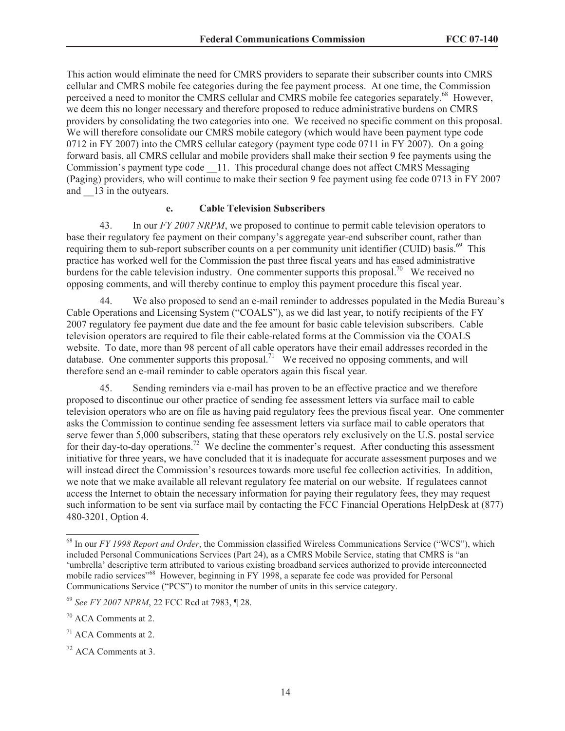This action would eliminate the need for CMRS providers to separate their subscriber counts into CMRS cellular and CMRS mobile fee categories during the fee payment process. At one time, the Commission perceived a need to monitor the CMRS cellular and CMRS mobile fee categories separately.<sup>68</sup> However, we deem this no longer necessary and therefore proposed to reduce administrative burdens on CMRS providers by consolidating the two categories into one. We received no specific comment on this proposal. We will therefore consolidate our CMRS mobile category (which would have been payment type code 0712 in FY 2007) into the CMRS cellular category (payment type code 0711 in FY 2007). On a going forward basis, all CMRS cellular and mobile providers shall make their section 9 fee payments using the Commission's payment type code \_\_11. This procedural change does not affect CMRS Messaging (Paging) providers, who will continue to make their section 9 fee payment using fee code 0713 in FY 2007 and  $\qquad$  13 in the outyears.

### **e. Cable Television Subscribers**

43. In our *FY 2007 NRPM*, we proposed to continue to permit cable television operators to base their regulatory fee payment on their company's aggregate year-end subscriber count, rather than requiring them to sub-report subscriber counts on a per community unit identifier (CUID) basis.<sup>69</sup> This practice has worked well for the Commission the past three fiscal years and has eased administrative burdens for the cable television industry. One commenter supports this proposal.<sup>70</sup> We received no opposing comments, and will thereby continue to employ this payment procedure this fiscal year.

44. We also proposed to send an e-mail reminder to addresses populated in the Media Bureau's Cable Operations and Licensing System ("COALS"), as we did last year, to notify recipients of the FY 2007 regulatory fee payment due date and the fee amount for basic cable television subscribers. Cable television operators are required to file their cable-related forms at the Commission via the COALS website. To date, more than 98 percent of all cable operators have their email addresses recorded in the database. One commenter supports this proposal.<sup>71</sup> We received no opposing comments, and will therefore send an e-mail reminder to cable operators again this fiscal year.

45. Sending reminders via e-mail has proven to be an effective practice and we therefore proposed to discontinue our other practice of sending fee assessment letters via surface mail to cable television operators who are on file as having paid regulatory fees the previous fiscal year. One commenter asks the Commission to continue sending fee assessment letters via surface mail to cable operators that serve fewer than 5,000 subscribers, stating that these operators rely exclusively on the U.S. postal service for their day-to-day operations.<sup>72</sup> We decline the commenter's request. After conducting this assessment initiative for three years, we have concluded that it is inadequate for accurate assessment purposes and we will instead direct the Commission's resources towards more useful fee collection activities. In addition, we note that we make available all relevant regulatory fee material on our website. If regulatees cannot access the Internet to obtain the necessary information for paying their regulatory fees, they may request such information to be sent via surface mail by contacting the FCC Financial Operations HelpDesk at (877) 480-3201, Option 4.

<sup>68</sup> In our *FY 1998 Report and Order*, the Commission classified Wireless Communications Service ("WCS"), which included Personal Communications Services (Part 24), as a CMRS Mobile Service, stating that CMRS is "an 'umbrella' descriptive term attributed to various existing broadband services authorized to provide interconnected mobile radio services"<sup>68</sup> However, beginning in FY 1998, a separate fee code was provided for Personal Communications Service ("PCS") to monitor the number of units in this service category.

<sup>69</sup> *See FY 2007 NPRM*, 22 FCC Rcd at 7983, ¶ 28.

<sup>70</sup> ACA Comments at 2.

<sup>71</sup> ACA Comments at 2.

<sup>72</sup> ACA Comments at 3.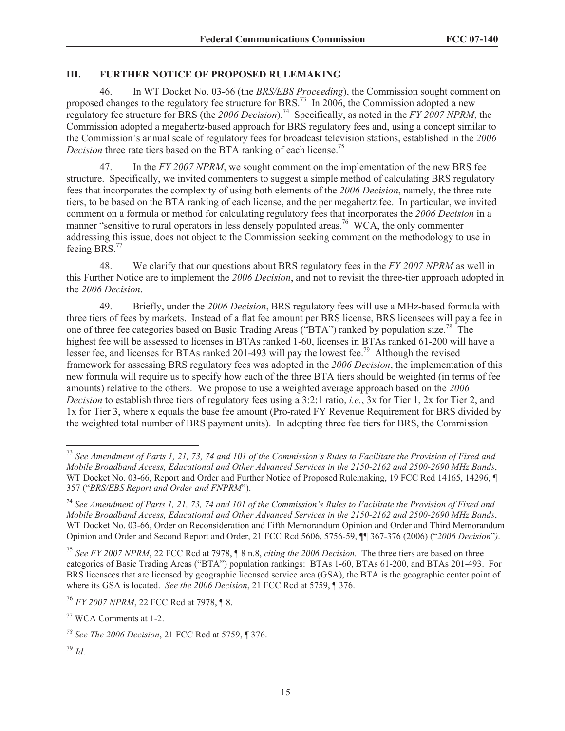#### **III. FURTHER NOTICE OF PROPOSED RULEMAKING**

46. In WT Docket No. 03-66 (the *BRS/EBS Proceeding*), the Commission sought comment on proposed changes to the regulatory fee structure for BRS.<sup>73</sup> In 2006, the Commission adopted a new regulatory fee structure for BRS (the *2006 Decision*).<sup>74</sup> Specifically, as noted in the *FY 2007 NPRM*, the Commission adopted a megahertz-based approach for BRS regulatory fees and, using a concept similar to the Commission's annual scale of regulatory fees for broadcast television stations, established in the *2006 Decision* three rate tiers based on the BTA ranking of each license. 75

47. In the *FY 2007 NPRM*, we sought comment on the implementation of the new BRS fee structure. Specifically, we invited commenters to suggest a simple method of calculating BRS regulatory fees that incorporates the complexity of using both elements of the *2006 Decision*, namely, the three rate tiers, to be based on the BTA ranking of each license, and the per megahertz fee. In particular, we invited comment on a formula or method for calculating regulatory fees that incorporates the *2006 Decision* in a manner "sensitive to rural operators in less densely populated areas.<sup>76</sup> WCA, the only commenter addressing this issue, does not object to the Commission seeking comment on the methodology to use in feeing BRS.<sup>77</sup>

48. We clarify that our questions about BRS regulatory fees in the *FY 2007 NPRM* as well in this Further Notice are to implement the *2006 Decision*, and not to revisit the three-tier approach adopted in the *2006 Decision*.

49. Briefly, under the *2006 Decision*, BRS regulatory fees will use a MHz-based formula with three tiers of fees by markets. Instead of a flat fee amount per BRS license, BRS licensees will pay a fee in one of three fee categories based on Basic Trading Areas ("BTA") ranked by population size.<sup>78</sup> The highest fee will be assessed to licenses in BTAs ranked 1-60, licenses in BTAs ranked 61-200 will have a lesser fee, and licenses for BTAs ranked 201-493 will pay the lowest fee.<sup>79</sup> Although the revised framework for assessing BRS regulatory fees was adopted in the *2006 Decision*, the implementation of this new formula will require us to specify how each of the three BTA tiers should be weighted (in terms of fee amounts) relative to the others. We propose to use a weighted average approach based on the *2006 Decision* to establish three tiers of regulatory fees using a 3:2:1 ratio, *i.e.*, 3x for Tier 1, 2x for Tier 2, and 1x for Tier 3, where x equals the base fee amount (Pro-rated FY Revenue Requirement for BRS divided by the weighted total number of BRS payment units). In adopting three fee tiers for BRS, the Commission

<sup>79</sup> *Id*.

<sup>73</sup> *See Amendment of Parts 1, 21, 73, 74 and 101 of the Commission's Rules to Facilitate the Provision of Fixed and Mobile Broadband Access, Educational and Other Advanced Services in the 2150-2162 and 2500-2690 MHz Bands*, WT Docket No. 03-66, Report and Order and Further Notice of Proposed Rulemaking, 19 FCC Rcd 14165, 14296, ¶ 357 ("*BRS/EBS Report and Order and FNPRM*").

<sup>74</sup> *See Amendment of Parts 1, 21, 73, 74 and 101 of the Commission's Rules to Facilitate the Provision of Fixed and Mobile Broadband Access, Educational and Other Advanced Services in the 2150-2162 and 2500-2690 MHz Bands*, WT Docket No. 03-66, Order on Reconsideration and Fifth Memorandum Opinion and Order and Third Memorandum Opinion and Order and Second Report and Order, 21 FCC Rcd 5606, 5756-59, ¶¶ 367-376 (2006) ("*2006 Decision*"*)*.

<sup>75</sup> *See FY 2007 NPRM*, 22 FCC Rcd at 7978, ¶ 8 n.8, *citing the 2006 Decision.* The three tiers are based on three categories of Basic Trading Areas ("BTA") population rankings: BTAs 1-60, BTAs 61-200, and BTAs 201-493. For BRS licensees that are licensed by geographic licensed service area (GSA), the BTA is the geographic center point of where its GSA is located. *See the 2006 Decision*, 21 FCC Rcd at 5759, ¶ 376.

<sup>76</sup> *FY 2007 NPRM*, 22 FCC Rcd at 7978, ¶ 8.

<sup>77</sup> WCA Comments at 1-2.

*<sup>78</sup> See The 2006 Decision*, 21 FCC Rcd at 5759, ¶ 376.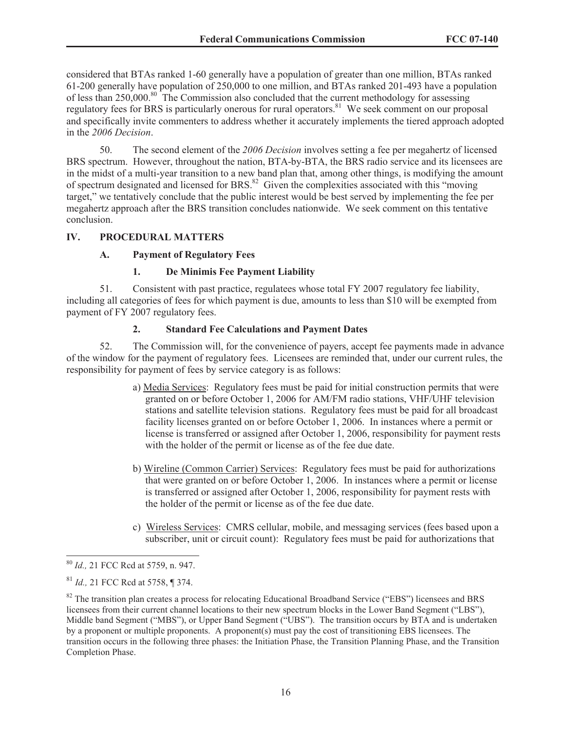considered that BTAs ranked 1-60 generally have a population of greater than one million, BTAs ranked 61-200 generally have population of 250,000 to one million, and BTAs ranked 201-493 have a population of less than 250,000.<sup>80</sup> The Commission also concluded that the current methodology for assessing regulatory fees for BRS is particularly onerous for rural operators.<sup>81</sup> We seek comment on our proposal and specifically invite commenters to address whether it accurately implements the tiered approach adopted in the *2006 Decision*.

50. The second element of the *2006 Decision* involves setting a fee per megahertz of licensed BRS spectrum. However, throughout the nation, BTA-by-BTA, the BRS radio service and its licensees are in the midst of a multi-year transition to a new band plan that, among other things, is modifying the amount of spectrum designated and licensed for BRS.<sup>82</sup> Given the complexities associated with this "moving" target," we tentatively conclude that the public interest would be best served by implementing the fee per megahertz approach after the BRS transition concludes nationwide. We seek comment on this tentative conclusion.

### **IV. PROCEDURAL MATTERS**

## **A. Payment of Regulatory Fees**

## **1. De Minimis Fee Payment Liability**

51. Consistent with past practice, regulatees whose total FY 2007 regulatory fee liability, including all categories of fees for which payment is due, amounts to less than \$10 will be exempted from payment of FY 2007 regulatory fees.

# **2. Standard Fee Calculations and Payment Dates**

52. The Commission will, for the convenience of payers, accept fee payments made in advance of the window for the payment of regulatory fees. Licensees are reminded that, under our current rules, the responsibility for payment of fees by service category is as follows:

- a) Media Services: Regulatory fees must be paid for initial construction permits that were granted on or before October 1, 2006 for AM/FM radio stations, VHF/UHF television stations and satellite television stations. Regulatory fees must be paid for all broadcast facility licenses granted on or before October 1, 2006. In instances where a permit or license is transferred or assigned after October 1, 2006, responsibility for payment rests with the holder of the permit or license as of the fee due date.
- b) Wireline (Common Carrier) Services: Regulatory fees must be paid for authorizations that were granted on or before October 1, 2006. In instances where a permit or license is transferred or assigned after October 1, 2006, responsibility for payment rests with the holder of the permit or license as of the fee due date.
- c) Wireless Services: CMRS cellular, mobile, and messaging services (fees based upon a subscriber, unit or circuit count): Regulatory fees must be paid for authorizations that

<sup>80</sup> *Id.,* 21 FCC Rcd at 5759, n. 947.

<sup>81</sup> *Id.,* 21 FCC Rcd at 5758, ¶ 374.

<sup>&</sup>lt;sup>82</sup> The transition plan creates a process for relocating Educational Broadband Service ("EBS") licensees and BRS licensees from their current channel locations to their new spectrum blocks in the Lower Band Segment ("LBS"), Middle band Segment ("MBS"), or Upper Band Segment ("UBS"). The transition occurs by BTA and is undertaken by a proponent or multiple proponents. A proponent(s) must pay the cost of transitioning EBS licensees. The transition occurs in the following three phases: the Initiation Phase, the Transition Planning Phase, and the Transition Completion Phase.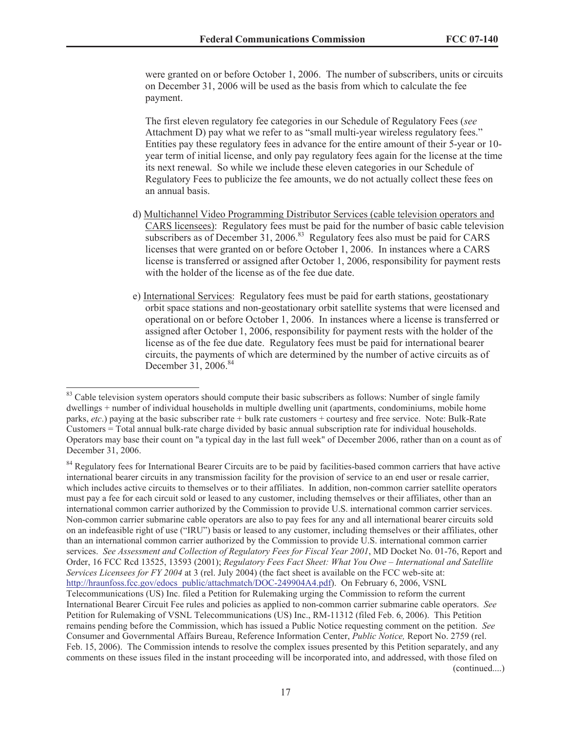were granted on or before October 1, 2006. The number of subscribers, units or circuits on December 31, 2006 will be used as the basis from which to calculate the fee payment.

The first eleven regulatory fee categories in our Schedule of Regulatory Fees (*see* Attachment D) pay what we refer to as "small multi-year wireless regulatory fees." Entities pay these regulatory fees in advance for the entire amount of their 5-year or 10 year term of initial license, and only pay regulatory fees again for the license at the time its next renewal. So while we include these eleven categories in our Schedule of Regulatory Fees to publicize the fee amounts, we do not actually collect these fees on an annual basis.

- d) Multichannel Video Programming Distributor Services (cable television operators and CARS licensees): Regulatory fees must be paid for the number of basic cable television subscribers as of December  $31, 2006$ .<sup>83</sup> Regulatory fees also must be paid for CARS licenses that were granted on or before October 1, 2006. In instances where a CARS license is transferred or assigned after October 1, 2006, responsibility for payment rests with the holder of the license as of the fee due date.
- e) International Services: Regulatory fees must be paid for earth stations, geostationary orbit space stations and non-geostationary orbit satellite systems that were licensed and operational on or before October 1, 2006. In instances where a license is transferred or assigned after October 1, 2006, responsibility for payment rests with the holder of the license as of the fee due date. Regulatory fees must be paid for international bearer circuits, the payments of which are determined by the number of active circuits as of December 31, 2006.<sup>84</sup>

(continued....)

<sup>&</sup>lt;sup>83</sup> Cable television system operators should compute their basic subscribers as follows: Number of single family dwellings + number of individual households in multiple dwelling unit (apartments, condominiums, mobile home parks, *etc*.) paying at the basic subscriber rate + bulk rate customers + courtesy and free service. Note: Bulk-Rate Customers = Total annual bulk-rate charge divided by basic annual subscription rate for individual households. Operators may base their count on "a typical day in the last full week" of December 2006, rather than on a count as of December 31, 2006.

<sup>&</sup>lt;sup>84</sup> Regulatory fees for International Bearer Circuits are to be paid by facilities-based common carriers that have active international bearer circuits in any transmission facility for the provision of service to an end user or resale carrier, which includes active circuits to themselves or to their affiliates. In addition, non-common carrier satellite operators must pay a fee for each circuit sold or leased to any customer, including themselves or their affiliates, other than an international common carrier authorized by the Commission to provide U.S. international common carrier services. Non-common carrier submarine cable operators are also to pay fees for any and all international bearer circuits sold on an indefeasible right of use ("IRU") basis or leased to any customer, including themselves or their affiliates, other than an international common carrier authorized by the Commission to provide U.S. international common carrier services. *See Assessment and Collection of Regulatory Fees for Fiscal Year 2001*, MD Docket No. 01-76, Report and Order, 16 FCC Rcd 13525, 13593 (2001); *Regulatory Fees Fact Sheet: What You Owe – International and Satellite Services Licensees for FY 2004* at 3 (rel. July 2004) (the fact sheet is available on the FCC web-site at: http://hraunfoss.fcc.gov/edocs\_public/attachmatch/DOC-249904A4.pdf). On February 6, 2006, VSNL Telecommunications (US) Inc. filed a Petition for Rulemaking urging the Commission to reform the current International Bearer Circuit Fee rules and policies as applied to non-common carrier submarine cable operators. *See* Petition for Rulemaking of VSNL Telecommunications (US) Inc., RM-11312 (filed Feb. 6, 2006). This Petition remains pending before the Commission, which has issued a Public Notice requesting comment on the petition. *See* Consumer and Governmental Affairs Bureau, Reference Information Center, *Public Notice,* Report No. 2759 (rel. Feb. 15, 2006). The Commission intends to resolve the complex issues presented by this Petition separately, and any comments on these issues filed in the instant proceeding will be incorporated into, and addressed, with those filed on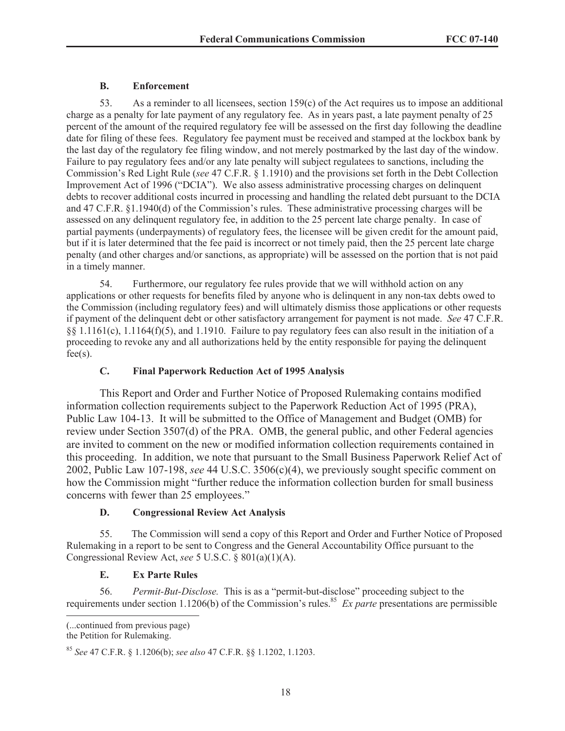## **B. Enforcement**

53. As a reminder to all licensees, section  $159(c)$  of the Act requires us to impose an additional charge as a penalty for late payment of any regulatory fee. As in years past, a late payment penalty of 25 percent of the amount of the required regulatory fee will be assessed on the first day following the deadline date for filing of these fees. Regulatory fee payment must be received and stamped at the lockbox bank by the last day of the regulatory fee filing window, and not merely postmarked by the last day of the window. Failure to pay regulatory fees and/or any late penalty will subject regulatees to sanctions, including the Commission's Red Light Rule (*see* 47 C.F.R. § 1.1910) and the provisions set forth in the Debt Collection Improvement Act of 1996 ("DCIA"). We also assess administrative processing charges on delinquent debts to recover additional costs incurred in processing and handling the related debt pursuant to the DCIA and 47 C.F.R. §1.1940(d) of the Commission's rules. These administrative processing charges will be assessed on any delinquent regulatory fee, in addition to the 25 percent late charge penalty. In case of partial payments (underpayments) of regulatory fees, the licensee will be given credit for the amount paid, but if it is later determined that the fee paid is incorrect or not timely paid, then the 25 percent late charge penalty (and other charges and/or sanctions, as appropriate) will be assessed on the portion that is not paid in a timely manner.

54. Furthermore, our regulatory fee rules provide that we will withhold action on any applications or other requests for benefits filed by anyone who is delinquent in any non-tax debts owed to the Commission (including regulatory fees) and will ultimately dismiss those applications or other requests if payment of the delinquent debt or other satisfactory arrangement for payment is not made. *See* 47 C.F.R. §§ 1.1161(c), 1.1164(f)(5), and 1.1910. Failure to pay regulatory fees can also result in the initiation of a proceeding to revoke any and all authorizations held by the entity responsible for paying the delinquent  $fee(s)$ .

## **C. Final Paperwork Reduction Act of 1995 Analysis**

This Report and Order and Further Notice of Proposed Rulemaking contains modified information collection requirements subject to the Paperwork Reduction Act of 1995 (PRA), Public Law 104-13. It will be submitted to the Office of Management and Budget (OMB) for review under Section 3507(d) of the PRA. OMB, the general public, and other Federal agencies are invited to comment on the new or modified information collection requirements contained in this proceeding. In addition, we note that pursuant to the Small Business Paperwork Relief Act of 2002, Public Law 107-198, *see* 44 U.S.C. 3506(c)(4), we previously sought specific comment on how the Commission might "further reduce the information collection burden for small business concerns with fewer than 25 employees."

## **D. Congressional Review Act Analysis**

55. The Commission will send a copy of this Report and Order and Further Notice of Proposed Rulemaking in a report to be sent to Congress and the General Accountability Office pursuant to the Congressional Review Act, *see* 5 U.S.C. § 801(a)(1)(A).

## **E. Ex Parte Rules**

56. *Permit-But-Disclose.* This is as a "permit-but-disclose" proceeding subject to the requirements under section 1.1206(b) of the Commission's rules.<sup>85</sup> *Ex parte* presentations are permissible

(...continued from previous page)

the Petition for Rulemaking.

<sup>85</sup> *See* 47 C.F.R. § 1.1206(b); *see also* 47 C.F.R. §§ 1.1202, 1.1203.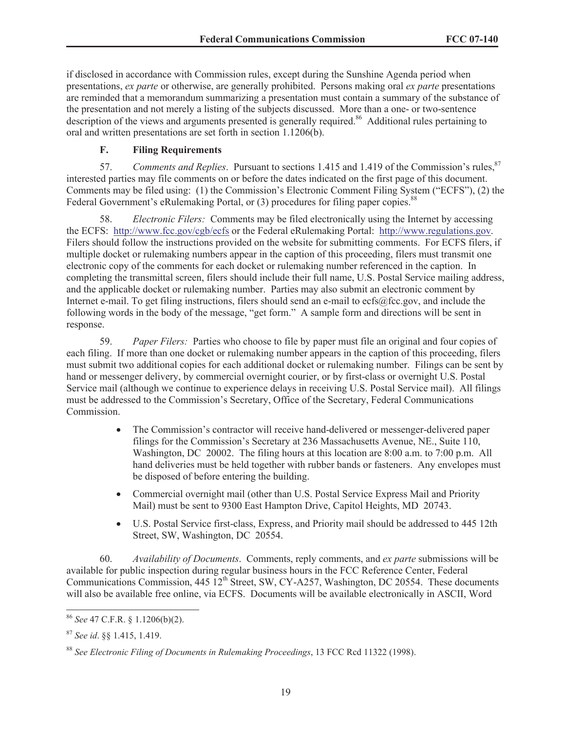if disclosed in accordance with Commission rules, except during the Sunshine Agenda period when presentations, *ex parte* or otherwise, are generally prohibited. Persons making oral *ex parte* presentations are reminded that a memorandum summarizing a presentation must contain a summary of the substance of the presentation and not merely a listing of the subjects discussed. More than a one- or two-sentence description of the views and arguments presented is generally required.<sup>86</sup> Additional rules pertaining to oral and written presentations are set forth in section 1.1206(b).

## **F. Filing Requirements**

57. *Comments and Replies*. Pursuant to sections 1.415 and 1.419 of the Commission's rules,<sup>87</sup> interested parties may file comments on or before the dates indicated on the first page of this document. Comments may be filed using: (1) the Commission's Electronic Comment Filing System ("ECFS"), (2) the Federal Government's eRulemaking Portal, or (3) procedures for filing paper copies.<sup>88</sup>

58. *Electronic Filers:* Comments may be filed electronically using the Internet by accessing the ECFS: http://www.fcc.gov/cgb/ecfs or the Federal eRulemaking Portal: http://www.regulations.gov. Filers should follow the instructions provided on the website for submitting comments. For ECFS filers, if multiple docket or rulemaking numbers appear in the caption of this proceeding, filers must transmit one electronic copy of the comments for each docket or rulemaking number referenced in the caption. In completing the transmittal screen, filers should include their full name, U.S. Postal Service mailing address, and the applicable docket or rulemaking number. Parties may also submit an electronic comment by Internet e-mail. To get filing instructions, filers should send an e-mail to ecfs@fcc.gov, and include the following words in the body of the message, "get form." A sample form and directions will be sent in response.

59. *Paper Filers:* Parties who choose to file by paper must file an original and four copies of each filing. If more than one docket or rulemaking number appears in the caption of this proceeding, filers must submit two additional copies for each additional docket or rulemaking number. Filings can be sent by hand or messenger delivery, by commercial overnight courier, or by first-class or overnight U.S. Postal Service mail (although we continue to experience delays in receiving U.S. Postal Service mail). All filings must be addressed to the Commission's Secretary, Office of the Secretary, Federal Communications Commission.

- · The Commission's contractor will receive hand-delivered or messenger-delivered paper filings for the Commission's Secretary at 236 Massachusetts Avenue, NE., Suite 110, Washington, DC 20002. The filing hours at this location are 8:00 a.m. to 7:00 p.m. All hand deliveries must be held together with rubber bands or fasteners. Any envelopes must be disposed of before entering the building.
- Commercial overnight mail (other than U.S. Postal Service Express Mail and Priority Mail) must be sent to 9300 East Hampton Drive, Capitol Heights, MD 20743.
- · U.S. Postal Service first-class, Express, and Priority mail should be addressed to 445 12th Street, SW, Washington, DC 20554.

60. *Availability of Documents*. Comments, reply comments, and *ex parte* submissions will be available for public inspection during regular business hours in the FCC Reference Center, Federal Communications Commission, 445 12<sup>th</sup> Street, SW, CY-A257, Washington, DC 20554. These documents will also be available free online, via ECFS. Documents will be available electronically in ASCII, Word

<sup>86</sup> *See* 47 C.F.R. § 1.1206(b)(2).

<sup>87</sup> *See id*. §§ 1.415, 1.419.

<sup>88</sup> *See Electronic Filing of Documents in Rulemaking Proceedings*, 13 FCC Rcd 11322 (1998).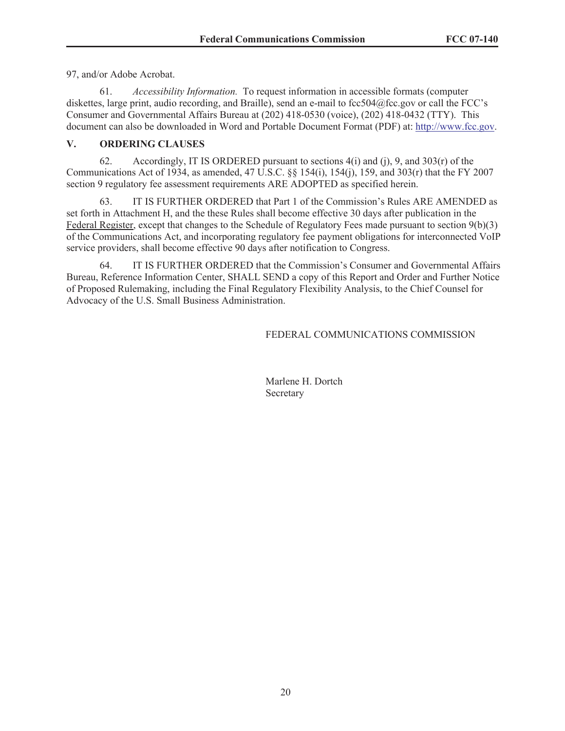97, and/or Adobe Acrobat.

61. *Accessibility Information.* To request information in accessible formats (computer diskettes, large print, audio recording, and Braille), send an e-mail to fcc504@fcc.gov or call the FCC's Consumer and Governmental Affairs Bureau at (202) 418-0530 (voice), (202) 418-0432 (TTY). This document can also be downloaded in Word and Portable Document Format (PDF) at: http://www.fcc.gov.

## **V. ORDERING CLAUSES**

62. Accordingly, IT IS ORDERED pursuant to sections  $4(i)$  and  $(i)$ , 9, and  $303(r)$  of the Communications Act of 1934, as amended, 47 U.S.C. §§ 154(i), 154(j), 159, and 303(r) that the FY 2007 section 9 regulatory fee assessment requirements ARE ADOPTED as specified herein.

63. IT IS FURTHER ORDERED that Part 1 of the Commission's Rules ARE AMENDED as set forth in Attachment H, and the these Rules shall become effective 30 days after publication in the Federal Register, except that changes to the Schedule of Regulatory Fees made pursuant to section 9(b)(3) of the Communications Act, and incorporating regulatory fee payment obligations for interconnected VoIP service providers, shall become effective 90 days after notification to Congress.

64. IT IS FURTHER ORDERED that the Commission's Consumer and Governmental Affairs Bureau, Reference Information Center, SHALL SEND a copy of this Report and Order and Further Notice of Proposed Rulemaking, including the Final Regulatory Flexibility Analysis, to the Chief Counsel for Advocacy of the U.S. Small Business Administration.

## FEDERAL COMMUNICATIONS COMMISSION

Marlene H. Dortch Secretary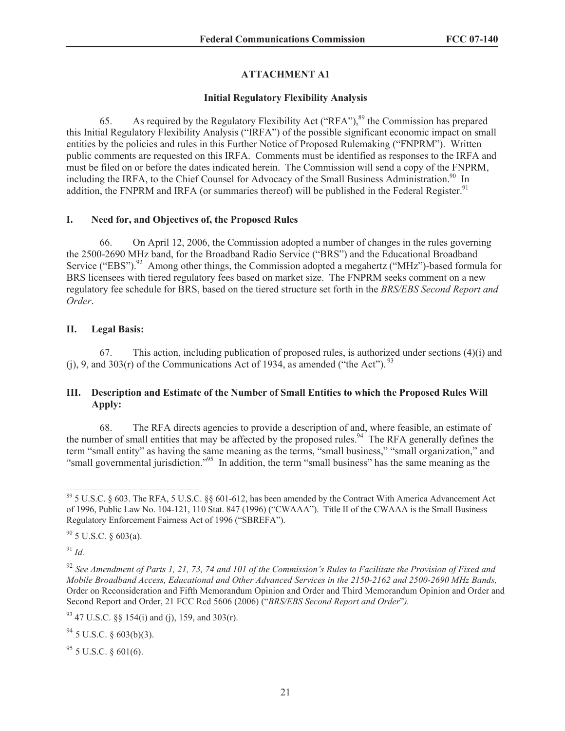# **ATTACHMENT A1**

## **Initial Regulatory Flexibility Analysis**

65. As required by the Regulatory Flexibility Act ("RFA"),  $89$  the Commission has prepared this Initial Regulatory Flexibility Analysis ("IRFA") of the possible significant economic impact on small entities by the policies and rules in this Further Notice of Proposed Rulemaking ("FNPRM"). Written public comments are requested on this IRFA. Comments must be identified as responses to the IRFA and must be filed on or before the dates indicated herein. The Commission will send a copy of the FNPRM, including the IRFA, to the Chief Counsel for Advocacy of the Small Business Administration.<sup>90</sup> In addition, the FNPRM and IRFA (or summaries thereof) will be published in the Federal Register.<sup>91</sup>

## **I. Need for, and Objectives of, the Proposed Rules**

66. On April 12, 2006, the Commission adopted a number of changes in the rules governing the 2500-2690 MHz band, for the Broadband Radio Service ("BRS") and the Educational Broadband Service ("EBS").<sup>92</sup> Among other things, the Commission adopted a megahertz ("MHz")-based formula for BRS licensees with tiered regulatory fees based on market size. The FNPRM seeks comment on a new regulatory fee schedule for BRS, based on the tiered structure set forth in the *BRS/EBS Second Report and Order*.

## **II. Legal Basis:**

67. This action, including publication of proposed rules, is authorized under sections (4)(i) and (i), 9, and 303(r) of the Communications Act of 1934, as amended ("the Act").  $^{93}$ 

## **III. Description and Estimate of the Number of Small Entities to which the Proposed Rules Will Apply:**

68. The RFA directs agencies to provide a description of and, where feasible, an estimate of the number of small entities that may be affected by the proposed rules.<sup>94</sup> The RFA generally defines the term "small entity" as having the same meaning as the terms, "small business," "small organization," and "small governmental jurisdiction."<sup>95</sup> In addition, the term "small business" has the same meaning as the

 $90$  5 U.S.C. § 603(a).

<sup>91</sup> *Id.*

 $94$  5 U.S.C. § 603(b)(3).

 $95$  5 U.S.C. § 601(6).

<sup>89</sup> 5 U.S.C. § 603. The RFA, 5 U.S.C. §§ 601-612, has been amended by the Contract With America Advancement Act of 1996, Public Law No. 104-121, 110 Stat. 847 (1996) ("CWAAA"). Title II of the CWAAA is the Small Business Regulatory Enforcement Fairness Act of 1996 ("SBREFA").

<sup>92</sup> *See Amendment of Parts 1, 21, 73, 74 and 101 of the Commission's Rules to Facilitate the Provision of Fixed and Mobile Broadband Access, Educational and Other Advanced Services in the 2150-2162 and 2500-2690 MHz Bands,*  Order on Reconsideration and Fifth Memorandum Opinion and Order and Third Memorandum Opinion and Order and Second Report and Order, 21 FCC Rcd 5606 (2006) ("*BRS/EBS Second Report and Order*"*).*

 $93$  47 U.S.C. §§ 154(i) and (j), 159, and 303(r).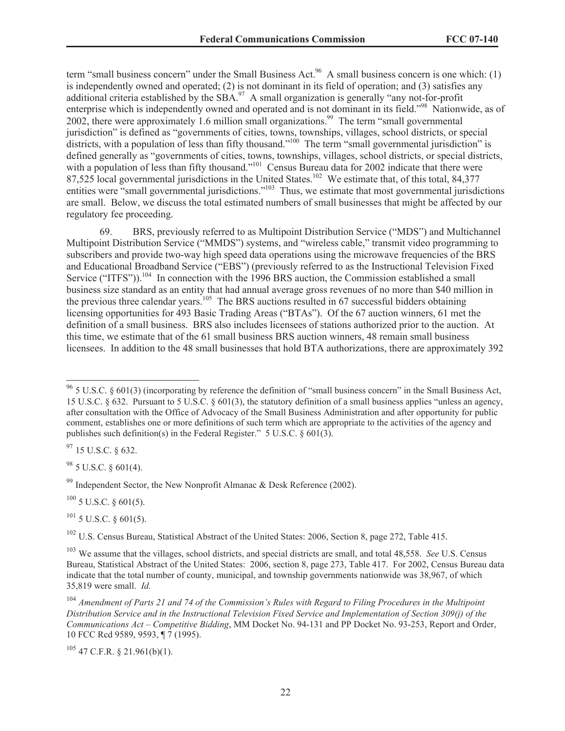term "small business concern" under the Small Business Act.<sup>96</sup> A small business concern is one which: (1) is independently owned and operated; (2) is not dominant in its field of operation; and (3) satisfies any additional criteria established by the  $SBA$ .<sup>97</sup> A small organization is generally "any not-for-profit enterprise which is independently owned and operated and is not dominant in its field."<sup>98</sup> Nationwide, as of 2002, there were approximately 1.6 million small organizations.<sup>99</sup> The term "small governmental jurisdiction" is defined as "governments of cities, towns, townships, villages, school districts, or special districts, with a population of less than fifty thousand."<sup>100</sup> The term "small governmental jurisdiction" is defined generally as "governments of cities, towns, townships, villages, school districts, or special districts, with a population of less than fifty thousand."<sup>101</sup> Census Bureau data for 2002 indicate that there were 87,525 local governmental jurisdictions in the United States.<sup>102</sup> We estimate that, of this total, 84,377 entities were "small governmental jurisdictions."<sup>103</sup> Thus, we estimate that most governmental jurisdictions are small. Below, we discuss the total estimated numbers of small businesses that might be affected by our regulatory fee proceeding.

69. BRS, previously referred to as Multipoint Distribution Service ("MDS") and Multichannel Multipoint Distribution Service ("MMDS") systems, and "wireless cable," transmit video programming to subscribers and provide two-way high speed data operations using the microwave frequencies of the BRS and Educational Broadband Service ("EBS") (previously referred to as the Instructional Television Fixed Service ("ITFS")).<sup>104</sup> In connection with the 1996 BRS auction, the Commission established a small business size standard as an entity that had annual average gross revenues of no more than \$40 million in the previous three calendar years.<sup>105</sup> The BRS auctions resulted in 67 successful bidders obtaining licensing opportunities for 493 Basic Trading Areas ("BTAs"). Of the 67 auction winners, 61 met the definition of a small business. BRS also includes licensees of stations authorized prior to the auction. At this time, we estimate that of the 61 small business BRS auction winners, 48 remain small business licensees. In addition to the 48 small businesses that hold BTA authorizations, there are approximately 392

<sup>97</sup> 15 U.S.C. § 632.

 $98$  5 U.S.C. § 601(4).

<sup>99</sup> Independent Sector, the New Nonprofit Almanac & Desk Reference (2002).

 $100$  5 U.S.C. § 601(5).

 $101$  5 U.S.C. § 601(5).

<sup>102</sup> U.S. Census Bureau, Statistical Abstract of the United States: 2006, Section 8, page 272, Table 415.

 $105$  47 C.F.R. § 21.961(b)(1).

 $96$  5 U.S.C. § 601(3) (incorporating by reference the definition of "small business concern" in the Small Business Act, 15 U.S.C. § 632. Pursuant to 5 U.S.C. § 601(3), the statutory definition of a small business applies "unless an agency, after consultation with the Office of Advocacy of the Small Business Administration and after opportunity for public comment, establishes one or more definitions of such term which are appropriate to the activities of the agency and publishes such definition(s) in the Federal Register." 5 U.S.C. § 601(3).

<sup>103</sup> We assume that the villages, school districts, and special districts are small, and total 48,558. *See* U.S. Census Bureau, Statistical Abstract of the United States: 2006, section 8, page 273, Table 417. For 2002, Census Bureau data indicate that the total number of county, municipal, and township governments nationwide was 38,967, of which 35,819 were small. *Id.*

<sup>104</sup> *Amendment of Parts 21 and 74 of the Commission's Rules with Regard to Filing Procedures in the Multipoint Distribution Service and in the Instructional Television Fixed Service and Implementation of Section 309(j) of the Communications Act – Competitive Bidding*, MM Docket No. 94-131 and PP Docket No. 93-253, Report and Order, 10 FCC Rcd 9589, 9593, ¶ 7 (1995).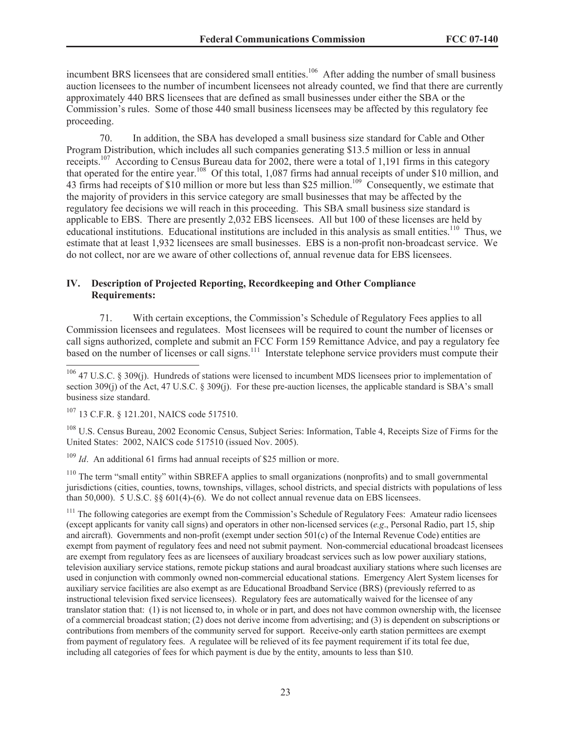incumbent BRS licensees that are considered small entities.<sup>106</sup> After adding the number of small business auction licensees to the number of incumbent licensees not already counted, we find that there are currently approximately 440 BRS licensees that are defined as small businesses under either the SBA or the Commission's rules. Some of those 440 small business licensees may be affected by this regulatory fee proceeding.

70. In addition, the SBA has developed a small business size standard for Cable and Other Program Distribution, which includes all such companies generating \$13.5 million or less in annual receipts.<sup>107</sup> According to Census Bureau data for 2002, there were a total of 1,191 firms in this category that operated for the entire year.<sup>108</sup> Of this total, 1,087 firms had annual receipts of under \$10 million, and 43 firms had receipts of \$10 million or more but less than \$25 million.<sup>109</sup> Consequently, we estimate that the majority of providers in this service category are small businesses that may be affected by the regulatory fee decisions we will reach in this proceeding. This SBA small business size standard is applicable to EBS. There are presently 2,032 EBS licensees. All but 100 of these licenses are held by educational institutions. Educational institutions are included in this analysis as small entities.<sup>110</sup> Thus, we estimate that at least 1,932 licensees are small businesses. EBS is a non-profit non-broadcast service. We do not collect, nor are we aware of other collections of, annual revenue data for EBS licensees.

## **IV. Description of Projected Reporting, Recordkeeping and Other Compliance Requirements:**

71. With certain exceptions, the Commission's Schedule of Regulatory Fees applies to all Commission licensees and regulatees. Most licensees will be required to count the number of licenses or call signs authorized, complete and submit an FCC Form 159 Remittance Advice, and pay a regulatory fee based on the number of licenses or call signs.<sup>111</sup> Interstate telephone service providers must compute their

<sup>108</sup> U.S. Census Bureau, 2002 Economic Census, Subject Series: Information, Table 4, Receipts Size of Firms for the United States: 2002, NAICS code 517510 (issued Nov. 2005).

<sup>109</sup> *Id.* An additional 61 firms had annual receipts of \$25 million or more.

<sup>110</sup> The term "small entity" within SBREFA applies to small organizations (nonprofits) and to small governmental jurisdictions (cities, counties, towns, townships, villages, school districts, and special districts with populations of less than 50,000). 5 U.S.C. §§  $601(4)$ - $(6)$ . We do not collect annual revenue data on EBS licensees.

<sup>111</sup> The following categories are exempt from the Commission's Schedule of Regulatory Fees: Amateur radio licensees (except applicants for vanity call signs) and operators in other non-licensed services (*e.g*., Personal Radio, part 15, ship and aircraft). Governments and non-profit (exempt under section 501(c) of the Internal Revenue Code) entities are exempt from payment of regulatory fees and need not submit payment. Non-commercial educational broadcast licensees are exempt from regulatory fees as are licensees of auxiliary broadcast services such as low power auxiliary stations, television auxiliary service stations, remote pickup stations and aural broadcast auxiliary stations where such licenses are used in conjunction with commonly owned non-commercial educational stations. Emergency Alert System licenses for auxiliary service facilities are also exempt as are Educational Broadband Service (BRS) (previously referred to as instructional television fixed service licensees). Regulatory fees are automatically waived for the licensee of any translator station that: (1) is not licensed to, in whole or in part, and does not have common ownership with, the licensee of a commercial broadcast station; (2) does not derive income from advertising; and (3) is dependent on subscriptions or contributions from members of the community served for support. Receive-only earth station permittees are exempt from payment of regulatory fees. A regulatee will be relieved of its fee payment requirement if its total fee due, including all categories of fees for which payment is due by the entity, amounts to less than \$10.

 $106$  47 U.S.C. § 309(j). Hundreds of stations were licensed to incumbent MDS licensees prior to implementation of section 309(j) of the Act, 47 U.S.C. § 309(j). For these pre-auction licenses, the applicable standard is SBA's small business size standard.

<sup>107</sup> 13 C.F.R. § 121.201, NAICS code 517510.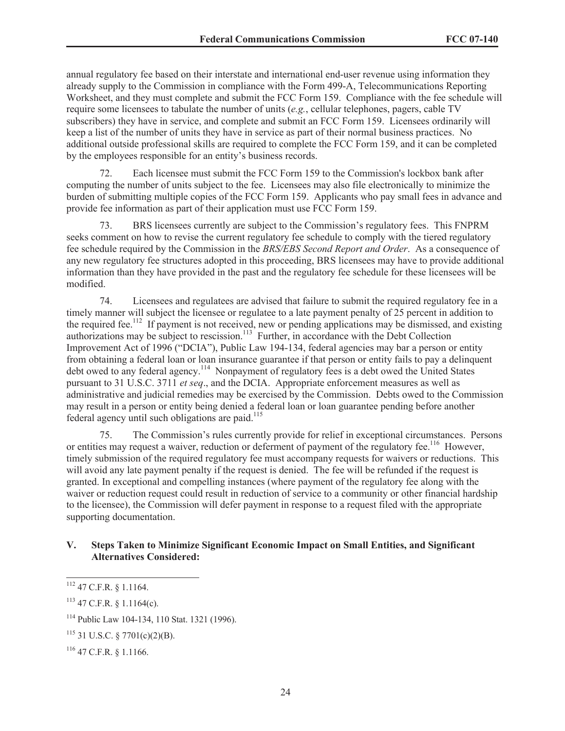annual regulatory fee based on their interstate and international end-user revenue using information they already supply to the Commission in compliance with the Form 499-A, Telecommunications Reporting Worksheet, and they must complete and submit the FCC Form 159. Compliance with the fee schedule will require some licensees to tabulate the number of units (*e.g.*, cellular telephones, pagers, cable TV subscribers) they have in service, and complete and submit an FCC Form 159. Licensees ordinarily will keep a list of the number of units they have in service as part of their normal business practices. No additional outside professional skills are required to complete the FCC Form 159, and it can be completed by the employees responsible for an entity's business records.

72. Each licensee must submit the FCC Form 159 to the Commission's lockbox bank after computing the number of units subject to the fee. Licensees may also file electronically to minimize the burden of submitting multiple copies of the FCC Form 159. Applicants who pay small fees in advance and provide fee information as part of their application must use FCC Form 159.

73. BRS licensees currently are subject to the Commission's regulatory fees. This FNPRM seeks comment on how to revise the current regulatory fee schedule to comply with the tiered regulatory fee schedule required by the Commission in the *BRS/EBS Second Report and Order*. As a consequence of any new regulatory fee structures adopted in this proceeding, BRS licensees may have to provide additional information than they have provided in the past and the regulatory fee schedule for these licensees will be modified.

74. Licensees and regulatees are advised that failure to submit the required regulatory fee in a timely manner will subject the licensee or regulatee to a late payment penalty of 25 percent in addition to the required fee.<sup>112</sup> If payment is not received, new or pending applications may be dismissed, and existing authorizations may be subject to rescission.<sup>113</sup> Further, in accordance with the Debt Collection Improvement Act of 1996 ("DCIA"), Public Law 194-134, federal agencies may bar a person or entity from obtaining a federal loan or loan insurance guarantee if that person or entity fails to pay a delinquent debt owed to any federal agency.<sup>114</sup> Nonpayment of regulatory fees is a debt owed the United States pursuant to 31 U.S.C. 3711 *et seq*., and the DCIA. Appropriate enforcement measures as well as administrative and judicial remedies may be exercised by the Commission. Debts owed to the Commission may result in a person or entity being denied a federal loan or loan guarantee pending before another federal agency until such obligations are paid.<sup>115</sup>

75. The Commission's rules currently provide for relief in exceptional circumstances. Persons or entities may request a waiver, reduction or deferment of payment of the regulatory fee.<sup>116</sup> However, timely submission of the required regulatory fee must accompany requests for waivers or reductions. This will avoid any late payment penalty if the request is denied. The fee will be refunded if the request is granted. In exceptional and compelling instances (where payment of the regulatory fee along with the waiver or reduction request could result in reduction of service to a community or other financial hardship to the licensee), the Commission will defer payment in response to a request filed with the appropriate supporting documentation.

## **V. Steps Taken to Minimize Significant Economic Impact on Small Entities, and Significant Alternatives Considered:**

<sup>112</sup> 47 C.F.R. § 1.1164.

 $113$  47 C.F.R. § 1.1164(c).

<sup>114</sup> Public Law 104-134, 110 Stat. 1321 (1996).

 $115$  31 U.S.C. § 7701(c)(2)(B).

 $116$  47 C.F.R. § 1.1166.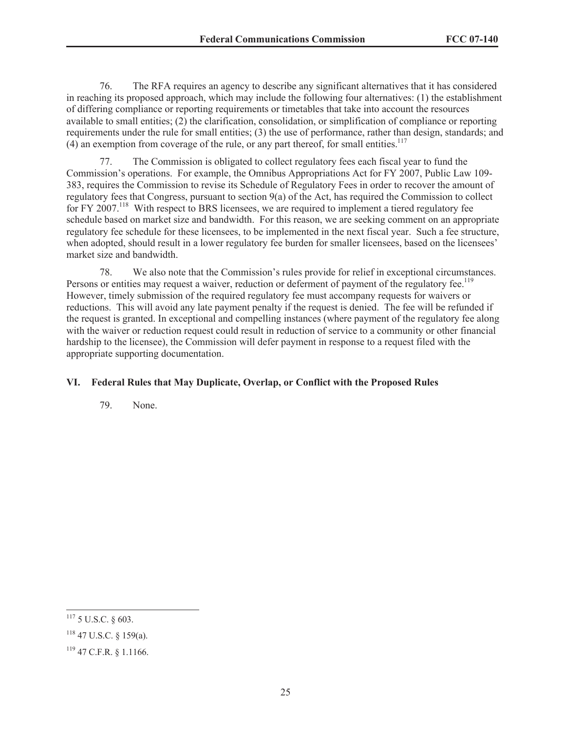76. The RFA requires an agency to describe any significant alternatives that it has considered in reaching its proposed approach, which may include the following four alternatives: (1) the establishment of differing compliance or reporting requirements or timetables that take into account the resources available to small entities; (2) the clarification, consolidation, or simplification of compliance or reporting requirements under the rule for small entities; (3) the use of performance, rather than design, standards; and  $(4)$  an exemption from coverage of the rule, or any part thereof, for small entities.<sup>117</sup>

77. The Commission is obligated to collect regulatory fees each fiscal year to fund the Commission's operations. For example, the Omnibus Appropriations Act for FY 2007, Public Law 109- 383, requires the Commission to revise its Schedule of Regulatory Fees in order to recover the amount of regulatory fees that Congress, pursuant to section 9(a) of the Act, has required the Commission to collect for FY 2007.<sup>118</sup> With respect to BRS licensees, we are required to implement a tiered regulatory fee schedule based on market size and bandwidth. For this reason, we are seeking comment on an appropriate regulatory fee schedule for these licensees, to be implemented in the next fiscal year. Such a fee structure, when adopted, should result in a lower regulatory fee burden for smaller licensees, based on the licensees' market size and bandwidth.

78. We also note that the Commission's rules provide for relief in exceptional circumstances. Persons or entities may request a waiver, reduction or deferment of payment of the regulatory fee.<sup>119</sup> However, timely submission of the required regulatory fee must accompany requests for waivers or reductions. This will avoid any late payment penalty if the request is denied. The fee will be refunded if the request is granted. In exceptional and compelling instances (where payment of the regulatory fee along with the waiver or reduction request could result in reduction of service to a community or other financial hardship to the licensee), the Commission will defer payment in response to a request filed with the appropriate supporting documentation.

## **VI. Federal Rules that May Duplicate, Overlap, or Conflict with the Proposed Rules**

79. None.

<sup>117</sup> 5 U.S.C. § 603.

 $118$  47 U.S.C. § 159(a).

<sup>119</sup> 47 C.F.R. § 1.1166.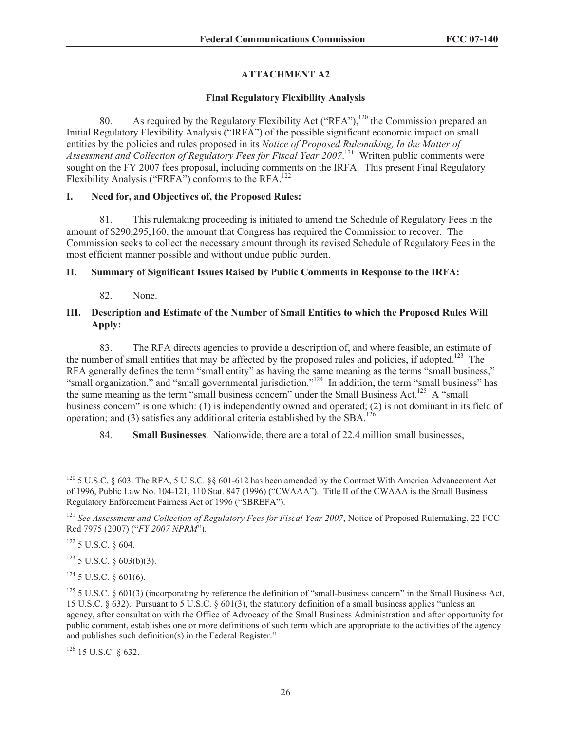# **ATTACHMENT A2**

## **Final Regulatory Flexibility Analysis**

80. As required by the Regulatory Flexibility Act ("RFA"),<sup>120</sup> the Commission prepared an Initial Regulatory Flexibility Analysis ("IRFA") of the possible significant economic impact on small entities by the policies and rules proposed in its *Notice of Proposed Rulemaking, In the Matter of Assessment and Collection of Regulatory Fees for Fiscal Year 2007*. <sup>121</sup> Written public comments were sought on the FY 2007 fees proposal, including comments on the IRFA. This present Final Regulatory Flexibility Analysis ("FRFA") conforms to the RFA.<sup>122</sup>

## **I. Need for, and Objectives of, the Proposed Rules:**

81. This rulemaking proceeding is initiated to amend the Schedule of Regulatory Fees in the amount of \$290,295,160, the amount that Congress has required the Commission to recover. The Commission seeks to collect the necessary amount through its revised Schedule of Regulatory Fees in the most efficient manner possible and without undue public burden.

## **II. Summary of Significant Issues Raised by Public Comments in Response to the IRFA:**

82. None.

## **III. Description and Estimate of the Number of Small Entities to which the Proposed Rules Will Apply:**

83. The RFA directs agencies to provide a description of, and where feasible, an estimate of the number of small entities that may be affected by the proposed rules and policies, if adopted.<sup>123</sup> The RFA generally defines the term "small entity" as having the same meaning as the terms "small business," "small organization," and "small governmental jurisdiction."<sup>124</sup> In addition, the term "small business" has the same meaning as the term "small business concern" under the Small Business Act.<sup>125</sup> A "small business concern" is one which: (1) is independently owned and operated; (2) is not dominant in its field of operation; and (3) satisfies any additional criteria established by the SBA.<sup>126</sup>

84. **Small Businesses**. Nationwide, there are a total of 22.4 million small businesses,

 $123$  5 U.S.C. § 603(b)(3).

 $124$  5 U.S.C. § 601(6).

 $126$  15 U.S.C.  $\&$  632.

<sup>&</sup>lt;sup>120</sup> 5 U.S.C. § 603. The RFA, 5 U.S.C. §§ 601-612 has been amended by the Contract With America Advancement Act of 1996, Public Law No. 104-121, 110 Stat. 847 (1996) ("CWAAA"). Title II of the CWAAA is the Small Business Regulatory Enforcement Fairness Act of 1996 ("SBREFA").

<sup>&</sup>lt;sup>121</sup> See Assessment and Collection of Regulatory Fees for Fiscal Year 2007, Notice of Proposed Rulemaking, 22 FCC Rcd 7975 (2007) ("*FY 2007 NPRM*").

<sup>122</sup> 5 U.S.C. § 604.

<sup>&</sup>lt;sup>125</sup> 5 U.S.C. § 601(3) (incorporating by reference the definition of "small-business concern" in the Small Business Act, 15 U.S.C. § 632). Pursuant to 5 U.S.C. § 601(3), the statutory definition of a small business applies "unless an agency, after consultation with the Office of Advocacy of the Small Business Administration and after opportunity for public comment, establishes one or more definitions of such term which are appropriate to the activities of the agency and publishes such definition(s) in the Federal Register."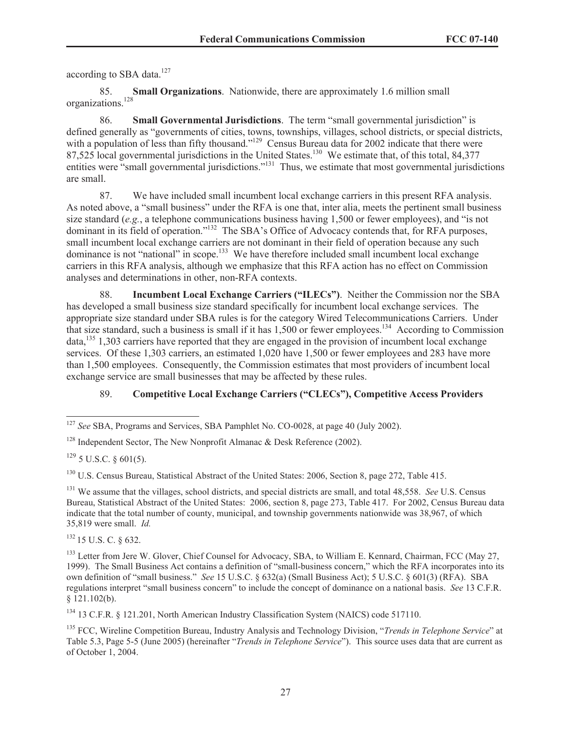according to SBA data.<sup>127</sup>

85. **Small Organizations**. Nationwide, there are approximately 1.6 million small organizations.<sup>128</sup>

86. **Small Governmental Jurisdictions**. The term "small governmental jurisdiction" is defined generally as "governments of cities, towns, townships, villages, school districts, or special districts, with a population of less than fifty thousand."<sup>129</sup> Census Bureau data for 2002 indicate that there were 87,525 local governmental jurisdictions in the United States.<sup>130</sup> We estimate that, of this total, 84,377 entities were "small governmental jurisdictions."<sup>131</sup> Thus, we estimate that most governmental jurisdictions are small.

87. We have included small incumbent local exchange carriers in this present RFA analysis. As noted above, a "small business" under the RFA is one that, inter alia, meets the pertinent small business size standard (*e.g.*, a telephone communications business having 1,500 or fewer employees), and "is not dominant in its field of operation."<sup>132</sup> The SBA's Office of Advocacy contends that, for RFA purposes, small incumbent local exchange carriers are not dominant in their field of operation because any such dominance is not "national" in scope.<sup>133</sup> We have therefore included small incumbent local exchange carriers in this RFA analysis, although we emphasize that this RFA action has no effect on Commission analyses and determinations in other, non-RFA contexts.

88. **Incumbent Local Exchange Carriers ("ILECs")**. Neither the Commission nor the SBA has developed a small business size standard specifically for incumbent local exchange services. The appropriate size standard under SBA rules is for the category Wired Telecommunications Carriers. Under that size standard, such a business is small if it has  $1,500$  or fewer employees.<sup>134</sup> According to Commission  $data$ <sup>135</sup>, 1,303 carriers have reported that they are engaged in the provision of incumbent local exchange services. Of these 1,303 carriers, an estimated 1,020 have 1,500 or fewer employees and 283 have more than 1,500 employees. Consequently, the Commission estimates that most providers of incumbent local exchange service are small businesses that may be affected by these rules.

# 89. **Competitive Local Exchange Carriers ("CLECs"), Competitive Access Providers**

<sup>132</sup> 15 U.S. C. § 632.

<sup>134</sup> 13 C.F.R. § 121.201, North American Industry Classification System (NAICS) code 517110.

<sup>127</sup> *See* SBA, Programs and Services, SBA Pamphlet No. CO-0028, at page 40 (July 2002).

<sup>&</sup>lt;sup>128</sup> Independent Sector, The New Nonprofit Almanac  $\&$  Desk Reference (2002).

 $129$  5 U.S.C. § 601(5).

<sup>&</sup>lt;sup>130</sup> U.S. Census Bureau, Statistical Abstract of the United States: 2006, Section 8, page 272, Table 415.

<sup>131</sup> We assume that the villages, school districts, and special districts are small, and total 48,558. *See* U.S. Census Bureau, Statistical Abstract of the United States: 2006, section 8, page 273, Table 417. For 2002, Census Bureau data indicate that the total number of county, municipal, and township governments nationwide was 38,967, of which 35,819 were small. *Id.*

<sup>&</sup>lt;sup>133</sup> Letter from Jere W. Glover, Chief Counsel for Advocacy, SBA, to William E. Kennard, Chairman, FCC (May 27, 1999). The Small Business Act contains a definition of "small-business concern," which the RFA incorporates into its own definition of "small business." *See* 15 U.S.C. § 632(a) (Small Business Act); 5 U.S.C. § 601(3) (RFA). SBA regulations interpret "small business concern" to include the concept of dominance on a national basis. *See* 13 C.F.R. § 121.102(b).

<sup>135</sup> FCC, Wireline Competition Bureau, Industry Analysis and Technology Division, "*Trends in Telephone Service*" at Table 5.3, Page 5-5 (June 2005) (hereinafter "*Trends in Telephone Service*"). This source uses data that are current as of October 1, 2004.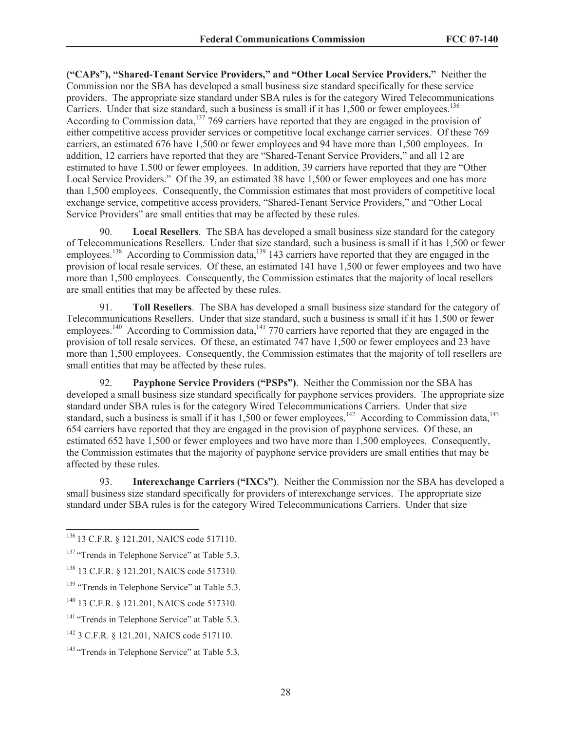**("CAPs"), "Shared-Tenant Service Providers," and "Other Local Service Providers."** Neither the Commission nor the SBA has developed a small business size standard specifically for these service providers. The appropriate size standard under SBA rules is for the category Wired Telecommunications Carriers. Under that size standard, such a business is small if it has 1,500 or fewer employees.<sup>136</sup> According to Commission data,<sup>137</sup> 769 carriers have reported that they are engaged in the provision of either competitive access provider services or competitive local exchange carrier services. Of these 769 carriers, an estimated 676 have 1,500 or fewer employees and 94 have more than 1,500 employees. In addition, 12 carriers have reported that they are "Shared-Tenant Service Providers," and all 12 are estimated to have 1.500 or fewer employees. In addition, 39 carriers have reported that they are "Other Local Service Providers." Of the 39, an estimated 38 have 1,500 or fewer employees and one has more than 1,500 employees. Consequently, the Commission estimates that most providers of competitive local exchange service, competitive access providers, "Shared-Tenant Service Providers," and "Other Local Service Providers" are small entities that may be affected by these rules.

90. **Local Resellers**. The SBA has developed a small business size standard for the category of Telecommunications Resellers. Under that size standard, such a business is small if it has 1,500 or fewer employees.<sup>138</sup> According to Commission data,<sup>139</sup> 143 carriers have reported that they are engaged in the provision of local resale services. Of these, an estimated 141 have 1,500 or fewer employees and two have more than 1,500 employees. Consequently, the Commission estimates that the majority of local resellers are small entities that may be affected by these rules.

91. **Toll Resellers**. The SBA has developed a small business size standard for the category of Telecommunications Resellers. Under that size standard, such a business is small if it has 1,500 or fewer employees.<sup>140</sup> According to Commission data,<sup>141</sup> 770 carriers have reported that they are engaged in the provision of toll resale services. Of these, an estimated 747 have 1,500 or fewer employees and 23 have more than 1,500 employees. Consequently, the Commission estimates that the majority of toll resellers are small entities that may be affected by these rules.

92. **Payphone Service Providers ("PSPs")**. Neither the Commission nor the SBA has developed a small business size standard specifically for payphone services providers. The appropriate size standard under SBA rules is for the category Wired Telecommunications Carriers. Under that size standard, such a business is small if it has  $1,500$  or fewer employees.<sup>142</sup> According to Commission data,<sup>143</sup> 654 carriers have reported that they are engaged in the provision of payphone services. Of these, an estimated 652 have 1,500 or fewer employees and two have more than 1,500 employees. Consequently, the Commission estimates that the majority of payphone service providers are small entities that may be affected by these rules.

93. **Interexchange Carriers ("IXCs")**. Neither the Commission nor the SBA has developed a small business size standard specifically for providers of interexchange services. The appropriate size standard under SBA rules is for the category Wired Telecommunications Carriers. Under that size

<sup>136</sup> 13 C.F.R. § 121.201, NAICS code 517110.

<sup>&</sup>lt;sup>137</sup> "Trends in Telephone Service" at Table 5.3.

<sup>138</sup> 13 C.F.R. § 121.201, NAICS code 517310.

<sup>&</sup>lt;sup>139</sup> "Trends in Telephone Service" at Table 5.3.

<sup>140</sup> 13 C.F.R. § 121.201, NAICS code 517310.

<sup>&</sup>lt;sup>141</sup> "Trends in Telephone Service" at Table 5.3.

<sup>142</sup> 3 C.F.R. § 121.201, NAICS code 517110.

<sup>&</sup>lt;sup>143</sup> "Trends in Telephone Service" at Table 5.3.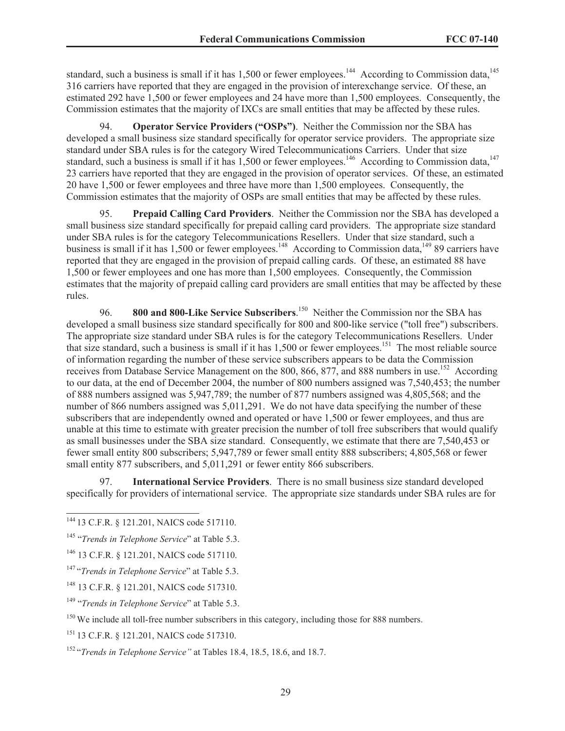standard, such a business is small if it has 1,500 or fewer employees.<sup>144</sup> According to Commission data,<sup>145</sup> 316 carriers have reported that they are engaged in the provision of interexchange service. Of these, an estimated 292 have 1,500 or fewer employees and 24 have more than 1,500 employees. Consequently, the Commission estimates that the majority of IXCs are small entities that may be affected by these rules.

94. **Operator Service Providers ("OSPs")**. Neither the Commission nor the SBA has developed a small business size standard specifically for operator service providers. The appropriate size standard under SBA rules is for the category Wired Telecommunications Carriers. Under that size standard, such a business is small if it has 1,500 or fewer employees.<sup>146</sup> According to Commission data,<sup>147</sup> 23 carriers have reported that they are engaged in the provision of operator services. Of these, an estimated 20 have 1,500 or fewer employees and three have more than 1,500 employees. Consequently, the Commission estimates that the majority of OSPs are small entities that may be affected by these rules.

95. **Prepaid Calling Card Providers**. Neither the Commission nor the SBA has developed a small business size standard specifically for prepaid calling card providers. The appropriate size standard under SBA rules is for the category Telecommunications Resellers. Under that size standard, such a business is small if it has 1,500 or fewer employees.<sup>148</sup> According to Commission data,<sup>149</sup> 89 carriers have reported that they are engaged in the provision of prepaid calling cards. Of these, an estimated 88 have 1,500 or fewer employees and one has more than 1,500 employees. Consequently, the Commission estimates that the majority of prepaid calling card providers are small entities that may be affected by these rules.

96. **800 and 800-Like Service Subscribers**. <sup>150</sup> Neither the Commission nor the SBA has developed a small business size standard specifically for 800 and 800-like service ("toll free") subscribers. The appropriate size standard under SBA rules is for the category Telecommunications Resellers. Under that size standard, such a business is small if it has 1,500 or fewer employees.<sup>151</sup> The most reliable source of information regarding the number of these service subscribers appears to be data the Commission receives from Database Service Management on the 800, 866, 877, and 888 numbers in use.<sup>152</sup> According to our data, at the end of December 2004, the number of 800 numbers assigned was 7,540,453; the number of 888 numbers assigned was 5,947,789; the number of 877 numbers assigned was 4,805,568; and the number of 866 numbers assigned was 5,011,291. We do not have data specifying the number of these subscribers that are independently owned and operated or have 1,500 or fewer employees, and thus are unable at this time to estimate with greater precision the number of toll free subscribers that would qualify as small businesses under the SBA size standard. Consequently, we estimate that there are 7,540,453 or fewer small entity 800 subscribers; 5,947,789 or fewer small entity 888 subscribers; 4,805,568 or fewer small entity 877 subscribers, and 5,011,291 or fewer entity 866 subscribers.

97. **International Service Providers**. There is no small business size standard developed specifically for providers of international service. The appropriate size standards under SBA rules are for

<sup>144</sup> 13 C.F.R. § 121.201, NAICS code 517110.

<sup>145</sup> "*Trends in Telephone Service*" at Table 5.3.

<sup>146</sup> 13 C.F.R. § 121.201, NAICS code 517110.

<sup>147</sup> "*Trends in Telephone Service*" at Table 5.3.

<sup>148</sup> 13 C.F.R. § 121.201, NAICS code 517310.

<sup>149</sup> "*Trends in Telephone Service*" at Table 5.3.

<sup>&</sup>lt;sup>150</sup> We include all toll-free number subscribers in this category, including those for 888 numbers.

<sup>151</sup> 13 C.F.R. § 121.201, NAICS code 517310.

<sup>152</sup> "*Trends in Telephone Service"* at Tables 18.4, 18.5, 18.6, and 18.7.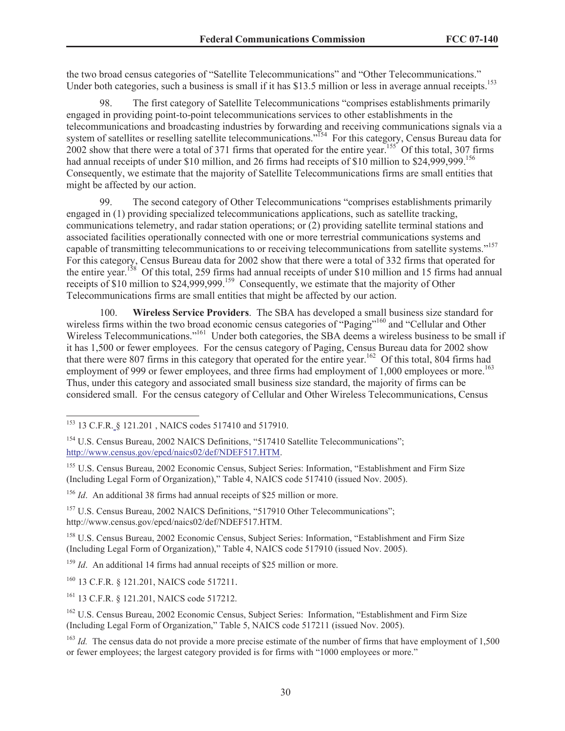the two broad census categories of "Satellite Telecommunications" and "Other Telecommunications." Under both categories, such a business is small if it has \$13.5 million or less in average annual receipts.<sup>153</sup>

98. The first category of Satellite Telecommunications "comprises establishments primarily engaged in providing point-to-point telecommunications services to other establishments in the telecommunications and broadcasting industries by forwarding and receiving communications signals via a system of satellites or reselling satellite telecommunications."<sup>154</sup> For this category, Census Bureau data for  $2002$  show that there were a total of 371 firms that operated for the entire year.<sup>155</sup> Of this total, 307 firms had annual receipts of under \$10 million, and 26 firms had receipts of \$10 million to \$24,999,999.<sup>156</sup> Consequently, we estimate that the majority of Satellite Telecommunications firms are small entities that might be affected by our action.

99. The second category of Other Telecommunications "comprises establishments primarily engaged in (1) providing specialized telecommunications applications, such as satellite tracking, communications telemetry, and radar station operations; or (2) providing satellite terminal stations and associated facilities operationally connected with one or more terrestrial communications systems and capable of transmitting telecommunications to or receiving telecommunications from satellite systems."<sup>157</sup> For this category, Census Bureau data for 2002 show that there were a total of 332 firms that operated for the entire year.<sup>158</sup> Of this total, 259 firms had annual receipts of under \$10 million and 15 firms had annual receipts of \$10 million to \$24,999,999.<sup>159</sup> Consequently, we estimate that the majority of Other Telecommunications firms are small entities that might be affected by our action.

100. **Wireless Service Providers**. The SBA has developed a small business size standard for wireless firms within the two broad economic census categories of "Paging"<sup>160</sup> and "Cellular and Other Wireless Telecommunications."<sup>161</sup> Under both categories, the SBA deems a wireless business to be small if it has 1,500 or fewer employees. For the census category of Paging, Census Bureau data for 2002 show that there were 807 firms in this category that operated for the entire year.<sup>162</sup> Of this total, 804 firms had employment of 999 or fewer employees, and three firms had employment of 1,000 employees or more.<sup>163</sup> Thus, under this category and associated small business size standard, the majority of firms can be considered small. For the census category of Cellular and Other Wireless Telecommunications, Census

<sup>153</sup> 13 C.F.R. § 121.201 , NAICS codes 517410 and 517910.

<sup>&</sup>lt;sup>154</sup> U.S. Census Bureau, 2002 NAICS Definitions, "517410 Satellite Telecommunications"; http://www.census.gov/epcd/naics02/def/NDEF517.HTM.

<sup>&</sup>lt;sup>155</sup> U.S. Census Bureau, 2002 Economic Census, Subject Series: Information, "Establishment and Firm Size (Including Legal Form of Organization)," Table 4, NAICS code 517410 (issued Nov. 2005).

<sup>156</sup> *Id*. An additional 38 firms had annual receipts of \$25 million or more.

<sup>&</sup>lt;sup>157</sup> U.S. Census Bureau, 2002 NAICS Definitions, "517910 Other Telecommunications"; http://www.census.gov/epcd/naics02/def/NDEF517.HTM.

<sup>158</sup> U.S. Census Bureau, 2002 Economic Census, Subject Series: Information, "Establishment and Firm Size (Including Legal Form of Organization)," Table 4, NAICS code 517910 (issued Nov. 2005).

<sup>&</sup>lt;sup>159</sup> *Id.* An additional 14 firms had annual receipts of \$25 million or more.

<sup>160</sup> 13 C.F.R. § 121.201, NAICS code 517211.

<sup>161</sup> 13 C.F.R. § 121.201, NAICS code 517212.

<sup>&</sup>lt;sup>162</sup> U.S. Census Bureau, 2002 Economic Census, Subject Series: Information, "Establishment and Firm Size (Including Legal Form of Organization," Table 5, NAICS code 517211 (issued Nov. 2005).

<sup>&</sup>lt;sup>163</sup> *Id.* The census data do not provide a more precise estimate of the number of firms that have employment of 1,500 or fewer employees; the largest category provided is for firms with "1000 employees or more."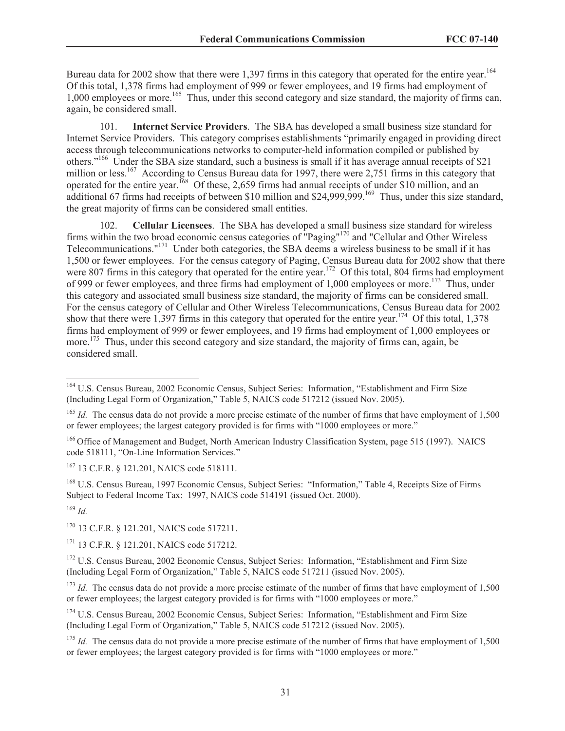Bureau data for 2002 show that there were 1,397 firms in this category that operated for the entire year.<sup>164</sup> Of this total, 1,378 firms had employment of 999 or fewer employees, and 19 firms had employment of 1,000 employees or more.<sup>165</sup> Thus, under this second category and size standard, the majority of firms can, again, be considered small.

101. **Internet Service Providers**. The SBA has developed a small business size standard for Internet Service Providers. This category comprises establishments "primarily engaged in providing direct access through telecommunications networks to computer-held information compiled or published by others."<sup>166</sup> Under the SBA size standard, such a business is small if it has average annual receipts of \$21 million or less.<sup>167</sup> According to Census Bureau data for 1997, there were 2,751 firms in this category that operated for the entire year.<sup>168</sup> Of these, 2,659 firms had annual receipts of under \$10 million, and an additional 67 firms had receipts of between \$10 million and \$24,999,999.<sup>169</sup> Thus, under this size standard, the great majority of firms can be considered small entities.

102. **Cellular Licensees**. The SBA has developed a small business size standard for wireless firms within the two broad economic census categories of "Paging"<sup>170</sup> and "Cellular and Other Wireless Telecommunications."<sup>171</sup> Under both categories, the SBA deems a wireless business to be small if it has 1,500 or fewer employees. For the census category of Paging, Census Bureau data for 2002 show that there were 807 firms in this category that operated for the entire year.<sup>172</sup> Of this total, 804 firms had employment of 999 or fewer employees, and three firms had employment of 1,000 employees or more.<sup>173</sup> Thus, under this category and associated small business size standard, the majority of firms can be considered small. For the census category of Cellular and Other Wireless Telecommunications, Census Bureau data for 2002 show that there were 1,397 firms in this category that operated for the entire year.<sup>174</sup> Of this total, 1,378 firms had employment of 999 or fewer employees, and 19 firms had employment of 1,000 employees or more.<sup>175</sup> Thus, under this second category and size standard, the majority of firms can, again, be considered small.

<sup>167</sup> 13 C.F.R. § 121.201, NAICS code 518111.

<sup>168</sup> U.S. Census Bureau, 1997 Economic Census, Subject Series: "Information," Table 4, Receipts Size of Firms Subject to Federal Income Tax: 1997, NAICS code 514191 (issued Oct. 2000).

<sup>169</sup> *Id.*

<sup>170</sup> 13 C.F.R. § 121.201, NAICS code 517211.

<sup>171</sup> 13 C.F.R. § 121.201, NAICS code 517212.

<sup>173</sup> *Id.* The census data do not provide a more precise estimate of the number of firms that have employment of 1,500 or fewer employees; the largest category provided is for firms with "1000 employees or more."

<sup>174</sup> U.S. Census Bureau, 2002 Economic Census, Subject Series: Information, "Establishment and Firm Size (Including Legal Form of Organization," Table 5, NAICS code 517212 (issued Nov. 2005).

<sup>175</sup> *Id.* The census data do not provide a more precise estimate of the number of firms that have employment of 1.500 or fewer employees; the largest category provided is for firms with "1000 employees or more."

<sup>164</sup> U.S. Census Bureau, 2002 Economic Census, Subject Series: Information, "Establishment and Firm Size (Including Legal Form of Organization," Table 5, NAICS code 517212 (issued Nov. 2005).

<sup>&</sup>lt;sup>165</sup> *Id.* The census data do not provide a more precise estimate of the number of firms that have employment of 1,500 or fewer employees; the largest category provided is for firms with "1000 employees or more."

<sup>&</sup>lt;sup>166</sup> Office of Management and Budget, North American Industry Classification System, page 515 (1997). NAICS code 518111, "On-Line Information Services."

<sup>&</sup>lt;sup>172</sup> U.S. Census Bureau, 2002 Economic Census, Subject Series: Information, "Establishment and Firm Size (Including Legal Form of Organization," Table 5, NAICS code 517211 (issued Nov. 2005).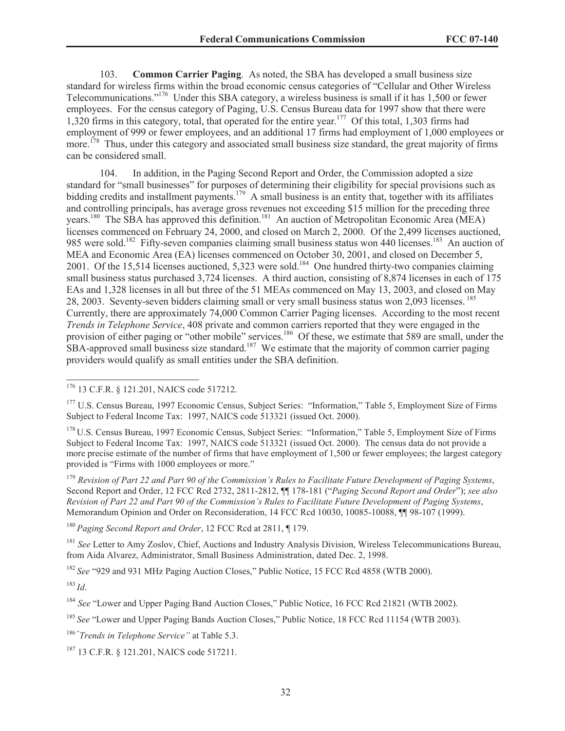103. **Common Carrier Paging**. As noted, the SBA has developed a small business size standard for wireless firms within the broad economic census categories of "Cellular and Other Wireless Telecommunications."<sup>176</sup> Under this SBA category, a wireless business is small if it has 1,500 or fewer employees. For the census category of Paging, U.S. Census Bureau data for 1997 show that there were 1,320 firms in this category, total, that operated for the entire year.<sup>177</sup> Of this total, 1,303 firms had employment of 999 or fewer employees, and an additional 17 firms had employment of 1,000 employees or more.<sup>178</sup> Thus, under this category and associated small business size standard, the great majority of firms can be considered small.

104. In addition, in the Paging Second Report and Order, the Commission adopted a size standard for "small businesses" for purposes of determining their eligibility for special provisions such as bidding credits and installment payments.<sup>179</sup> A small business is an entity that, together with its affiliates and controlling principals, has average gross revenues not exceeding \$15 million for the preceding three years.<sup>180</sup> The SBA has approved this definition.<sup>181</sup> An auction of Metropolitan Economic Area (MEA) licenses commenced on February 24, 2000, and closed on March 2, 2000. Of the 2,499 licenses auctioned, 985 were sold.<sup>182</sup> Fifty-seven companies claiming small business status won 440 licenses.<sup>183</sup> An auction of MEA and Economic Area (EA) licenses commenced on October 30, 2001, and closed on December 5, 2001. Of the 15,514 licenses auctioned, 5,323 were sold.<sup>184</sup> One hundred thirty-two companies claiming small business status purchased 3,724 licenses. A third auction, consisting of 8,874 licenses in each of 175 EAs and 1,328 licenses in all but three of the 51 MEAs commenced on May 13, 2003, and closed on May 28, 2003. Seventy-seven bidders claiming small or very small business status won 2,093 licenses. <sup>185</sup> Currently, there are approximately 74,000 Common Carrier Paging licenses. According to the most recent *Trends in Telephone Service*, 408 private and common carriers reported that they were engaged in the provision of either paging or "other mobile" services.<sup>186</sup> Of these, we estimate that 589 are small, under the  $SBA$ -approved small business size standard.<sup>187</sup> We estimate that the majority of common carrier paging providers would qualify as small entities under the SBA definition.

<sup>179</sup> *Revision of Part 22 and Part 90 of the Commission's Rules to Facilitate Future Development of Paging Systems*, Second Report and Order, 12 FCC Rcd 2732, 2811-2812, ¶¶ 178-181 ("*Paging Second Report and Order*"); *see also Revision of Part 22 and Part 90 of the Commission's Rules to Facilitate Future Development of Paging Systems*, Memorandum Opinion and Order on Reconsideration, 14 FCC Rcd 10030, 10085-10088, ¶¶ 98-107 (1999).

<sup>180</sup> *Paging Second Report and Order*, 12 FCC Rcd at 2811, ¶ 179.

<sup>181</sup> *See* Letter to Amy Zoslov, Chief, Auctions and Industry Analysis Division, Wireless Telecommunications Bureau, from Aida Alvarez, Administrator, Small Business Administration, dated Dec. 2, 1998.

<sup>182</sup> See "929 and 931 MHz Paging Auction Closes," Public Notice, 15 FCC Rcd 4858 (WTB 2000).

<sup>183</sup> *Id*.

<sup>176</sup> 13 C.F.R. § 121.201, NAICS code 517212.

<sup>&</sup>lt;sup>177</sup> U.S. Census Bureau, 1997 Economic Census, Subject Series: "Information," Table 5, Employment Size of Firms Subject to Federal Income Tax: 1997, NAICS code 513321 (issued Oct. 2000).

<sup>&</sup>lt;sup>178</sup> U.S. Census Bureau, 1997 Economic Census, Subject Series: "Information," Table 5, Employment Size of Firms Subject to Federal Income Tax: 1997, NAICS code 513321 (issued Oct. 2000). The census data do not provide a more precise estimate of the number of firms that have employment of 1,500 or fewer employees; the largest category provided is "Firms with 1000 employees or more."

<sup>184</sup> *See* "Lower and Upper Paging Band Auction Closes," Public Notice, 16 FCC Rcd 21821 (WTB 2002).

<sup>&</sup>lt;sup>185</sup> See "Lower and Upper Paging Bands Auction Closes," Public Notice, 18 FCC Rcd 11154 (WTB 2003).

<sup>186</sup> " *Trends in Telephone Service"* at Table 5.3.

<sup>187</sup> 13 C.F.R. § 121.201, NAICS code 517211.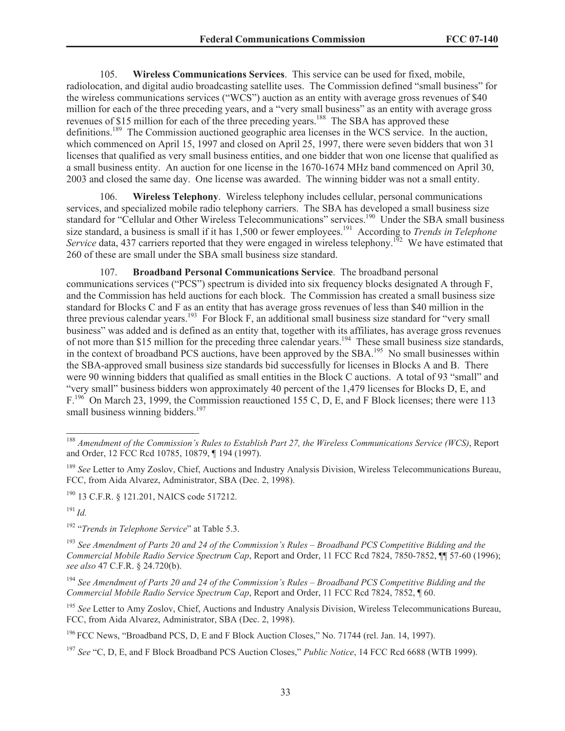105. **Wireless Communications Services**. This service can be used for fixed, mobile, radiolocation, and digital audio broadcasting satellite uses. The Commission defined "small business" for the wireless communications services ("WCS") auction as an entity with average gross revenues of \$40 million for each of the three preceding years, and a "very small business" as an entity with average gross revenues of \$15 million for each of the three preceding years.<sup>188</sup> The SBA has approved these definitions.<sup>189</sup> The Commission auctioned geographic area licenses in the WCS service. In the auction, which commenced on April 15, 1997 and closed on April 25, 1997, there were seven bidders that won 31 licenses that qualified as very small business entities, and one bidder that won one license that qualified as a small business entity. An auction for one license in the 1670-1674 MHz band commenced on April 30, 2003 and closed the same day. One license was awarded. The winning bidder was not a small entity.

106. **Wireless Telephony**. Wireless telephony includes cellular, personal communications services, and specialized mobile radio telephony carriers. The SBA has developed a small business size standard for "Cellular and Other Wireless Telecommunications" services.<sup>190</sup> Under the SBA small business size standard, a business is small if it has 1,500 or fewer employees.<sup>191</sup> According to *Trends in Telephone Service* data, 437 carriers reported that they were engaged in wireless telephony.<sup>192</sup> We have estimated that 260 of these are small under the SBA small business size standard.

107. **Broadband Personal Communications Service**. The broadband personal communications services ("PCS") spectrum is divided into six frequency blocks designated A through F, and the Commission has held auctions for each block. The Commission has created a small business size standard for Blocks C and F as an entity that has average gross revenues of less than \$40 million in the three previous calendar years.<sup>193</sup> For Block F, an additional small business size standard for "very small business" was added and is defined as an entity that, together with its affiliates, has average gross revenues of not more than \$15 million for the preceding three calendar years.<sup>194</sup> These small business size standards, in the context of broadband PCS auctions, have been approved by the SBA.<sup>195</sup> No small businesses within the SBA-approved small business size standards bid successfully for licenses in Blocks A and B. There were 90 winning bidders that qualified as small entities in the Block C auctions. A total of 93 "small" and "very small" business bidders won approximately 40 percent of the 1,479 licenses for Blocks D, E, and F.<sup>196</sup> On March 23, 1999, the Commission reauctioned 155 C, D, E, and F Block licenses; there were 113 small business winning bidders.<sup>197</sup>

<sup>191</sup> *Id.*

<sup>188</sup> *Amendment of the Commission's Rules to Establish Part 27, the Wireless Communications Service (WCS)*, Report and Order, 12 FCC Rcd 10785, 10879, ¶ 194 (1997).

<sup>189</sup> *See* Letter to Amy Zoslov, Chief, Auctions and Industry Analysis Division, Wireless Telecommunications Bureau, FCC, from Aida Alvarez, Administrator, SBA (Dec. 2, 1998).

<sup>&</sup>lt;sup>190</sup> 13 C.F.R. § 121.201, NAICS code 517212.

<sup>192</sup> "*Trends in Telephone Service*" at Table 5.3.

<sup>193</sup> *See Amendment of Parts 20 and 24 of the Commission's Rules – Broadband PCS Competitive Bidding and the Commercial Mobile Radio Service Spectrum Cap*, Report and Order, 11 FCC Rcd 7824, 7850-7852, ¶¶ 57-60 (1996); *see also* 47 C.F.R. § 24.720(b).

<sup>194</sup> *See Amendment of Parts 20 and 24 of the Commission's Rules – Broadband PCS Competitive Bidding and the Commercial Mobile Radio Service Spectrum Cap*, Report and Order, 11 FCC Rcd 7824, 7852, ¶ 60.

<sup>&</sup>lt;sup>195</sup> See Letter to Amy Zoslov, Chief, Auctions and Industry Analysis Division, Wireless Telecommunications Bureau, FCC, from Aida Alvarez, Administrator, SBA (Dec. 2, 1998).

<sup>196</sup> FCC News, "Broadband PCS, D, E and F Block Auction Closes," No. 71744 (rel. Jan. 14, 1997).

<sup>197</sup> *See* "C, D, E, and F Block Broadband PCS Auction Closes," *Public Notice*, 14 FCC Rcd 6688 (WTB 1999).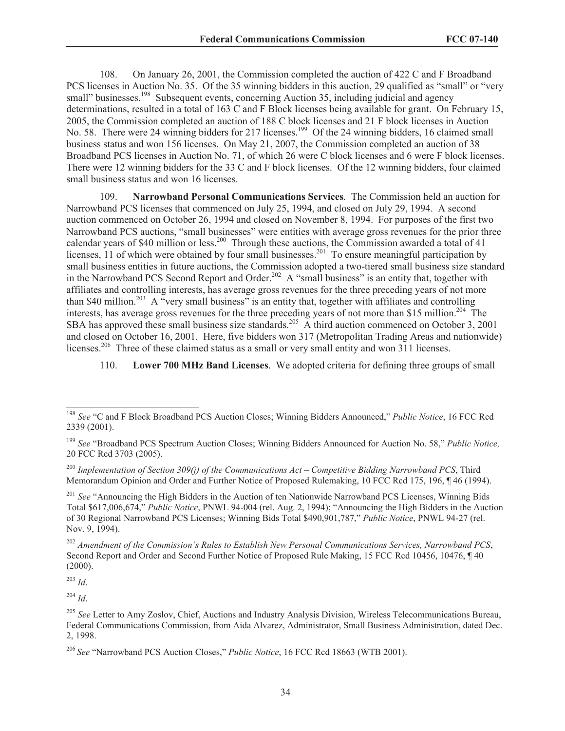108. On January 26, 2001, the Commission completed the auction of 422 C and F Broadband PCS licenses in Auction No. 35. Of the 35 winning bidders in this auction, 29 qualified as "small" or "very small" businesses.<sup>198</sup> Subsequent events, concerning Auction 35, including judicial and agency determinations, resulted in a total of 163 C and F Block licenses being available for grant. On February 15, 2005, the Commission completed an auction of 188 C block licenses and 21 F block licenses in Auction No. 58. There were 24 winning bidders for 217 licenses.<sup>199</sup> Of the 24 winning bidders, 16 claimed small business status and won 156 licenses. On May 21, 2007, the Commission completed an auction of 38 Broadband PCS licenses in Auction No. 71, of which 26 were C block licenses and 6 were F block licenses. There were 12 winning bidders for the 33 C and F block licenses. Of the 12 winning bidders, four claimed small business status and won 16 licenses.

109. **Narrowband Personal Communications Services**. The Commission held an auction for Narrowband PCS licenses that commenced on July 25, 1994, and closed on July 29, 1994. A second auction commenced on October 26, 1994 and closed on November 8, 1994. For purposes of the first two Narrowband PCS auctions, "small businesses" were entities with average gross revenues for the prior three calendar years of \$40 million or less.<sup>200</sup> Through these auctions, the Commission awarded a total of 41 licenses, 11 of which were obtained by four small businesses.<sup>201</sup> To ensure meaningful participation by small business entities in future auctions, the Commission adopted a two-tiered small business size standard in the Narrowband PCS Second Report and Order.<sup>202</sup> A "small business" is an entity that, together with affiliates and controlling interests, has average gross revenues for the three preceding years of not more than \$40 million.<sup>203</sup> A "very small business" is an entity that, together with affiliates and controlling interests, has average gross revenues for the three preceding years of not more than \$15 million.<sup>204</sup> The SBA has approved these small business size standards.<sup>205</sup> A third auction commenced on October 3, 2001 and closed on October 16, 2001. Here, five bidders won 317 (Metropolitan Trading Areas and nationwide) licenses.<sup>206</sup> Three of these claimed status as a small or very small entity and won 311 licenses.

110. **Lower 700 MHz Band Licenses**. We adopted criteria for defining three groups of small

<sup>203</sup> *Id*.

 $^{204}$  *Id.* 

<sup>198</sup> *See* "C and F Block Broadband PCS Auction Closes; Winning Bidders Announced," *Public Notice*, 16 FCC Rcd 2339 (2001).

<sup>199</sup> *See* "Broadband PCS Spectrum Auction Closes; Winning Bidders Announced for Auction No. 58," *Public Notice,*  20 FCC Rcd 3703 (2005).

<sup>200</sup> *Implementation of Section 309(j) of the Communications Act – Competitive Bidding Narrowband PCS*, Third Memorandum Opinion and Order and Further Notice of Proposed Rulemaking, 10 FCC Rcd 175, 196, ¶ 46 (1994).

<sup>&</sup>lt;sup>201</sup> *See* "Announcing the High Bidders in the Auction of ten Nationwide Narrowband PCS Licenses, Winning Bids Total \$617,006,674," *Public Notice*, PNWL 94-004 (rel. Aug. 2, 1994); "Announcing the High Bidders in the Auction of 30 Regional Narrowband PCS Licenses; Winning Bids Total \$490,901,787," *Public Notice*, PNWL 94-27 (rel. Nov. 9, 1994).

<sup>202</sup> *Amendment of the Commission's Rules to Establish New Personal Communications Services, Narrowband PCS*, Second Report and Order and Second Further Notice of Proposed Rule Making, 15 FCC Rcd 10456, 10476, ¶ 40 (2000).

<sup>205</sup> *See* Letter to Amy Zoslov, Chief, Auctions and Industry Analysis Division, Wireless Telecommunications Bureau, Federal Communications Commission, from Aida Alvarez, Administrator, Small Business Administration, dated Dec. 2, 1998.

<sup>206</sup> *See* "Narrowband PCS Auction Closes," *Public Notice*, 16 FCC Rcd 18663 (WTB 2001).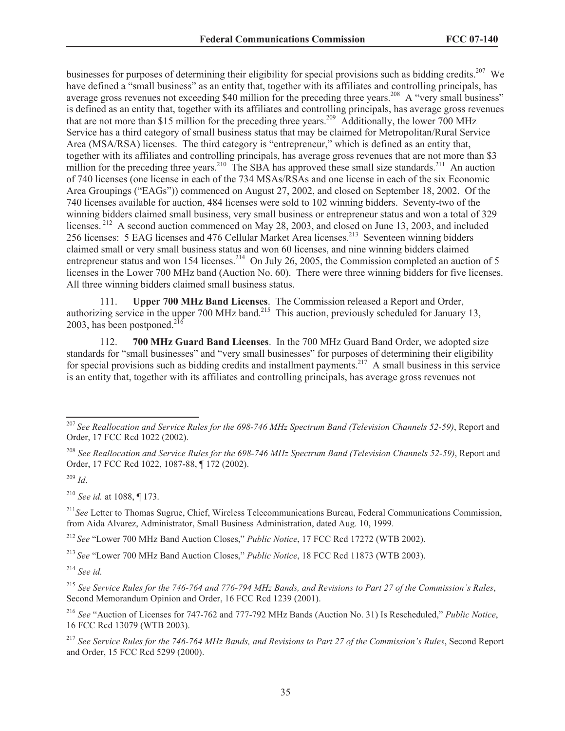businesses for purposes of determining their eligibility for special provisions such as bidding credits.<sup>207</sup> We have defined a "small business" as an entity that, together with its affiliates and controlling principals, has average gross revenues not exceeding \$40 million for the preceding three years.<sup>208</sup> A "very small business" is defined as an entity that, together with its affiliates and controlling principals, has average gross revenues that are not more than \$15 million for the preceding three years.<sup>209</sup> Additionally, the lower 700 MHz Service has a third category of small business status that may be claimed for Metropolitan/Rural Service Area (MSA/RSA) licenses. The third category is "entrepreneur," which is defined as an entity that, together with its affiliates and controlling principals, has average gross revenues that are not more than \$3 million for the preceding three years.<sup>210</sup> The SBA has approved these small size standards.<sup>211</sup> An auction of 740 licenses (one license in each of the 734 MSAs/RSAs and one license in each of the six Economic Area Groupings ("EAGs")) commenced on August 27, 2002, and closed on September 18, 2002. Of the 740 licenses available for auction, 484 licenses were sold to 102 winning bidders. Seventy-two of the winning bidders claimed small business, very small business or entrepreneur status and won a total of 329 licenses.<sup>212</sup> A second auction commenced on May 28, 2003, and closed on June 13, 2003, and included 256 licenses: 5 EAG licenses and 476 Cellular Market Area licenses.<sup>213</sup> Seventeen winning bidders claimed small or very small business status and won 60 licenses, and nine winning bidders claimed entrepreneur status and won 154 licenses.<sup>214</sup> On July 26, 2005, the Commission completed an auction of 5 licenses in the Lower 700 MHz band (Auction No. 60). There were three winning bidders for five licenses. All three winning bidders claimed small business status.

111. **Upper 700 MHz Band Licenses**. The Commission released a Report and Order, authorizing service in the upper 700 MHz band.<sup>215</sup> This auction, previously scheduled for January 13, 2003, has been postponed.<sup>216</sup>

112. **700 MHz Guard Band Licenses**. In the 700 MHz Guard Band Order, we adopted size standards for "small businesses" and "very small businesses" for purposes of determining their eligibility for special provisions such as bidding credits and installment payments.<sup>217</sup> A small business in this service is an entity that, together with its affiliates and controlling principals, has average gross revenues not

<sup>209</sup> *Id*.

<sup>210</sup> *See id.* at 1088, ¶ 173.

<sup>211</sup>*See* Letter to Thomas Sugrue, Chief, Wireless Telecommunications Bureau, Federal Communications Commission, from Aida Alvarez, Administrator, Small Business Administration, dated Aug. 10, 1999.

<sup>212</sup> *See* "Lower 700 MHz Band Auction Closes," *Public Notice*, 17 FCC Rcd 17272 (WTB 2002).

<sup>213</sup> *See* "Lower 700 MHz Band Auction Closes," *Public Notice*, 18 FCC Rcd 11873 (WTB 2003).

<sup>214</sup> *See id.*

<sup>215</sup> *See Service Rules for the 746-764 and 776-794 MHz Bands, and Revisions to Part 27 of the Commission's Rules*, Second Memorandum Opinion and Order, 16 FCC Rcd 1239 (2001).

<sup>216</sup> *See* "Auction of Licenses for 747-762 and 777-792 MHz Bands (Auction No. 31) Is Rescheduled," *Public Notice*, 16 FCC Rcd 13079 (WTB 2003).

<sup>217</sup> *See Service Rules for the 746-764 MHz Bands, and Revisions to Part 27 of the Commission's Rules*, Second Report and Order, 15 FCC Rcd 5299 (2000).

<sup>207</sup> *See Reallocation and Service Rules for the 698-746 MHz Spectrum Band (Television Channels 52-59)*, Report and Order, 17 FCC Rcd 1022 (2002).

<sup>208</sup> *See Reallocation and Service Rules for the 698-746 MHz Spectrum Band (Television Channels 52-59)*, Report and Order, 17 FCC Rcd 1022, 1087-88, ¶ 172 (2002).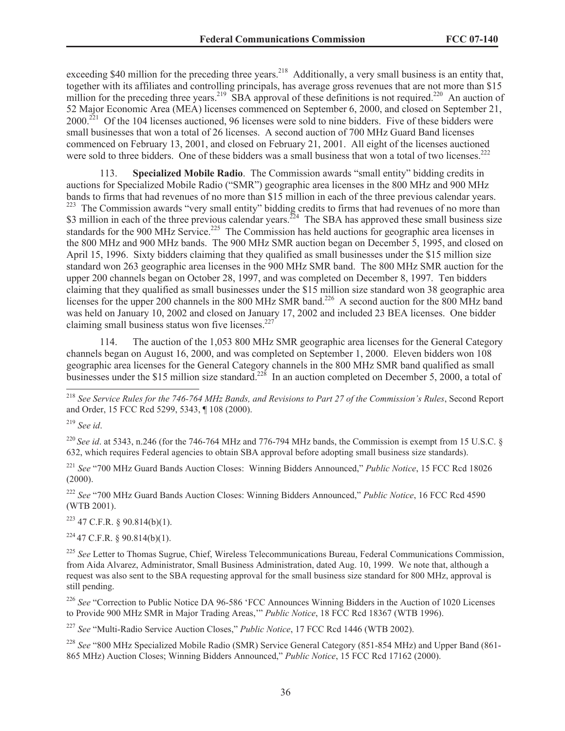exceeding \$40 million for the preceding three years.<sup>218</sup> Additionally, a very small business is an entity that, together with its affiliates and controlling principals, has average gross revenues that are not more than \$15 million for the preceding three years.<sup>219</sup> SBA approval of these definitions is not required.<sup>220</sup> An auction of 52 Major Economic Area (MEA) licenses commenced on September 6, 2000, and closed on September 21, 2000.<sup>221</sup> Of the 104 licenses auctioned, 96 licenses were sold to nine bidders. Five of these bidders were small businesses that won a total of 26 licenses. A second auction of 700 MHz Guard Band licenses commenced on February 13, 2001, and closed on February 21, 2001. All eight of the licenses auctioned were sold to three bidders. One of these bidders was a small business that won a total of two licenses.<sup>222</sup>

**Specialized Mobile Radio**. The Commission awards "small entity" bidding credits in auctions for Specialized Mobile Radio ("SMR") geographic area licenses in the 800 MHz and 900 MHz bands to firms that had revenues of no more than \$15 million in each of the three previous calendar years. <sup>223</sup> The Commission awards "very small entity" bidding credits to firms that had revenues of no more than \$3 million in each of the three previous calendar years.<sup>224</sup> The SBA has approved these small business size standards for the 900 MHz Service.<sup>225</sup> The Commission has held auctions for geographic area licenses in the 800 MHz and 900 MHz bands. The 900 MHz SMR auction began on December 5, 1995, and closed on April 15, 1996. Sixty bidders claiming that they qualified as small businesses under the \$15 million size standard won 263 geographic area licenses in the 900 MHz SMR band. The 800 MHz SMR auction for the upper 200 channels began on October 28, 1997, and was completed on December 8, 1997. Ten bidders claiming that they qualified as small businesses under the \$15 million size standard won 38 geographic area licenses for the upper 200 channels in the 800 MHz SMR band.<sup>226</sup> A second auction for the 800 MHz band was held on January 10, 2002 and closed on January 17, 2002 and included 23 BEA licenses. One bidder claiming small business status won five licenses. $227$ 

114. The auction of the 1,053 800 MHz SMR geographic area licenses for the General Category channels began on August 16, 2000, and was completed on September 1, 2000. Eleven bidders won 108 geographic area licenses for the General Category channels in the 800 MHz SMR band qualified as small businesses under the \$15 million size standard.<sup>228</sup> In an auction completed on December 5, 2000, a total of

<sup>220</sup> *See id.* at 5343, n.246 (for the 746-764 MHz and 776-794 MHz bands, the Commission is exempt from 15 U.S.C. § 632, which requires Federal agencies to obtain SBA approval before adopting small business size standards).

<sup>221</sup> *See* "700 MHz Guard Bands Auction Closes: Winning Bidders Announced," *Public Notice*, 15 FCC Rcd 18026  $(2000)$ .

<sup>222</sup> *See* "700 MHz Guard Bands Auction Closes: Winning Bidders Announced," *Public Notice*, 16 FCC Rcd 4590 (WTB 2001).

 $223$  47 C.F.R. § 90.814(b)(1).

 $224$  47 C.F.R. § 90.814(b)(1).

<sup>225</sup> *See* Letter to Thomas Sugrue, Chief, Wireless Telecommunications Bureau, Federal Communications Commission, from Aida Alvarez, Administrator, Small Business Administration, dated Aug. 10, 1999. We note that, although a request was also sent to the SBA requesting approval for the small business size standard for 800 MHz, approval is still pending.

<sup>226</sup> See "Correction to Public Notice DA 96-586 'FCC Announces Winning Bidders in the Auction of 1020 Licenses to Provide 900 MHz SMR in Major Trading Areas,'" *Public Notice*, 18 FCC Rcd 18367 (WTB 1996).

<sup>227</sup> *See* "Multi-Radio Service Auction Closes," *Public Notice*, 17 FCC Rcd 1446 (WTB 2002).

<sup>228</sup> *See* "800 MHz Specialized Mobile Radio (SMR) Service General Category (851-854 MHz) and Upper Band (861- 865 MHz) Auction Closes; Winning Bidders Announced," *Public Notice*, 15 FCC Rcd 17162 (2000).

<sup>218</sup> *See Service Rules for the 746-764 MHz Bands, and Revisions to Part 27 of the Commission's Rules*, Second Report and Order, 15 FCC Rcd 5299, 5343, ¶ 108 (2000).

<sup>219</sup> *See id*.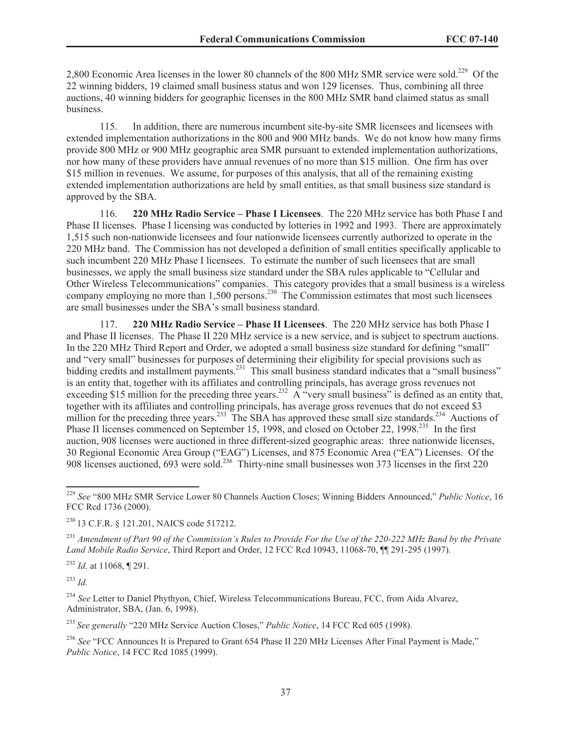2,800 Economic Area licenses in the lower 80 channels of the 800 MHz SMR service were sold.<sup>229</sup> Of the 22 winning bidders, 19 claimed small business status and won 129 licenses. Thus, combining all three auctions, 40 winning bidders for geographic licenses in the 800 MHz SMR band claimed status as small business.

115. In addition, there are numerous incumbent site-by-site SMR licensees and licensees with extended implementation authorizations in the 800 and 900 MHz bands. We do not know how many firms provide 800 MHz or 900 MHz geographic area SMR pursuant to extended implementation authorizations, nor how many of these providers have annual revenues of no more than \$15 million. One firm has over \$15 million in revenues. We assume, for purposes of this analysis, that all of the remaining existing extended implementation authorizations are held by small entities, as that small business size standard is approved by the SBA.

116. **220 MHz Radio Service – Phase I Licensees**. The 220 MHz service has both Phase I and Phase II licenses. Phase I licensing was conducted by lotteries in 1992 and 1993. There are approximately 1,515 such non-nationwide licensees and four nationwide licensees currently authorized to operate in the 220 MHz band. The Commission has not developed a definition of small entities specifically applicable to such incumbent 220 MHz Phase I licensees. To estimate the number of such licensees that are small businesses, we apply the small business size standard under the SBA rules applicable to "Cellular and Other Wireless Telecommunications" companies. This category provides that a small business is a wireless company employing no more than  $1,500$  persons.<sup>230</sup> The Commission estimates that most such licensees are small businesses under the SBA's small business standard.

117. **220 MHz Radio Service – Phase II Licensees**. The 220 MHz service has both Phase I and Phase II licenses. The Phase II 220 MHz service is a new service, and is subject to spectrum auctions. In the 220 MHz Third Report and Order, we adopted a small business size standard for defining "small" and "very small" businesses for purposes of determining their eligibility for special provisions such as bidding credits and installment payments.<sup>231</sup> This small business standard indicates that a "small business" is an entity that, together with its affiliates and controlling principals, has average gross revenues not exceeding \$15 million for the preceding three years.<sup>232</sup> A "very small business" is defined as an entity that, together with its affiliates and controlling principals, has average gross revenues that do not exceed \$3 million for the preceding three years.<sup>233</sup> The SBA has approved these small size standards.<sup>234</sup> Auctions of Phase II licenses commenced on September 15, 1998, and closed on October 22, 1998.<sup>235</sup> In the first auction, 908 licenses were auctioned in three different-sized geographic areas: three nationwide licenses, 30 Regional Economic Area Group ("EAG") Licenses, and 875 Economic Area ("EA") Licenses. Of the 908 licenses auctioned, 693 were sold.<sup>236</sup> Thirty-nine small businesses won 373 licenses in the first 220

<sup>231</sup> *Amendment of Part 90 of the Commission's Rules to Provide For the Use of the 220-222 MHz Band by the Private Land Mobile Radio Service*, Third Report and Order, 12 FCC Rcd 10943, 11068-70, ¶¶ 291-295 (1997).

<sup>232</sup> *Id.* at 11068, ¶ 291.

<sup>233</sup> *Id.*

<sup>234</sup> *See* Letter to Daniel Phythyon, Chief, Wireless Telecommunications Bureau, FCC, from Aida Alvarez, Administrator, SBA, (Jan. 6, 1998).

<sup>235</sup> *See generally* "220 MHz Service Auction Closes," *Public Notice*, 14 FCC Rcd 605 (1998).

<sup>236</sup> See "FCC Announces It is Prepared to Grant 654 Phase II 220 MHz Licenses After Final Payment is Made." *Public Notice*, 14 FCC Rcd 1085 (1999).

<sup>229</sup> *See* "800 MHz SMR Service Lower 80 Channels Auction Closes; Winning Bidders Announced," *Public Notice*, 16 FCC Rcd 1736 (2000).

<sup>230</sup> 13 C.F.R. § 121.201, NAICS code 517212.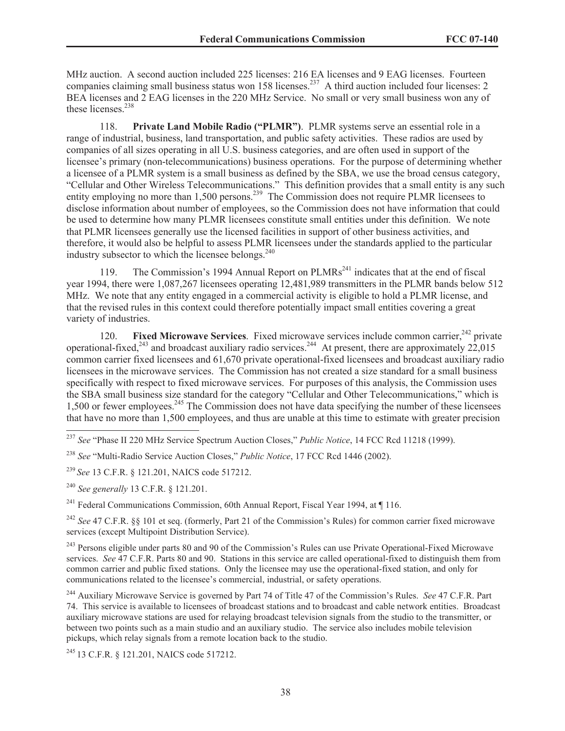MHz auction. A second auction included 225 licenses: 216 EA licenses and 9 EAG licenses. Fourteen companies claiming small business status won 158 licenses.<sup>237</sup> A third auction included four licenses: 2 BEA licenses and 2 EAG licenses in the 220 MHz Service. No small or very small business won any of these licenses.<sup>238</sup>

118. **Private Land Mobile Radio ("PLMR")**. PLMR systems serve an essential role in a range of industrial, business, land transportation, and public safety activities. These radios are used by companies of all sizes operating in all U.S. business categories, and are often used in support of the licensee's primary (non-telecommunications) business operations. For the purpose of determining whether a licensee of a PLMR system is a small business as defined by the SBA, we use the broad census category, "Cellular and Other Wireless Telecommunications." This definition provides that a small entity is any such entity employing no more than 1,500 persons.<sup>239</sup> The Commission does not require PLMR licensees to disclose information about number of employees, so the Commission does not have information that could be used to determine how many PLMR licensees constitute small entities under this definition. We note that PLMR licensees generally use the licensed facilities in support of other business activities, and therefore, it would also be helpful to assess PLMR licensees under the standards applied to the particular industry subsector to which the licensee belongs.<sup>240</sup>

119. The Commission's 1994 Annual Report on  $PLMRs<sup>241</sup>$  indicates that at the end of fiscal year 1994, there were 1,087,267 licensees operating 12,481,989 transmitters in the PLMR bands below 512 MHz. We note that any entity engaged in a commercial activity is eligible to hold a PLMR license, and that the revised rules in this context could therefore potentially impact small entities covering a great variety of industries.

120. **Fixed Microwave Services**. Fixed microwave services include common carrier,<sup>242</sup> private operational-fixed,<sup>243</sup> and broadcast auxiliary radio services.<sup>244</sup> At present, there are approximately  $22,015$ common carrier fixed licensees and 61,670 private operational-fixed licensees and broadcast auxiliary radio licensees in the microwave services. The Commission has not created a size standard for a small business specifically with respect to fixed microwave services. For purposes of this analysis, the Commission uses the SBA small business size standard for the category "Cellular and Other Telecommunications," which is 1,500 or fewer employees.<sup>245</sup> The Commission does not have data specifying the number of these licensees that have no more than 1,500 employees, and thus are unable at this time to estimate with greater precision

<sup>240</sup> *See generally* 13 C.F.R. § 121.201.

<sup>241</sup> Federal Communications Commission, 60th Annual Report, Fiscal Year 1994, at ¶ 116.

<sup>242</sup> *See* 47 C.F.R. §§ 101 et seq. (formerly, Part 21 of the Commission's Rules) for common carrier fixed microwave services (except Multipoint Distribution Service).

<sup>243</sup> Persons eligible under parts 80 and 90 of the Commission's Rules can use Private Operational-Fixed Microwave services. *See* 47 C.F.R. Parts 80 and 90. Stations in this service are called operational-fixed to distinguish them from common carrier and public fixed stations. Only the licensee may use the operational-fixed station, and only for communications related to the licensee's commercial, industrial, or safety operations.

<sup>244</sup> Auxiliary Microwave Service is governed by Part 74 of Title 47 of the Commission's Rules. *See* 47 C.F.R. Part 74. This service is available to licensees of broadcast stations and to broadcast and cable network entities. Broadcast auxiliary microwave stations are used for relaying broadcast television signals from the studio to the transmitter, or between two points such as a main studio and an auxiliary studio. The service also includes mobile television pickups, which relay signals from a remote location back to the studio.

<sup>245</sup> 13 C.F.R. § 121.201, NAICS code 517212.

<sup>237</sup> *See* "Phase II 220 MHz Service Spectrum Auction Closes," *Public Notice*, 14 FCC Rcd 11218 (1999).

<sup>238</sup> *See* "Multi-Radio Service Auction Closes," *Public Notice*, 17 FCC Rcd 1446 (2002).

<sup>239</sup> *See* 13 C.F.R. § 121.201, NAICS code 517212.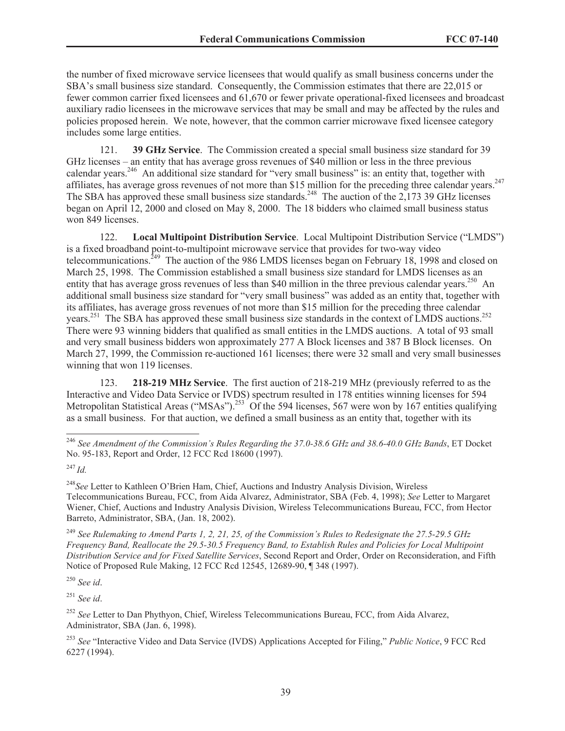the number of fixed microwave service licensees that would qualify as small business concerns under the SBA's small business size standard. Consequently, the Commission estimates that there are 22,015 or fewer common carrier fixed licensees and 61,670 or fewer private operational-fixed licensees and broadcast auxiliary radio licensees in the microwave services that may be small and may be affected by the rules and policies proposed herein. We note, however, that the common carrier microwave fixed licensee category includes some large entities.

121. **39 GHz Service**. The Commission created a special small business size standard for 39 GHz licenses – an entity that has average gross revenues of \$40 million or less in the three previous calendar years.<sup>246</sup> An additional size standard for "very small business" is: an entity that, together with affiliates, has average gross revenues of not more than \$15 million for the preceding three calendar vears.<sup>247</sup> The SBA has approved these small business size standards.<sup>248</sup> The auction of the 2,173 39 GHz licenses began on April 12, 2000 and closed on May 8, 2000. The 18 bidders who claimed small business status won 849 licenses.

122. **Local Multipoint Distribution Service**. Local Multipoint Distribution Service ("LMDS") is a fixed broadband point-to-multipoint microwave service that provides for two-way video telecommunications.<sup>249</sup> The auction of the 986 LMDS licenses began on February 18, 1998 and closed on March 25, 1998. The Commission established a small business size standard for LMDS licenses as an entity that has average gross revenues of less than \$40 million in the three previous calendar years.<sup>250</sup> An additional small business size standard for "very small business" was added as an entity that, together with its affiliates, has average gross revenues of not more than \$15 million for the preceding three calendar years.<sup>251</sup> The SBA has approved these small business size standards in the context of LMDS auctions.<sup>252</sup> There were 93 winning bidders that qualified as small entities in the LMDS auctions. A total of 93 small and very small business bidders won approximately 277 A Block licenses and 387 B Block licenses. On March 27, 1999, the Commission re-auctioned 161 licenses; there were 32 small and very small businesses winning that won 119 licenses.

123. **218-219 MHz Service**. The first auction of 218-219 MHz (previously referred to as the Interactive and Video Data Service or IVDS) spectrum resulted in 178 entities winning licenses for 594 Metropolitan Statistical Areas ("MSAs").<sup>253</sup> Of the 594 licenses, 567 were won by 167 entities qualifying as a small business. For that auction, we defined a small business as an entity that, together with its

<sup>249</sup> *See Rulemaking to Amend Parts 1, 2, 21, 25, of the Commission's Rules to Redesignate the 27.5-29.5 GHz Frequency Band, Reallocate the 29.5-30.5 Frequency Band, to Establish Rules and Policies for Local Multipoint Distribution Service and for Fixed Satellite Services*, Second Report and Order, Order on Reconsideration, and Fifth Notice of Proposed Rule Making, 12 FCC Rcd 12545, 12689-90, ¶ 348 (1997).

<sup>250</sup> *See id*.

<sup>251</sup> *See id*.

<sup>252</sup> *See* Letter to Dan Phythyon, Chief, Wireless Telecommunications Bureau, FCC, from Aida Alvarez, Administrator, SBA (Jan. 6, 1998).

<sup>246</sup> *See Amendment of the Commission's Rules Regarding the 37.0-38.6 GHz and 38.6-40.0 GHz Bands*, ET Docket No. 95-183, Report and Order, 12 FCC Rcd 18600 (1997).

<sup>247</sup> *Id.*

<sup>248</sup>*See* Letter to Kathleen O'Brien Ham, Chief, Auctions and Industry Analysis Division, Wireless Telecommunications Bureau, FCC, from Aida Alvarez, Administrator, SBA (Feb. 4, 1998); *See* Letter to Margaret Wiener, Chief, Auctions and Industry Analysis Division, Wireless Telecommunications Bureau, FCC, from Hector Barreto, Administrator, SBA, (Jan. 18, 2002).

<sup>253</sup> *See* "Interactive Video and Data Service (IVDS) Applications Accepted for Filing," *Public Notice*, 9 FCC Rcd 6227 (1994).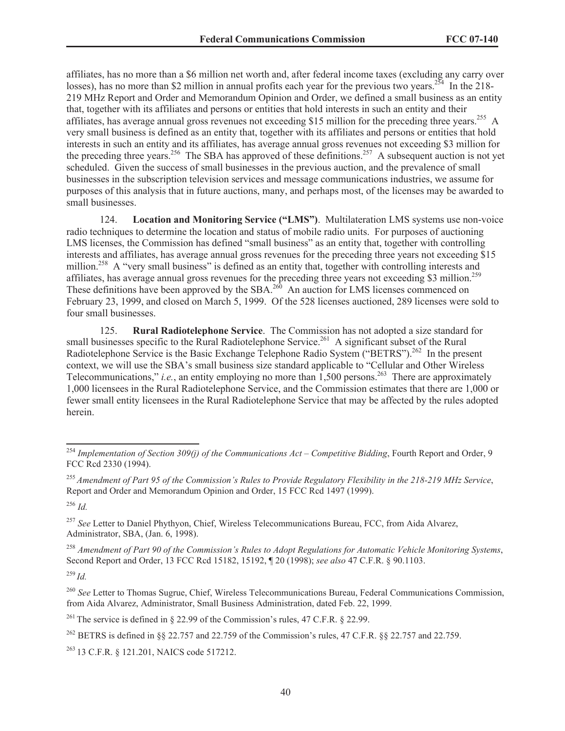affiliates, has no more than a \$6 million net worth and, after federal income taxes (excluding any carry over losses), has no more than \$2 million in annual profits each year for the previous two years.<sup>254</sup> In the 218-219 MHz Report and Order and Memorandum Opinion and Order, we defined a small business as an entity that, together with its affiliates and persons or entities that hold interests in such an entity and their affiliates, has average annual gross revenues not exceeding \$15 million for the preceding three years.<sup>255</sup> A very small business is defined as an entity that, together with its affiliates and persons or entities that hold interests in such an entity and its affiliates, has average annual gross revenues not exceeding \$3 million for the preceding three years.<sup>256</sup> The SBA has approved of these definitions.<sup>257</sup> A subsequent auction is not yet scheduled. Given the success of small businesses in the previous auction, and the prevalence of small businesses in the subscription television services and message communications industries, we assume for purposes of this analysis that in future auctions, many, and perhaps most, of the licenses may be awarded to small businesses.

124. **Location and Monitoring Service ("LMS")**. Multilateration LMS systems use non-voice radio techniques to determine the location and status of mobile radio units. For purposes of auctioning LMS licenses, the Commission has defined "small business" as an entity that, together with controlling interests and affiliates, has average annual gross revenues for the preceding three years not exceeding \$15 million.<sup>258</sup> A "very small business" is defined as an entity that, together with controlling interests and affiliates, has average annual gross revenues for the preceding three years not exceeding \$3 million.<sup>259</sup> These definitions have been approved by the SBA.<sup>260</sup> An auction for LMS licenses commenced on February 23, 1999, and closed on March 5, 1999. Of the 528 licenses auctioned, 289 licenses were sold to four small businesses.

125. **Rural Radiotelephone Service**. The Commission has not adopted a size standard for small businesses specific to the Rural Radiotelephone Service.<sup>261</sup> A significant subset of the Rural Radiotelephone Service is the Basic Exchange Telephone Radio System ("BETRS").<sup>262</sup> In the present context, we will use the SBA's small business size standard applicable to "Cellular and Other Wireless Telecommunications," *i.e.*, an entity employing no more than  $\overline{1,500}$  persons.<sup>263</sup> There are approximately 1,000 licensees in the Rural Radiotelephone Service, and the Commission estimates that there are 1,000 or fewer small entity licensees in the Rural Radiotelephone Service that may be affected by the rules adopted herein.

<sup>256</sup> *Id.*

<sup>257</sup> *See* Letter to Daniel Phythyon, Chief, Wireless Telecommunications Bureau, FCC, from Aida Alvarez, Administrator, SBA, (Jan. 6, 1998).

<sup>258</sup> *Amendment of Part 90 of the Commission's Rules to Adopt Regulations for Automatic Vehicle Monitoring Systems*, Second Report and Order, 13 FCC Rcd 15182, 15192, ¶ 20 (1998); *see also* 47 C.F.R. § 90.1103.

<sup>259</sup> *Id.*

<sup>261</sup> The service is defined in § 22.99 of the Commission's rules, 47 C.F.R. § 22.99.

<sup>262</sup> BETRS is defined in §§ 22.757 and 22.759 of the Commission's rules, 47 C.F.R. §§ 22.757 and 22.759.

<sup>263</sup> 13 C.F.R. § 121.201, NAICS code 517212.

<sup>254</sup> *Implementation of Section 309(j) of the Communications Act – Competitive Bidding*, Fourth Report and Order, 9 FCC Rcd 2330 (1994).

<sup>255</sup> *Amendment of Part 95 of the Commission's Rules to Provide Regulatory Flexibility in the 218-219 MHz Service*, Report and Order and Memorandum Opinion and Order, 15 FCC Rcd 1497 (1999).

<sup>260</sup> *See* Letter to Thomas Sugrue, Chief, Wireless Telecommunications Bureau, Federal Communications Commission, from Aida Alvarez, Administrator, Small Business Administration, dated Feb. 22, 1999.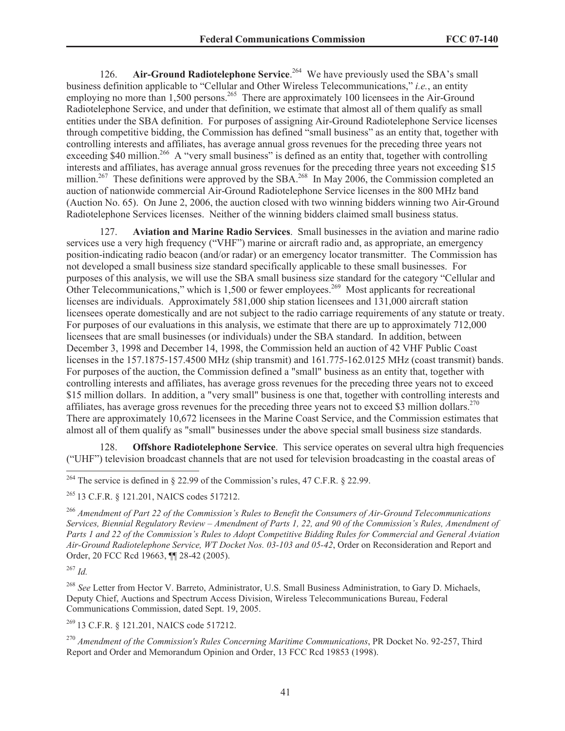126. **Air-Ground Radiotelephone Service**. <sup>264</sup> We have previously used the SBA's small business definition applicable to "Cellular and Other Wireless Telecommunications," *i.e.*, an entity employing no more than  $1,500$  persons.<sup>265</sup> There are approximately 100 licensees in the Air-Ground Radiotelephone Service, and under that definition, we estimate that almost all of them qualify as small entities under the SBA definition. For purposes of assigning Air-Ground Radiotelephone Service licenses through competitive bidding, the Commission has defined "small business" as an entity that, together with controlling interests and affiliates, has average annual gross revenues for the preceding three years not exceeding \$40 million.<sup>266</sup> A "very small business" is defined as an entity that, together with controlling interests and affiliates, has average annual gross revenues for the preceding three years not exceeding \$15 million.<sup>267</sup> These definitions were approved by the SBA.<sup>268</sup> In May 2006, the Commission completed an auction of nationwide commercial Air-Ground Radiotelephone Service licenses in the 800 MHz band (Auction No. 65). On June 2, 2006, the auction closed with two winning bidders winning two Air-Ground Radiotelephone Services licenses. Neither of the winning bidders claimed small business status.

127. **Aviation and Marine Radio Services**. Small businesses in the aviation and marine radio services use a very high frequency ("VHF") marine or aircraft radio and, as appropriate, an emergency position-indicating radio beacon (and/or radar) or an emergency locator transmitter. The Commission has not developed a small business size standard specifically applicable to these small businesses. For purposes of this analysis, we will use the SBA small business size standard for the category "Cellular and Other Telecommunications," which is 1,500 or fewer employees.<sup>269</sup> Most applicants for recreational licenses are individuals. Approximately 581,000 ship station licensees and 131,000 aircraft station licensees operate domestically and are not subject to the radio carriage requirements of any statute or treaty. For purposes of our evaluations in this analysis, we estimate that there are up to approximately 712,000 licensees that are small businesses (or individuals) under the SBA standard. In addition, between December 3, 1998 and December 14, 1998, the Commission held an auction of 42 VHF Public Coast licenses in the 157.1875-157.4500 MHz (ship transmit) and 161.775-162.0125 MHz (coast transmit) bands. For purposes of the auction, the Commission defined a "small" business as an entity that, together with controlling interests and affiliates, has average gross revenues for the preceding three years not to exceed \$15 million dollars. In addition, a "very small" business is one that, together with controlling interests and affiliates, has average gross revenues for the preceding three years not to exceed \$3 million dollars.<sup>270</sup> There are approximately 10,672 licensees in the Marine Coast Service, and the Commission estimates that almost all of them qualify as "small" businesses under the above special small business size standards.

128. **Offshore Radiotelephone Service**. This service operates on several ultra high frequencies ("UHF") television broadcast channels that are not used for television broadcasting in the coastal areas of

<sup>265</sup> 13 C.F.R. § 121.201, NAICS codes 517212.

<sup>266</sup> *Amendment of Part 22 of the Commission's Rules to Benefit the Consumers of Air-Ground Telecommunications Services, Biennial Regulatory Review – Amendment of Parts 1, 22, and 90 of the Commission's Rules, Amendment of Parts 1 and 22 of the Commission's Rules to Adopt Competitive Bidding Rules for Commercial and General Aviation Air-Ground Radiotelephone Service, WT Docket Nos. 03-103 and 05-42*, Order on Reconsideration and Report and Order, 20 FCC Rcd 19663, ¶¶ 28-42 (2005).

<sup>267</sup> *Id.*

<sup>268</sup> *See* Letter from Hector V. Barreto, Administrator, U.S. Small Business Administration, to Gary D. Michaels, Deputy Chief, Auctions and Spectrum Access Division, Wireless Telecommunications Bureau, Federal Communications Commission, dated Sept. 19, 2005.

<sup>269</sup> 13 C.F.R. § 121.201, NAICS code 517212.

<sup>270</sup> *Amendment of the Commission's Rules Concerning Maritime Communications*, PR Docket No. 92-257, Third Report and Order and Memorandum Opinion and Order, 13 FCC Rcd 19853 (1998).

<sup>&</sup>lt;sup>264</sup> The service is defined in § 22.99 of the Commission's rules, 47 C.F.R. § 22.99.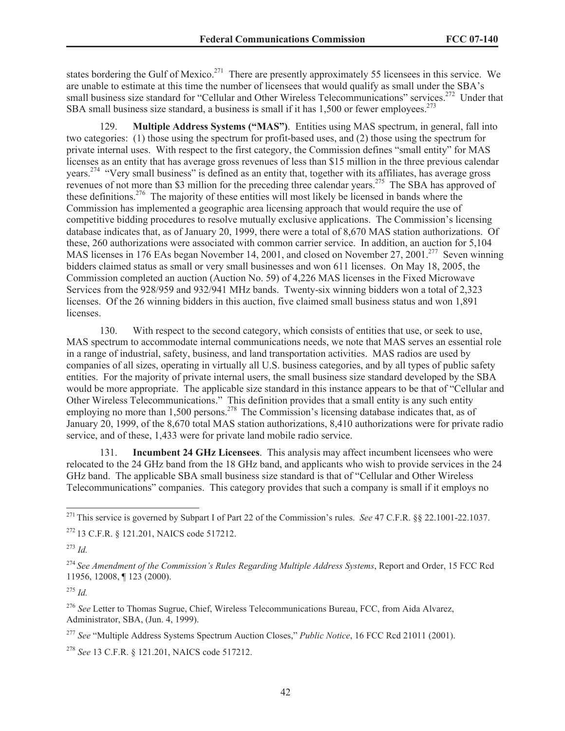states bordering the Gulf of Mexico.<sup>271</sup> There are presently approximately 55 licensees in this service. We are unable to estimate at this time the number of licensees that would qualify as small under the SBA's small business size standard for "Cellular and Other Wireless Telecommunications" services.<sup>272</sup> Under that SBA small business size standard, a business is small if it has  $1,500$  or fewer employees.<sup>273</sup>

129. **Multiple Address Systems ("MAS")**. Entities using MAS spectrum, in general, fall into two categories: (1) those using the spectrum for profit-based uses, and (2) those using the spectrum for private internal uses. With respect to the first category, the Commission defines "small entity" for MAS licenses as an entity that has average gross revenues of less than \$15 million in the three previous calendar years.<sup>274</sup> "Very small business" is defined as an entity that, together with its affiliates, has average gross revenues of not more than \$3 million for the preceding three calendar years.<sup>275</sup> The SBA has approved of these definitions.<sup>276</sup> The majority of these entities will most likely be licensed in bands where the Commission has implemented a geographic area licensing approach that would require the use of competitive bidding procedures to resolve mutually exclusive applications. The Commission's licensing database indicates that, as of January 20, 1999, there were a total of 8,670 MAS station authorizations. Of these, 260 authorizations were associated with common carrier service. In addition, an auction for 5,104 MAS licenses in 176 EAs began November 14, 2001, and closed on November 27, 2001.<sup>277</sup> Seven winning bidders claimed status as small or very small businesses and won 611 licenses. On May 18, 2005, the Commission completed an auction (Auction No. 59) of 4,226 MAS licenses in the Fixed Microwave Services from the 928/959 and 932/941 MHz bands. Twenty-six winning bidders won a total of 2,323 licenses. Of the 26 winning bidders in this auction, five claimed small business status and won 1,891 licenses.

130. With respect to the second category, which consists of entities that use, or seek to use, MAS spectrum to accommodate internal communications needs, we note that MAS serves an essential role in a range of industrial, safety, business, and land transportation activities. MAS radios are used by companies of all sizes, operating in virtually all U.S. business categories, and by all types of public safety entities. For the majority of private internal users, the small business size standard developed by the SBA would be more appropriate. The applicable size standard in this instance appears to be that of "Cellular and Other Wireless Telecommunications." This definition provides that a small entity is any such entity employing no more than 1,500 persons.<sup>278</sup> The Commission's licensing database indicates that, as of January 20, 1999, of the 8,670 total MAS station authorizations, 8,410 authorizations were for private radio service, and of these, 1,433 were for private land mobile radio service.

131. **Incumbent 24 GHz Licensees**. This analysis may affect incumbent licensees who were relocated to the 24 GHz band from the 18 GHz band, and applicants who wish to provide services in the 24 GHz band. The applicable SBA small business size standard is that of "Cellular and Other Wireless Telecommunications" companies. This category provides that such a company is small if it employs no

<sup>273</sup> *Id.*

<sup>275</sup> *Id.*

<sup>271</sup> This service is governed by Subpart I of Part 22 of the Commission's rules. *See* 47 C.F.R. §§ 22.1001-22.1037.

<sup>272</sup> 13 C.F.R. § 121.201, NAICS code 517212.

<sup>274</sup> *See Amendment of the Commission's Rules Regarding Multiple Address Systems*, Report and Order, 15 FCC Rcd 11956, 12008, ¶ 123 (2000).

<sup>276</sup> *See* Letter to Thomas Sugrue, Chief, Wireless Telecommunications Bureau, FCC, from Aida Alvarez, Administrator, SBA, (Jun. 4, 1999).

<sup>277</sup> *See* "Multiple Address Systems Spectrum Auction Closes," *Public Notice*, 16 FCC Rcd 21011 (2001).

<sup>278</sup> *See* 13 C.F.R. § 121.201, NAICS code 517212.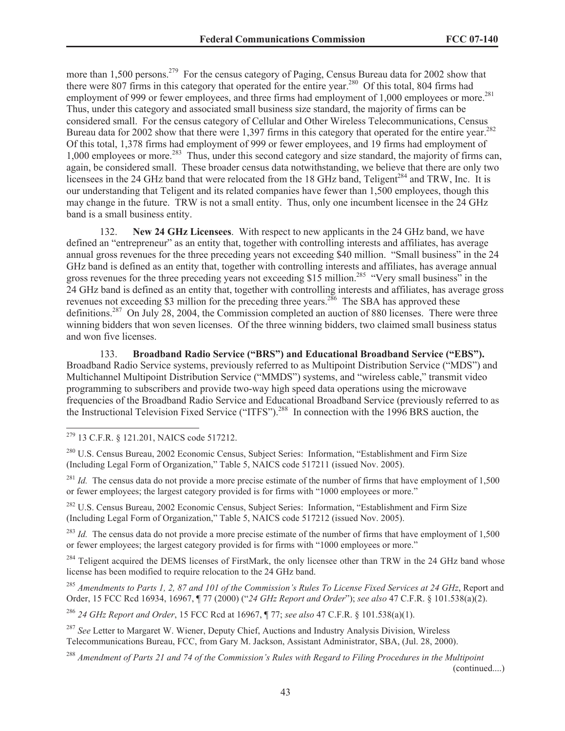more than 1,500 persons.<sup>279</sup> For the census category of Paging, Census Bureau data for 2002 show that there were 807 firms in this category that operated for the entire year.<sup>280</sup> Of this total, 804 firms had employment of 999 or fewer employees, and three firms had employment of 1,000 employees or more.<sup>281</sup> Thus, under this category and associated small business size standard, the majority of firms can be considered small. For the census category of Cellular and Other Wireless Telecommunications, Census Bureau data for 2002 show that there were 1,397 firms in this category that operated for the entire year.<sup>282</sup> Of this total, 1,378 firms had employment of 999 or fewer employees, and 19 firms had employment of 1,000 employees or more.<sup>283</sup> Thus, under this second category and size standard, the majority of firms can, again, be considered small. These broader census data notwithstanding, we believe that there are only two licensees in the 24 GHz band that were relocated from the 18 GHz band, Teligent<sup>284</sup> and TRW, Inc. It is our understanding that Teligent and its related companies have fewer than 1,500 employees, though this may change in the future. TRW is not a small entity. Thus, only one incumbent licensee in the 24 GHz band is a small business entity.

132. **New 24 GHz Licensees**. With respect to new applicants in the 24 GHz band, we have defined an "entrepreneur" as an entity that, together with controlling interests and affiliates, has average annual gross revenues for the three preceding years not exceeding \$40 million. "Small business" in the 24 GHz band is defined as an entity that, together with controlling interests and affiliates, has average annual gross revenues for the three preceding years not exceeding \$15 million.<sup>285</sup> "Very small business" in the 24 GHz band is defined as an entity that, together with controlling interests and affiliates, has average gross revenues not exceeding \$3 million for the preceding three years.<sup>286</sup> The SBA has approved these definitions.<sup>287</sup> On July 28, 2004, the Commission completed an auction of 880 licenses. There were three winning bidders that won seven licenses. Of the three winning bidders, two claimed small business status and won five licenses.

133. **Broadband Radio Service ("BRS") and Educational Broadband Service ("EBS").** Broadband Radio Service systems, previously referred to as Multipoint Distribution Service ("MDS") and Multichannel Multipoint Distribution Service ("MMDS") systems, and "wireless cable," transmit video programming to subscribers and provide two-way high speed data operations using the microwave frequencies of the Broadband Radio Service and Educational Broadband Service (previously referred to as the Instructional Television Fixed Service ("ITFS").<sup>288</sup> In connection with the 1996 BRS auction, the

<sup>281</sup> *Id.* The census data do not provide a more precise estimate of the number of firms that have employment of 1,500 or fewer employees; the largest category provided is for firms with "1000 employees or more."

<sup>282</sup> U.S. Census Bureau, 2002 Economic Census, Subject Series: Information, "Establishment and Firm Size (Including Legal Form of Organization," Table 5, NAICS code 517212 (issued Nov. 2005).

<sup>283</sup> *Id.* The census data do not provide a more precise estimate of the number of firms that have employment of 1,500 or fewer employees; the largest category provided is for firms with "1000 employees or more."

<sup>284</sup> Teligent acquired the DEMS licenses of FirstMark, the only licensee other than TRW in the 24 GHz band whose license has been modified to require relocation to the 24 GHz band.

<sup>285</sup> *Amendments to Parts 1, 2, 87 and 101 of the Commission's Rules To License Fixed Services at 24 GHz*, Report and Order, 15 FCC Rcd 16934, 16967, ¶ 77 (2000) ("*24 GHz Report and Order*"); *see also* 47 C.F.R. § 101.538(a)(2).

<sup>286</sup> *24 GHz Report and Order*, 15 FCC Rcd at 16967, ¶ 77; *see also* 47 C.F.R. § 101.538(a)(1).

<sup>287</sup> *See* Letter to Margaret W. Wiener, Deputy Chief, Auctions and Industry Analysis Division, Wireless Telecommunications Bureau, FCC, from Gary M. Jackson, Assistant Administrator, SBA, (Jul. 28, 2000).

<sup>288</sup> *Amendment of Parts 21 and 74 of the Commission's Rules with Regard to Filing Procedures in the Multipoint* 

(continued....)

<sup>279</sup> 13 C.F.R. § 121.201, NAICS code 517212.

<sup>&</sup>lt;sup>280</sup> U.S. Census Bureau, 2002 Economic Census, Subject Series: Information, "Establishment and Firm Size (Including Legal Form of Organization," Table 5, NAICS code 517211 (issued Nov. 2005).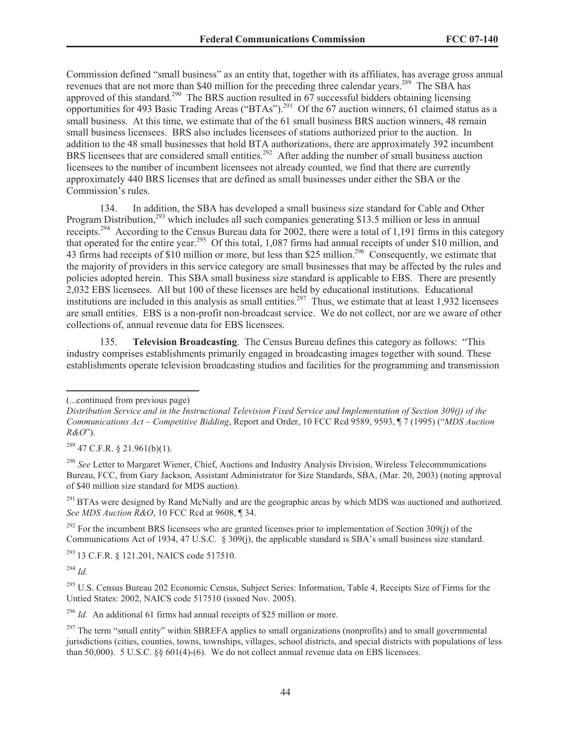Commission defined "small business" as an entity that, together with its affiliates, has average gross annual revenues that are not more than \$40 million for the preceding three calendar years.<sup>289</sup> The SBA has approved of this standard.<sup>290</sup> The BRS auction resulted in  $67$  successful bidders obtaining licensing opportunities for 493 Basic Trading Areas ("BTAs").<sup>291</sup> Of the 67 auction winners, 61 claimed status as a small business. At this time, we estimate that of the 61 small business BRS auction winners, 48 remain small business licensees. BRS also includes licensees of stations authorized prior to the auction. In addition to the 48 small businesses that hold BTA authorizations, there are approximately 392 incumbent BRS licensees that are considered small entities.<sup>292</sup> After adding the number of small business auction licensees to the number of incumbent licensees not already counted, we find that there are currently approximately 440 BRS licenses that are defined as small businesses under either the SBA or the Commission's rules.

134. In addition, the SBA has developed a small business size standard for Cable and Other Program Distribution,<sup>293</sup> which includes all such companies generating \$13.5 million or less in annual receipts.<sup>294</sup> According to the Census Bureau data for 2002, there were a total of 1,191 firms in this category that operated for the entire year.<sup>295</sup> Of this total, 1,087 firms had annual receipts of under \$10 million, and 43 firms had receipts of \$10 million or more, but less than \$25 million.<sup>296</sup> Consequently, we estimate that the majority of providers in this service category are small businesses that may be affected by the rules and policies adopted herein. This SBA small business size standard is applicable to EBS. There are presently 2,032 EBS licensees. All but 100 of these licenses are held by educational institutions. Educational institutions are included in this analysis as small entities.<sup>297</sup> Thus, we estimate that at least 1,932 licensees are small entities. EBS is a non-profit non-broadcast service. We do not collect, nor are we aware of other collections of, annual revenue data for EBS licensees.

135. **Television Broadcasting**. The Census Bureau defines this category as follows: "This industry comprises establishments primarily engaged in broadcasting images together with sound. These establishments operate television broadcasting studios and facilities for the programming and transmission

 $^{289}$  47 C.F.R. § 21.961(b)(1).

<sup>290</sup> See Letter to Margaret Wiener, Chief, Auctions and Industry Analysis Division, Wireless Telecommunications Bureau, FCC, from Gary Jackson, Assistant Administrator for Size Standards, SBA, (Mar. 20, 2003) (noting approval of \$40 million size standard for MDS auction).

<sup>291</sup> BTAs were designed by Rand McNally and are the geographic areas by which MDS was auctioned and authorized. *See MDS Auction R&O*, 10 FCC Rcd at 9608, ¶ 34.

<sup>292</sup> For the incumbent BRS licensees who are granted licenses prior to implementation of Section 309(j) of the Communications Act of 1934, 47 U.S.C. § 309(j), the applicable standard is SBA's small business size standard.

<sup>293</sup> 13 C.F.R. § 121.201, NAICS code 517510.

<sup>294</sup> *Id.*

<sup>295</sup> U.S. Census Bureau 202 Economic Census, Subject Series: Information, Table 4, Receipts Size of Firms for the Untied States: 2002, NAICS code 517510 (issued Nov. 2005).

<sup>296</sup> *Id.* An additional 61 firms had annual receipts of \$25 million or more.

<sup>(...</sup>continued from previous page)

*Distribution Service and in the Instructional Television Fixed Service and Implementation of Section 309(j) of the Communications Act – Competitive Bidding*, Report and Order, 10 FCC Rcd 9589, 9593, ¶ 7 (1995) ("*MDS Auction R&O*").

 $^{297}$  The term "small entity" within SBREFA applies to small organizations (nonprofits) and to small governmental jurisdictions (cities, counties, towns, townships, villages, school districts, and special districts with populations of less than 50,000). 5 U.S.C. §§ 601(4)-(6). We do not collect annual revenue data on EBS licensees.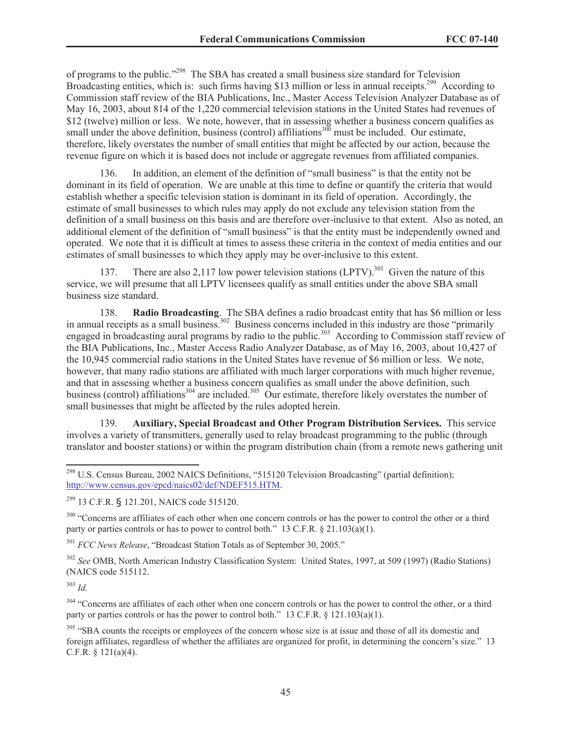of programs to the public."<sup>298</sup> The SBA has created a small business size standard for Television Broadcasting entities, which is: such firms having \$13 million or less in annual receipts.<sup>299</sup> According to Commission staff review of the BIA Publications, Inc., Master Access Television Analyzer Database as of May 16, 2003, about 814 of the 1,220 commercial television stations in the United States had revenues of \$12 (twelve) million or less. We note, however, that in assessing whether a business concern qualifies as small under the above definition, business (control) affiliations<sup>300</sup> must be included. Our estimate, therefore, likely overstates the number of small entities that might be affected by our action, because the revenue figure on which it is based does not include or aggregate revenues from affiliated companies.

In addition, an element of the definition of "small business" is that the entity not be dominant in its field of operation. We are unable at this time to define or quantify the criteria that would establish whether a specific television station is dominant in its field of operation. Accordingly, the estimate of small businesses to which rules may apply do not exclude any television station from the definition of a small business on this basis and are therefore over-inclusive to that extent. Also as noted, an additional element of the definition of "small business" is that the entity must be independently owned and operated. We note that it is difficult at times to assess these criteria in the context of media entities and our estimates of small businesses to which they apply may be over-inclusive to this extent.

137. There are also 2,117 low power television stations  $(LPTV)$ <sup>301</sup> Given the nature of this service, we will presume that all LPTV licensees qualify as small entities under the above SBA small business size standard.

138. **Radio Broadcasting**. The SBA defines a radio broadcast entity that has \$6 million or less in annual receipts as a small business.<sup>302</sup> Business concerns included in this industry are those "primarily" engaged in broadcasting aural programs by radio to the public.<sup>303</sup> According to Commission staff review of the BIA Publications, Inc., Master Access Radio Analyzer Database, as of May 16, 2003, about 10,427 of the 10,945 commercial radio stations in the United States have revenue of \$6 million or less. We note, however, that many radio stations are affiliated with much larger corporations with much higher revenue, and that in assessing whether a business concern qualifies as small under the above definition, such business (control) affiliations<sup>304</sup> are included.<sup>305</sup> Our estimate, therefore likely overstates the number of small businesses that might be affected by the rules adopted herein.

139. **Auxiliary, Special Broadcast and Other Program Distribution Services.** This service involves a variety of transmitters, generally used to relay broadcast programming to the public (through translator and booster stations) or within the program distribution chain (from a remote news gathering unit

<sup>300</sup> "Concerns are affiliates of each other when one concern controls or has the power to control the other or a third party or parties controls or has to power to control both." 13 C.F.R.  $\S 21.103(a)(1)$ .

<sup>301</sup> *FCC News Release*, "Broadcast Station Totals as of September 30, 2005."

<sup>302</sup> *See* OMB, North American Industry Classification System: United States, 1997, at 509 (1997) (Radio Stations) (NAICS code 515112.

<sup>303</sup> *Id.*

<sup>304</sup> "Concerns are affiliates of each other when one concern controls or has the power to control the other, or a third party or parties controls or has the power to control both." 13 C.F.R.  $\S$  121.103(a)(1).

<sup>305</sup> "SBA counts the receipts or employees of the concern whose size is at issue and those of all its domestic and foreign affiliates, regardless of whether the affiliates are organized for profit, in determining the concern's size." 13 C.F.R. § 121(a)(4).

<sup>&</sup>lt;sup>298</sup> U.S. Census Bureau, 2002 NAICS Definitions, "515120 Television Broadcasting" (partial definition); http://www.census.gov/epcd/naics02/def/NDEF515.HTM.

<sup>299</sup> 13 C.F.R. § 121.201, NAICS code 515120.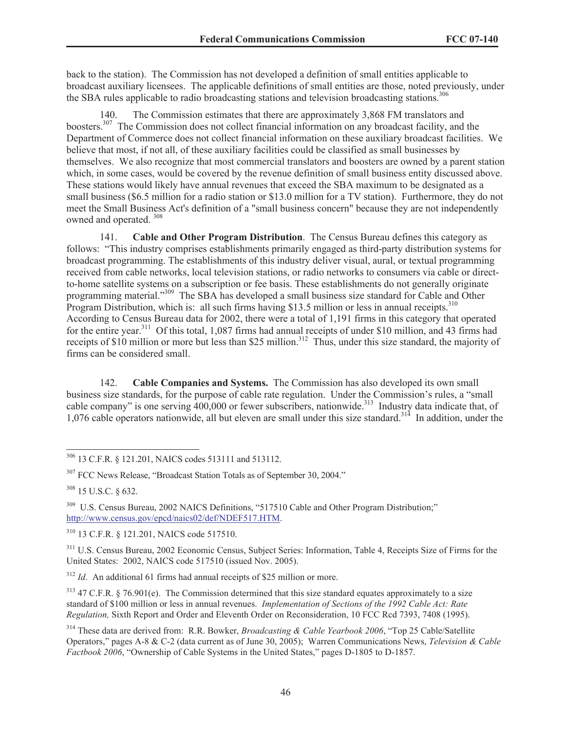back to the station). The Commission has not developed a definition of small entities applicable to broadcast auxiliary licensees. The applicable definitions of small entities are those, noted previously, under the SBA rules applicable to radio broadcasting stations and television broadcasting stations.<sup>306</sup>

The Commission estimates that there are approximately 3,868 FM translators and boosters.<sup>307</sup> The Commission does not collect financial information on any broadcast facility, and the Department of Commerce does not collect financial information on these auxiliary broadcast facilities. We believe that most, if not all, of these auxiliary facilities could be classified as small businesses by themselves. We also recognize that most commercial translators and boosters are owned by a parent station which, in some cases, would be covered by the revenue definition of small business entity discussed above. These stations would likely have annual revenues that exceed the SBA maximum to be designated as a small business (\$6.5 million for a radio station or \$13.0 million for a TV station). Furthermore, they do not meet the Small Business Act's definition of a "small business concern" because they are not independently owned and operated. <sup>308</sup>

141. **Cable and Other Program Distribution**. The Census Bureau defines this category as follows: "This industry comprises establishments primarily engaged as third-party distribution systems for broadcast programming. The establishments of this industry deliver visual, aural, or textual programming received from cable networks, local television stations, or radio networks to consumers via cable or directto-home satellite systems on a subscription or fee basis. These establishments do not generally originate programming material."<sup>309</sup> The SBA has developed a small business size standard for Cable and Other Program Distribution, which is: all such firms having \$13.5 million or less in annual receipts.  $310$ According to Census Bureau data for 2002, there were a total of 1,191 firms in this category that operated for the entire year.<sup>311</sup> Of this total, 1,087 firms had annual receipts of under \$10 million, and 43 firms had receipts of \$10 million or more but less than \$25 million.<sup>312</sup> Thus, under this size standard, the majority of firms can be considered small.

142. **Cable Companies and Systems.** The Commission has also developed its own small business size standards, for the purpose of cable rate regulation. Under the Commission's rules, a "small cable company" is one serving 400,000 or fewer subscribers, nationwide.<sup>313</sup> Industry data indicate that, of 1,076 cable operators nationwide, all but eleven are small under this size standard.<sup>314</sup> In addition, under the

<sup>310</sup> 13 C.F.R. § 121.201, NAICS code 517510.

<sup>311</sup> U.S. Census Bureau, 2002 Economic Census, Subject Series: Information, Table 4, Receipts Size of Firms for the United States: 2002, NAICS code 517510 (issued Nov. 2005).

<sup>312</sup> *Id.* An additional 61 firms had annual receipts of \$25 million or more.

 $313$  47 C.F.R. § 76.901(e). The Commission determined that this size standard equates approximately to a size standard of \$100 million or less in annual revenues. *Implementation of Sections of the 1992 Cable Act: Rate Regulation,* Sixth Report and Order and Eleventh Order on Reconsideration, 10 FCC Rcd 7393, 7408 (1995).

<sup>314</sup> These data are derived from: R.R. Bowker, *Broadcasting & Cable Yearbook 2006*, "Top 25 Cable/Satellite Operators," pages A-8 & C-2 (data current as of June 30, 2005); Warren Communications News, *Television & Cable Factbook 2006*, "Ownership of Cable Systems in the United States," pages D-1805 to D-1857.

<sup>306</sup> 13 C.F.R. § 121.201, NAICS codes 513111 and 513112.

<sup>307</sup> FCC News Release, "Broadcast Station Totals as of September 30, 2004."

<sup>308</sup> 15 U.S.C. § 632.

<sup>&</sup>lt;sup>309</sup> U.S. Census Bureau, 2002 NAICS Definitions, "517510 Cable and Other Program Distribution;" http://www.census.gov/epcd/naics02/def/NDEF517.HTM.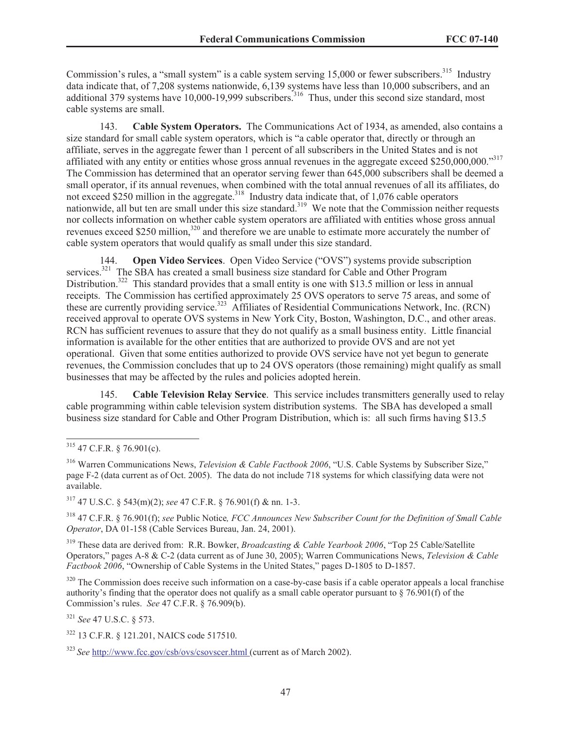Commission's rules, a "small system" is a cable system serving 15,000 or fewer subscribers.<sup>315</sup> Industry data indicate that, of 7,208 systems nationwide, 6,139 systems have less than 10,000 subscribers, and an additional 379 systems have 10,000-19,999 subscribers.<sup>316</sup> Thus, under this second size standard, most cable systems are small.

143. **Cable System Operators.** The Communications Act of 1934, as amended, also contains a size standard for small cable system operators, which is "a cable operator that, directly or through an affiliate, serves in the aggregate fewer than 1 percent of all subscribers in the United States and is not affiliated with any entity or entities whose gross annual revenues in the aggregate exceed \$250,000,000."<sup>317</sup> The Commission has determined that an operator serving fewer than 645,000 subscribers shall be deemed a small operator, if its annual revenues, when combined with the total annual revenues of all its affiliates, do not exceed \$250 million in the aggregate.<sup>318</sup> Industry data indicate that, of 1,076 cable operators nationwide, all but ten are small under this size standard.<sup>319</sup> We note that the Commission neither requests nor collects information on whether cable system operators are affiliated with entities whose gross annual revenues exceed \$250 million,<sup>320</sup> and therefore we are unable to estimate more accurately the number of cable system operators that would qualify as small under this size standard.

144. **Open Video Services**. Open Video Service ("OVS") systems provide subscription services.<sup>321</sup> The SBA has created a small business size standard for Cable and Other Program Distribution.<sup>322</sup> This standard provides that a small entity is one with \$13.5 million or less in annual receipts. The Commission has certified approximately 25 OVS operators to serve 75 areas, and some of these are currently providing service.<sup>323</sup> Affiliates of Residential Communications Network, Inc. (RCN) received approval to operate OVS systems in New York City, Boston, Washington, D.C., and other areas. RCN has sufficient revenues to assure that they do not qualify as a small business entity. Little financial information is available for the other entities that are authorized to provide OVS and are not yet operational. Given that some entities authorized to provide OVS service have not yet begun to generate revenues, the Commission concludes that up to 24 OVS operators (those remaining) might qualify as small businesses that may be affected by the rules and policies adopted herein.

145. **Cable Television Relay Service**. This service includes transmitters generally used to relay cable programming within cable television system distribution systems. The SBA has developed a small business size standard for Cable and Other Program Distribution, which is: all such firms having \$13.5

<sup>317</sup> 47 U.S.C. § 543(m)(2); *see* 47 C.F.R. § 76.901(f) & nn. 1-3.

<sup>318</sup> 47 C.F.R. § 76.901(f); *see* Public Notice*, FCC Announces New Subscriber Count for the Definition of Small Cable Operator*, DA 01-158 (Cable Services Bureau, Jan. 24, 2001).

<sup>319</sup> These data are derived from: R.R. Bowker, *Broadcasting & Cable Yearbook 2006*, "Top 25 Cable/Satellite Operators," pages A-8 & C-2 (data current as of June 30, 2005); Warren Communications News, *Television & Cable Factbook 2006*, "Ownership of Cable Systems in the United States," pages D-1805 to D-1857.

 $320$  The Commission does receive such information on a case-by-case basis if a cable operator appeals a local franchise authority's finding that the operator does not qualify as a small cable operator pursuant to § 76.901(f) of the Commission's rules. *See* 47 C.F.R. § 76.909(b).

<sup>321</sup> *See* 47 U.S.C. § 573.

<sup>322</sup> 13 C.F.R. § 121.201, NAICS code 517510.

<sup>323</sup> *See* http://www.fcc.gov/csb/ovs/csovscer.html (current as of March 2002).

 $315$  47 C.F.R. § 76.901(c).

<sup>316</sup> Warren Communications News, *Television & Cable Factbook 2006*, "U.S. Cable Systems by Subscriber Size," page F-2 (data current as of Oct. 2005). The data do not include 718 systems for which classifying data were not available.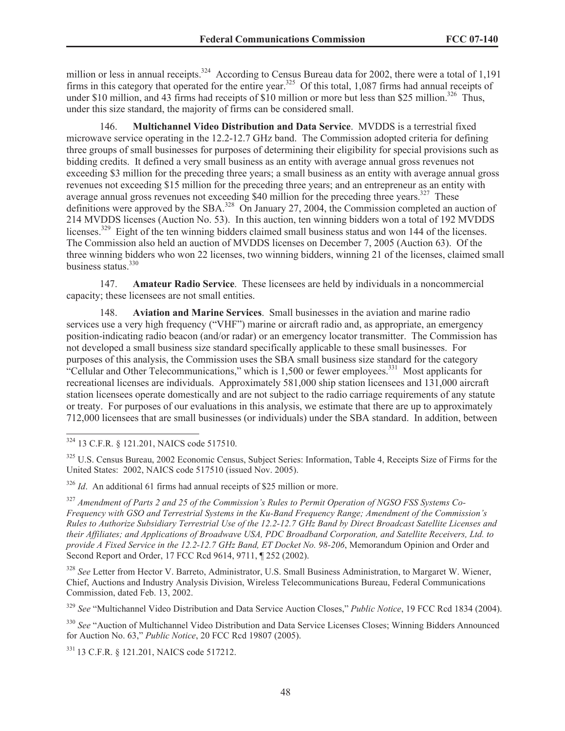million or less in annual receipts.<sup>324</sup> According to Census Bureau data for 2002, there were a total of 1,191 firms in this category that operated for the entire year.<sup>325</sup> Of this total, 1,087 firms had annual receipts of under \$10 million, and 43 firms had receipts of \$10 million or more but less than \$25 million.<sup>326</sup> Thus, under this size standard, the majority of firms can be considered small.

146. **Multichannel Video Distribution and Data Service**. MVDDS is a terrestrial fixed microwave service operating in the 12.2-12.7 GHz band. The Commission adopted criteria for defining three groups of small businesses for purposes of determining their eligibility for special provisions such as bidding credits. It defined a very small business as an entity with average annual gross revenues not exceeding \$3 million for the preceding three years; a small business as an entity with average annual gross revenues not exceeding \$15 million for the preceding three years; and an entrepreneur as an entity with average annual gross revenues not exceeding \$40 million for the preceding three years.<sup>327</sup> These definitions were approved by the SBA.<sup>328</sup> On January 27, 2004, the Commission completed an auction of 214 MVDDS licenses (Auction No. 53). In this auction, ten winning bidders won a total of 192 MVDDS licenses.<sup>329</sup> Eight of the ten winning bidders claimed small business status and won 144 of the licenses. The Commission also held an auction of MVDDS licenses on December 7, 2005 (Auction 63). Of the three winning bidders who won 22 licenses, two winning bidders, winning 21 of the licenses, claimed small business status.<sup>330</sup>

147. **Amateur Radio Service**. These licensees are held by individuals in a noncommercial capacity; these licensees are not small entities.

148. **Aviation and Marine Services**. Small businesses in the aviation and marine radio services use a very high frequency ("VHF") marine or aircraft radio and, as appropriate, an emergency position-indicating radio beacon (and/or radar) or an emergency locator transmitter. The Commission has not developed a small business size standard specifically applicable to these small businesses. For purposes of this analysis, the Commission uses the SBA small business size standard for the category "Cellular and Other Telecommunications," which is  $1,500$  or fewer employees.<sup>331</sup> Most applicants for recreational licenses are individuals. Approximately 581,000 ship station licensees and 131,000 aircraft station licensees operate domestically and are not subject to the radio carriage requirements of any statute or treaty. For purposes of our evaluations in this analysis, we estimate that there are up to approximately 712,000 licensees that are small businesses (or individuals) under the SBA standard. In addition, between

<sup>324</sup> 13 C.F.R. § 121.201, NAICS code 517510.

<sup>325</sup> U.S. Census Bureau, 2002 Economic Census, Subject Series: Information, Table 4, Receipts Size of Firms for the United States: 2002, NAICS code 517510 (issued Nov. 2005).

<sup>326</sup> *Id.* An additional 61 firms had annual receipts of \$25 million or more.

<sup>327</sup> *Amendment of Parts 2 and 25 of the Commission's Rules to Permit Operation of NGSO FSS Systems Co-Frequency with GSO and Terrestrial Systems in the Ku-Band Frequency Range; Amendment of the Commission's Rules to Authorize Subsidiary Terrestrial Use of the 12.2-12.7 GHz Band by Direct Broadcast Satellite Licenses and their Affiliates; and Applications of Broadwave USA, PDC Broadband Corporation, and Satellite Receivers, Ltd. to provide A Fixed Service in the 12.2-12.7 GHz Band, ET Docket No. 98-206*, Memorandum Opinion and Order and Second Report and Order, 17 FCC Rcd 9614, 9711, ¶ 252 (2002).

<sup>328</sup> *See* Letter from Hector V. Barreto, Administrator, U.S. Small Business Administration, to Margaret W. Wiener, Chief, Auctions and Industry Analysis Division, Wireless Telecommunications Bureau, Federal Communications Commission, dated Feb. 13, 2002.

<sup>329</sup> *See* "Multichannel Video Distribution and Data Service Auction Closes," *Public Notice*, 19 FCC Rcd 1834 (2004).

<sup>330</sup> See "Auction of Multichannel Video Distribution and Data Service Licenses Closes; Winning Bidders Announced for Auction No. 63," *Public Notice*, 20 FCC Rcd 19807 (2005).

<sup>331</sup> 13 C.F.R. § 121.201, NAICS code 517212.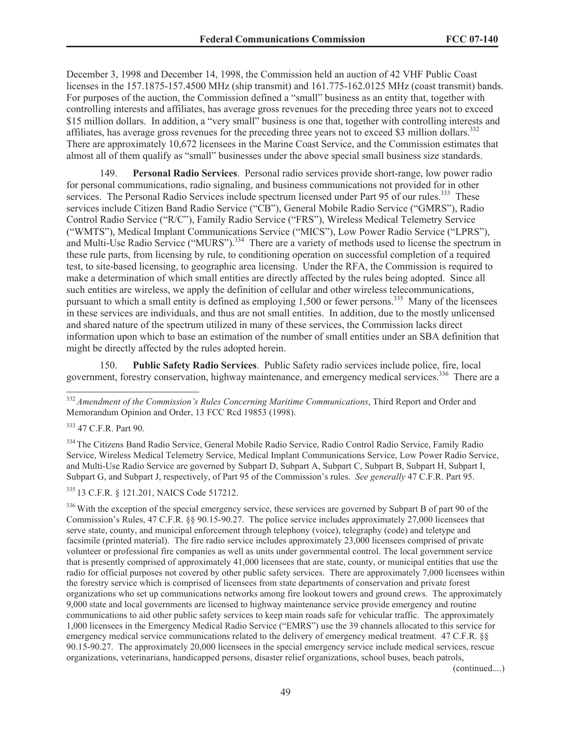December 3, 1998 and December 14, 1998, the Commission held an auction of 42 VHF Public Coast licenses in the 157.1875-157.4500 MHz (ship transmit) and 161.775-162.0125 MHz (coast transmit) bands. For purposes of the auction, the Commission defined a "small" business as an entity that, together with controlling interests and affiliates, has average gross revenues for the preceding three years not to exceed \$15 million dollars. In addition, a "very small" business is one that, together with controlling interests and affiliates, has average gross revenues for the preceding three years not to exceed \$3 million dollars.<sup>332</sup> There are approximately 10,672 licensees in the Marine Coast Service, and the Commission estimates that almost all of them qualify as "small" businesses under the above special small business size standards.

149. **Personal Radio Services**. Personal radio services provide short-range, low power radio for personal communications, radio signaling, and business communications not provided for in other services. The Personal Radio Services include spectrum licensed under Part 95 of our rules.<sup>333</sup> These services include Citizen Band Radio Service ("CB"), General Mobile Radio Service ("GMRS"), Radio Control Radio Service ("R/C"), Family Radio Service ("FRS"), Wireless Medical Telemetry Service ("WMTS"), Medical Implant Communications Service ("MICS"), Low Power Radio Service ("LPRS"), and Multi-Use Radio Service ("MURS").<sup>334</sup> There are a variety of methods used to license the spectrum in these rule parts, from licensing by rule, to conditioning operation on successful completion of a required test, to site-based licensing, to geographic area licensing. Under the RFA, the Commission is required to make a determination of which small entities are directly affected by the rules being adopted. Since all such entities are wireless, we apply the definition of cellular and other wireless telecommunications, pursuant to which a small entity is defined as employing  $1,500$  or fewer persons.<sup>335</sup> Many of the licensees in these services are individuals, and thus are not small entities. In addition, due to the mostly unlicensed and shared nature of the spectrum utilized in many of these services, the Commission lacks direct information upon which to base an estimation of the number of small entities under an SBA definition that might be directly affected by the rules adopted herein.

150. **Public Safety Radio Services**. Public Safety radio services include police, fire, local government, forestry conservation, highway maintenance, and emergency medical services.<sup>336</sup> There are a

<sup>333</sup> 47 C.F.R. Part 90.

<sup>334</sup> The Citizens Band Radio Service, General Mobile Radio Service, Radio Control Radio Service, Family Radio Service, Wireless Medical Telemetry Service, Medical Implant Communications Service, Low Power Radio Service, and Multi-Use Radio Service are governed by Subpart D, Subpart A, Subpart C, Subpart B, Subpart H, Subpart I, Subpart G, and Subpart J, respectively, of Part 95 of the Commission's rules. *See generally* 47 C.F.R. Part 95.

<sup>335</sup> 13 C.F.R. § 121.201, NAICS Code 517212.

 $336$  With the exception of the special emergency service, these services are governed by Subpart B of part 90 of the Commission's Rules, 47 C.F.R. §§ 90.15-90.27. The police service includes approximately 27,000 licensees that serve state, county, and municipal enforcement through telephony (voice), telegraphy (code) and teletype and facsimile (printed material). The fire radio service includes approximately 23,000 licensees comprised of private volunteer or professional fire companies as well as units under governmental control. The local government service that is presently comprised of approximately 41,000 licensees that are state, county, or municipal entities that use the radio for official purposes not covered by other public safety services. There are approximately 7,000 licensees within the forestry service which is comprised of licensees from state departments of conservation and private forest organizations who set up communications networks among fire lookout towers and ground crews. The approximately 9,000 state and local governments are licensed to highway maintenance service provide emergency and routine communications to aid other public safety services to keep main roads safe for vehicular traffic. The approximately 1,000 licensees in the Emergency Medical Radio Service ("EMRS") use the 39 channels allocated to this service for emergency medical service communications related to the delivery of emergency medical treatment. 47 C.F.R. §§ 90.15-90.27. The approximately 20,000 licensees in the special emergency service include medical services, rescue organizations, veterinarians, handicapped persons, disaster relief organizations, school buses, beach patrols,

(continued....)

<sup>332</sup> *Amendment of the Commission's Rules Concerning Maritime Communications*, Third Report and Order and Memorandum Opinion and Order, 13 FCC Rcd 19853 (1998).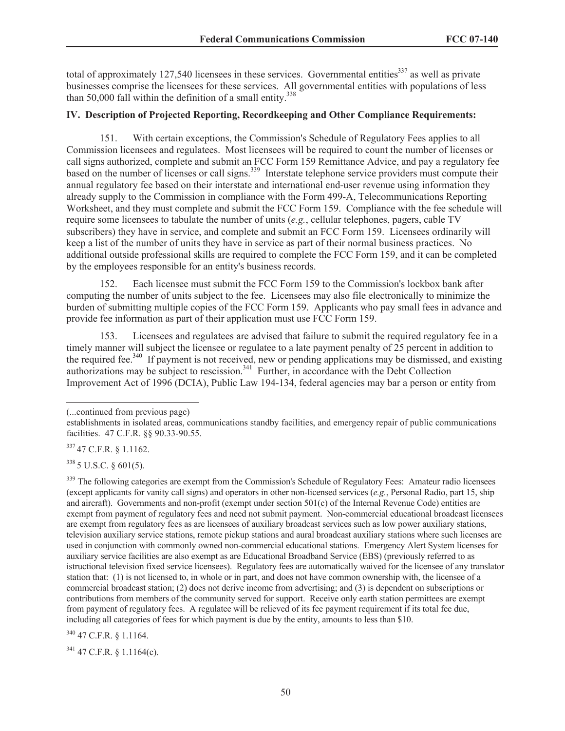total of approximately 127,540 licensees in these services. Governmental entities<sup>337</sup> as well as private businesses comprise the licensees for these services. All governmental entities with populations of less than 50,000 fall within the definition of a small entity. $338$ 

## **IV. Description of Projected Reporting, Recordkeeping and Other Compliance Requirements:**

151. With certain exceptions, the Commission's Schedule of Regulatory Fees applies to all Commission licensees and regulatees. Most licensees will be required to count the number of licenses or call signs authorized, complete and submit an FCC Form 159 Remittance Advice, and pay a regulatory fee based on the number of licenses or call signs.<sup>339</sup> Interstate telephone service providers must compute their annual regulatory fee based on their interstate and international end-user revenue using information they already supply to the Commission in compliance with the Form 499-A, Telecommunications Reporting Worksheet, and they must complete and submit the FCC Form 159. Compliance with the fee schedule will require some licensees to tabulate the number of units (*e.g.*, cellular telephones, pagers, cable TV subscribers) they have in service, and complete and submit an FCC Form 159. Licensees ordinarily will keep a list of the number of units they have in service as part of their normal business practices. No additional outside professional skills are required to complete the FCC Form 159, and it can be completed by the employees responsible for an entity's business records.

152. Each licensee must submit the FCC Form 159 to the Commission's lockbox bank after computing the number of units subject to the fee. Licensees may also file electronically to minimize the burden of submitting multiple copies of the FCC Form 159. Applicants who pay small fees in advance and provide fee information as part of their application must use FCC Form 159.

153. Licensees and regulatees are advised that failure to submit the required regulatory fee in a timely manner will subject the licensee or regulatee to a late payment penalty of 25 percent in addition to the required fee.<sup>340</sup> If payment is not received, new or pending applications may be dismissed, and existing authorizations may be subject to rescission.<sup>341</sup> Further, in accordance with the Debt Collection Improvement Act of 1996 (DCIA), Public Law 194-134, federal agencies may bar a person or entity from

(...continued from previous page)

337 47 C.F.R. § 1.1162.

<sup>338</sup> 5 U.S.C. § 601(5).

<sup>339</sup> The following categories are exempt from the Commission's Schedule of Regulatory Fees: Amateur radio licensees (except applicants for vanity call signs) and operators in other non-licensed services (*e.g.*, Personal Radio, part 15, ship and aircraft). Governments and non-profit (exempt under section 501(c) of the Internal Revenue Code) entities are exempt from payment of regulatory fees and need not submit payment. Non-commercial educational broadcast licensees are exempt from regulatory fees as are licensees of auxiliary broadcast services such as low power auxiliary stations, television auxiliary service stations, remote pickup stations and aural broadcast auxiliary stations where such licenses are used in conjunction with commonly owned non-commercial educational stations. Emergency Alert System licenses for auxiliary service facilities are also exempt as are Educational Broadband Service (EBS) (previously referred to as istructional television fixed service licensees). Regulatory fees are automatically waived for the licensee of any translator station that: (1) is not licensed to, in whole or in part, and does not have common ownership with, the licensee of a commercial broadcast station; (2) does not derive income from advertising; and (3) is dependent on subscriptions or contributions from members of the community served for support. Receive only earth station permittees are exempt from payment of regulatory fees. A regulatee will be relieved of its fee payment requirement if its total fee due, including all categories of fees for which payment is due by the entity, amounts to less than \$10.

<sup>340</sup> 47 C.F.R. § 1.1164.

 $341$  47 C.F.R. § 1.1164(c).

establishments in isolated areas, communications standby facilities, and emergency repair of public communications facilities. 47 C.F.R. §§ 90.33-90.55.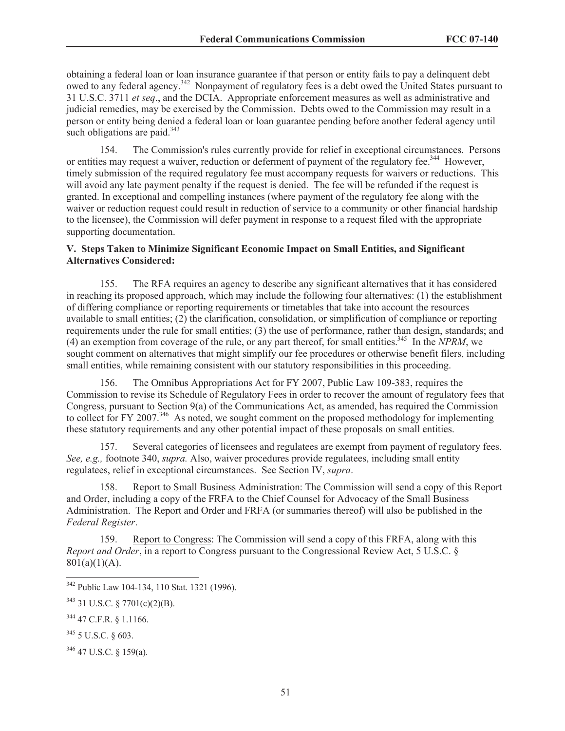obtaining a federal loan or loan insurance guarantee if that person or entity fails to pay a delinquent debt owed to any federal agency.<sup>342</sup> Nonpayment of regulatory fees is a debt owed the United States pursuant to 31 U.S.C. 3711 *et seq*., and the DCIA. Appropriate enforcement measures as well as administrative and judicial remedies, may be exercised by the Commission. Debts owed to the Commission may result in a person or entity being denied a federal loan or loan guarantee pending before another federal agency until such obligations are paid. $343$ 

154. The Commission's rules currently provide for relief in exceptional circumstances. Persons or entities may request a waiver, reduction or deferment of payment of the regulatory fee.<sup>344</sup> However, timely submission of the required regulatory fee must accompany requests for waivers or reductions. This will avoid any late payment penalty if the request is denied. The fee will be refunded if the request is granted. In exceptional and compelling instances (where payment of the regulatory fee along with the waiver or reduction request could result in reduction of service to a community or other financial hardship to the licensee), the Commission will defer payment in response to a request filed with the appropriate supporting documentation.

### **V. Steps Taken to Minimize Significant Economic Impact on Small Entities, and Significant Alternatives Considered:**

155. The RFA requires an agency to describe any significant alternatives that it has considered in reaching its proposed approach, which may include the following four alternatives: (1) the establishment of differing compliance or reporting requirements or timetables that take into account the resources available to small entities; (2) the clarification, consolidation, or simplification of compliance or reporting requirements under the rule for small entities; (3) the use of performance, rather than design, standards; and (4) an exemption from coverage of the rule, or any part thereof, for small entities.<sup>345</sup> In the *NPRM*, we sought comment on alternatives that might simplify our fee procedures or otherwise benefit filers, including small entities, while remaining consistent with our statutory responsibilities in this proceeding.

156. The Omnibus Appropriations Act for FY 2007, Public Law 109-383, requires the Commission to revise its Schedule of Regulatory Fees in order to recover the amount of regulatory fees that Congress, pursuant to Section 9(a) of the Communications Act, as amended, has required the Commission to collect for FY 2007.<sup>346</sup> As noted, we sought comment on the proposed methodology for implementing these statutory requirements and any other potential impact of these proposals on small entities.

157. Several categories of licensees and regulatees are exempt from payment of regulatory fees. *See, e.g.,* footnote 340, *supra.* Also, waiver procedures provide regulatees, including small entity regulatees, relief in exceptional circumstances. See Section IV, *supra*.

158. Report to Small Business Administration: The Commission will send a copy of this Report and Order, including a copy of the FRFA to the Chief Counsel for Advocacy of the Small Business Administration. The Report and Order and FRFA (or summaries thereof) will also be published in the *Federal Register*.

159. Report to Congress: The Commission will send a copy of this FRFA, along with this *Report and Order*, in a report to Congress pursuant to the Congressional Review Act, 5 U.S.C. §  $801(a)(1)(A)$ .

<sup>346</sup> 47 U.S.C. § 159(a).

<sup>342</sup> Public Law 104-134, 110 Stat. 1321 (1996).

<sup>343</sup> 31 U.S.C. § 7701(c)(2)(B).

<sup>344</sup> 47 C.F.R. § 1.1166.

<sup>345</sup> 5 U.S.C. § 603.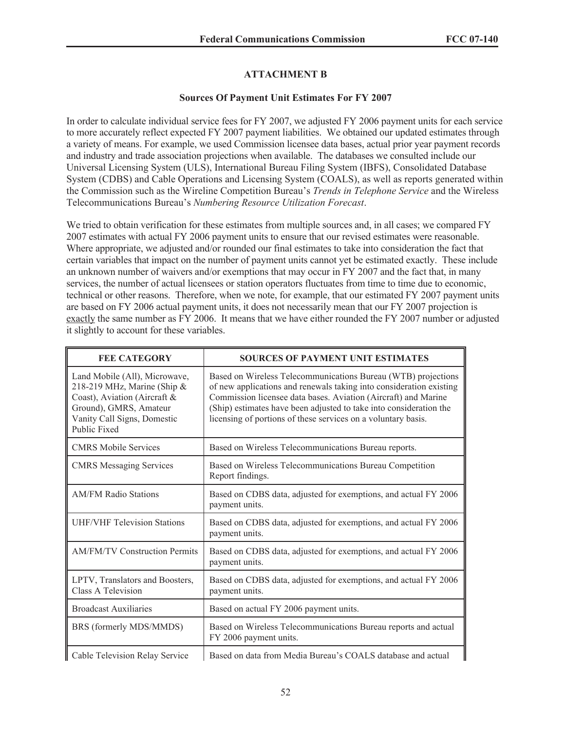## **ATTACHMENT B**

## **Sources Of Payment Unit Estimates For FY 2007**

In order to calculate individual service fees for FY 2007, we adjusted FY 2006 payment units for each service to more accurately reflect expected FY 2007 payment liabilities. We obtained our updated estimates through a variety of means. For example, we used Commission licensee data bases, actual prior year payment records and industry and trade association projections when available. The databases we consulted include our Universal Licensing System (ULS), International Bureau Filing System (IBFS), Consolidated Database System (CDBS) and Cable Operations and Licensing System (COALS), as well as reports generated within the Commission such as the Wireline Competition Bureau's *Trends in Telephone Service* and the Wireless Telecommunications Bureau's *Numbering Resource Utilization Forecast*.

We tried to obtain verification for these estimates from multiple sources and, in all cases; we compared FY 2007 estimates with actual FY 2006 payment units to ensure that our revised estimates were reasonable. Where appropriate, we adjusted and/or rounded our final estimates to take into consideration the fact that certain variables that impact on the number of payment units cannot yet be estimated exactly. These include an unknown number of waivers and/or exemptions that may occur in FY 2007 and the fact that, in many services, the number of actual licensees or station operators fluctuates from time to time due to economic, technical or other reasons. Therefore, when we note, for example, that our estimated FY 2007 payment units are based on FY 2006 actual payment units, it does not necessarily mean that our FY 2007 projection is exactly the same number as FY 2006. It means that we have either rounded the FY 2007 number or adjusted it slightly to account for these variables.

| <b>FEE CATEGORY</b>                                                                                                                                                   | <b>SOURCES OF PAYMENT UNIT ESTIMATES</b>                                                                                                                                                                                                                                                                                                      |
|-----------------------------------------------------------------------------------------------------------------------------------------------------------------------|-----------------------------------------------------------------------------------------------------------------------------------------------------------------------------------------------------------------------------------------------------------------------------------------------------------------------------------------------|
| Land Mobile (All), Microwave,<br>218-219 MHz, Marine (Ship &<br>Coast), Aviation (Aircraft &<br>Ground), GMRS, Amateur<br>Vanity Call Signs, Domestic<br>Public Fixed | Based on Wireless Telecommunications Bureau (WTB) projections<br>of new applications and renewals taking into consideration existing<br>Commission licensee data bases. Aviation (Aircraft) and Marine<br>(Ship) estimates have been adjusted to take into consideration the<br>licensing of portions of these services on a voluntary basis. |
| <b>CMRS Mobile Services</b>                                                                                                                                           | Based on Wireless Telecommunications Bureau reports.                                                                                                                                                                                                                                                                                          |
| <b>CMRS</b> Messaging Services                                                                                                                                        | Based on Wireless Telecommunications Bureau Competition<br>Report findings.                                                                                                                                                                                                                                                                   |
| <b>AM/FM Radio Stations</b>                                                                                                                                           | Based on CDBS data, adjusted for exemptions, and actual FY 2006<br>payment units.                                                                                                                                                                                                                                                             |
| <b>UHF/VHF Television Stations</b>                                                                                                                                    | Based on CDBS data, adjusted for exemptions, and actual FY 2006<br>payment units.                                                                                                                                                                                                                                                             |
| <b>AM/FM/TV Construction Permits</b>                                                                                                                                  | Based on CDBS data, adjusted for exemptions, and actual FY 2006<br>payment units.                                                                                                                                                                                                                                                             |
| LPTV, Translators and Boosters,<br>Class A Television                                                                                                                 | Based on CDBS data, adjusted for exemptions, and actual FY 2006<br>payment units.                                                                                                                                                                                                                                                             |
| <b>Broadcast Auxiliaries</b>                                                                                                                                          | Based on actual FY 2006 payment units.                                                                                                                                                                                                                                                                                                        |
| BRS (formerly MDS/MMDS)                                                                                                                                               | Based on Wireless Telecommunications Bureau reports and actual<br>FY 2006 payment units.                                                                                                                                                                                                                                                      |
| Cable Television Relay Service                                                                                                                                        | Based on data from Media Bureau's COALS database and actual                                                                                                                                                                                                                                                                                   |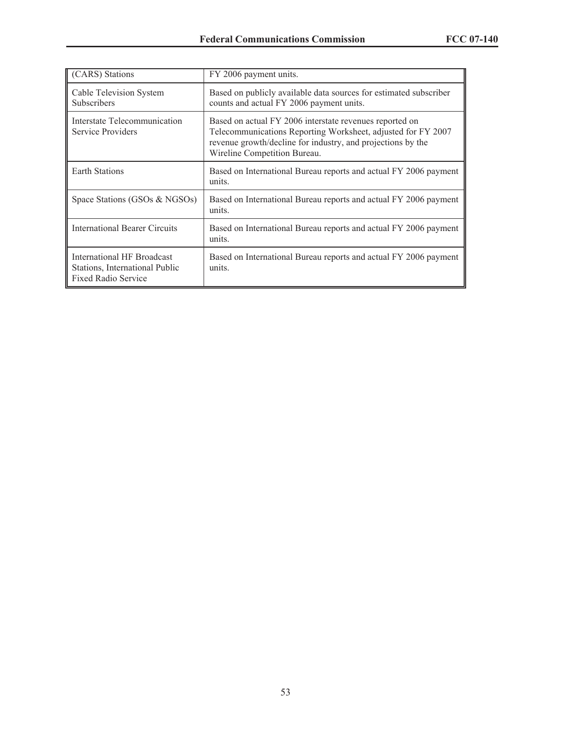| (CARS) Stations                                                                            | FY 2006 payment units.                                                                                                                                                                                                 |
|--------------------------------------------------------------------------------------------|------------------------------------------------------------------------------------------------------------------------------------------------------------------------------------------------------------------------|
| Cable Television System<br><b>Subscribers</b>                                              | Based on publicly available data sources for estimated subscriber<br>counts and actual FY 2006 payment units.                                                                                                          |
| Interstate Telecommunication<br>Service Providers                                          | Based on actual FY 2006 interstate revenues reported on<br>Telecommunications Reporting Worksheet, adjusted for FY 2007<br>revenue growth/decline for industry, and projections by the<br>Wireline Competition Bureau. |
| <b>Earth Stations</b>                                                                      | Based on International Bureau reports and actual FY 2006 payment<br>units.                                                                                                                                             |
| Space Stations (GSOs & NGSOs)                                                              | Based on International Bureau reports and actual FY 2006 payment<br>units.                                                                                                                                             |
| <b>International Bearer Circuits</b>                                                       | Based on International Bureau reports and actual FY 2006 payment<br>units.                                                                                                                                             |
| International HF Broadcast<br>Stations, International Public<br><b>Fixed Radio Service</b> | Based on International Bureau reports and actual FY 2006 payment<br>units.                                                                                                                                             |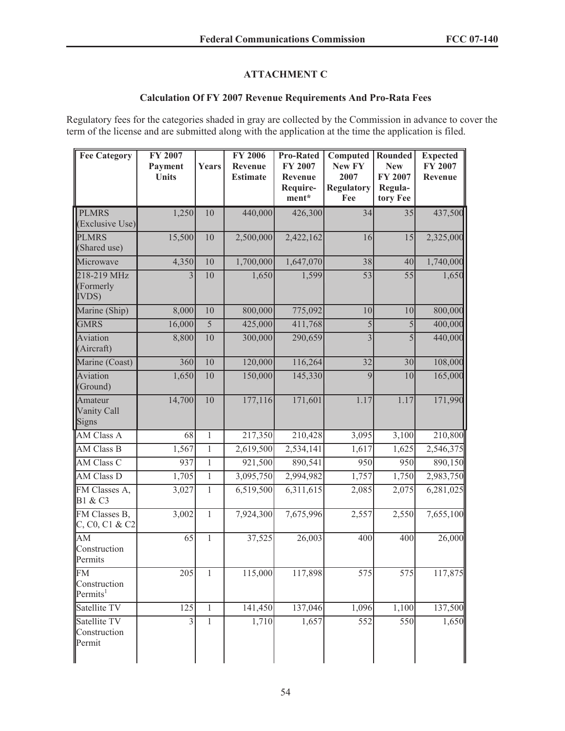## **ATTACHMENT C**

## **Calculation Of FY 2007 Revenue Requirements And Pro-Rata Fees**

Regulatory fees for the categories shaded in gray are collected by the Commission in advance to cover the term of the license and are submitted along with the application at the time the application is filed.

| <b>Fee Category</b>                               | FY 2007<br>Payment<br><b>Units</b> | Years          | <b>FY 2006</b><br>Revenue<br><b>Estimate</b> | <b>Pro-Rated</b><br>FY 2007<br>Revenue<br>Require-<br>ment* | Computed<br>New FY<br>2007<br><b>Regulatory</b><br>Fee | Rounded<br><b>New</b><br>FY 2007<br>Regula-<br>tory Fee | <b>Expected</b><br>FY 2007<br>Revenue |
|---------------------------------------------------|------------------------------------|----------------|----------------------------------------------|-------------------------------------------------------------|--------------------------------------------------------|---------------------------------------------------------|---------------------------------------|
| <b>PLMRS</b><br>(Exclusive Use)                   | 1,250                              | 10             | 440,000                                      | 426,300                                                     | 34                                                     | 35                                                      | 437,500                               |
| <b>PLMRS</b><br>(Shared use)                      | 15,500                             | 10             | 2,500,000                                    | 2,422,162                                                   | 16                                                     | 15                                                      | 2,325,000                             |
| Microwave                                         | 4,350                              | 10             | 1,700,000                                    | 1,647,070                                                   | 38                                                     | 40                                                      | 1,740,000                             |
| 218-219 MHz<br>(Formerly<br><b>IVDS</b> )         | $\overline{3}$                     | 10             | 1,650                                        | 1,599                                                       | $\overline{53}$                                        | 55                                                      | 1,650                                 |
| Marine (Ship)                                     | 8,000                              | 10             | 800,000                                      | 775,092                                                     | 10                                                     | 10                                                      | 800,000                               |
| <b>GMRS</b>                                       | 16,000                             | $\overline{5}$ | 425,000                                      | 411,768                                                     | 5                                                      | $\overline{5}$                                          | 400,000                               |
| Aviation<br>(Aircraft)                            | 8,800                              | $10\,$         | 300,000                                      | 290,659                                                     | $\overline{3}$                                         | 5                                                       | 440,000                               |
| Marine (Coast)                                    | 360                                | 10             | 120,000                                      | 116,264                                                     | 32                                                     | 30                                                      | 108,000                               |
| Aviation<br>(Ground)                              | 1,650                              | 10             | 150,000                                      | 145,330                                                     | $\overline{9}$                                         | 10                                                      | 165,000                               |
| Amateur<br>Vanity Call<br><b>Signs</b>            | 14,700                             | 10             | 177,116                                      | 171,601                                                     | 1.17                                                   | 1.17                                                    | 171,990                               |
| <b>AM Class A</b>                                 | 68                                 | $\mathbf{1}$   | 217,350                                      | 210,428                                                     | 3,095                                                  | 3,100                                                   | 210,800                               |
| <b>AM Class B</b>                                 | 1,567                              | $\mathbf{1}$   | 2,619,500                                    | 2,534,141                                                   | 1,617                                                  | 1,625                                                   | 2,546,375                             |
| <b>AM Class C</b>                                 | 937                                | $\mathbf{1}$   | 921,500                                      | 890,541                                                     | 950                                                    | 950                                                     | 890,150                               |
| AM Class D                                        | 1,705                              | $\overline{1}$ | 3,095,750                                    | 2,994,982                                                   | 1,757                                                  | 1,750                                                   | 2,983,750                             |
| FM Classes A,<br>B1 & C3                          | 3,027                              | $\mathbf{1}$   | 6,519,500                                    | 6,311,615                                                   | 2,085                                                  | 2,075                                                   | 6,281,025                             |
| FM Classes B,<br>C, C0, C1 & C2                   | 3,002                              | $\mathbf{1}$   | 7,924,300                                    | 7,675,996                                                   | 2,557                                                  | 2,550                                                   | 7,655,100                             |
| AM<br>Construction<br>Permits                     | 65                                 | $\mathbf{1}$   | 37,525                                       | 26,003                                                      | 400                                                    | 400                                                     | 26,000                                |
| <b>FM</b><br>Construction<br>Permits <sup>1</sup> | 205                                | $\mathbf{1}$   | 115,000                                      | 117,898                                                     | 575                                                    | 575                                                     | 117,875                               |
| Satellite TV                                      | 125                                | $\mathbf{1}$   | 141,450                                      | 137,046                                                     | 1,096                                                  | 1,100                                                   | 137,500                               |
| Satellite TV<br>Construction<br>Permit            | $\overline{\mathbf{3}}$            | $\mathbf{1}$   | 1,710                                        | 1,657                                                       | 552                                                    | 550                                                     | 1,650                                 |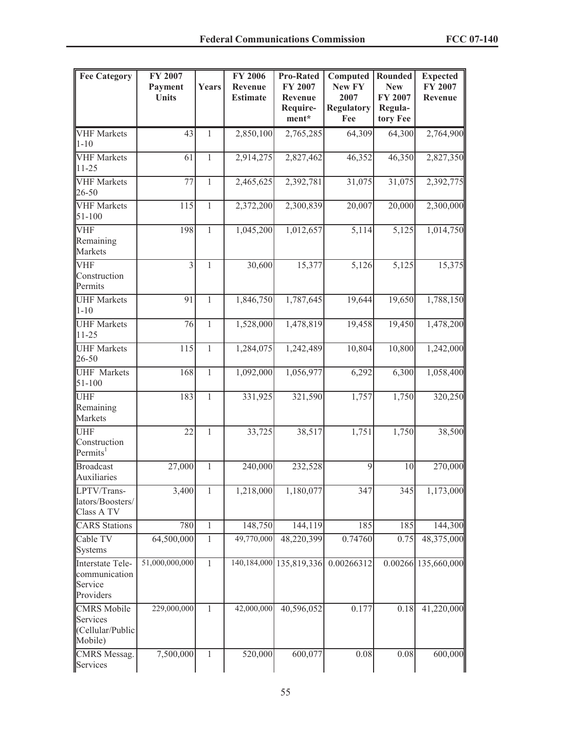| <b>Fee Category</b>                                           | FY 2007<br>Payment<br><b>Units</b> | Years          | <b>FY 2006</b><br>Revenue<br><b>Estimate</b> | <b>Pro-Rated</b><br>FY 2007<br>Revenue | Computed<br>New FY<br>2007 | Rounded<br><b>New</b><br>FY 2007 | <b>Expected</b><br>FY 2007<br>Revenue |
|---------------------------------------------------------------|------------------------------------|----------------|----------------------------------------------|----------------------------------------|----------------------------|----------------------------------|---------------------------------------|
|                                                               |                                    |                |                                              | Require-<br>ment*                      | <b>Regulatory</b><br>Fee   | Regula-<br>tory Fee              |                                       |
| <b>VHF</b> Markets<br>$1 - 10$                                | 43                                 | 1              | 2,850,100                                    | 2,765,285                              | 64,309                     | 64,300                           | 2,764,900                             |
| <b>VHF</b> Markets<br>$11 - 25$                               | 61                                 | $\mathbf{1}$   | 2,914,275                                    | 2,827,462                              | 46,352                     | 46,350                           | 2,827,350                             |
| <b>VHF</b> Markets<br>26-50                                   | 77                                 | $\overline{1}$ | 2,465,625                                    | 2,392,781                              | 31,075                     | 31,075                           | 2,392,775                             |
| <b>VHF</b> Markets<br>51-100                                  | 115                                | $\mathbf{1}$   | 2,372,200                                    | 2,300,839                              | 20,007                     | 20,000                           | 2,300,000                             |
| <b>VHF</b><br>Remaining<br>Markets                            | 198                                | $\mathbf{1}$   | 1,045,200                                    | 1,012,657                              | 5,114                      | $\overline{5,125}$               | 1,014,750                             |
| <b>VHF</b><br>Construction<br>Permits                         | $\overline{3}$                     | $\mathbf{1}$   | 30,600                                       | 15,377                                 | 5,126                      | 5,125                            | 15,375                                |
| <b>UHF Markets</b><br>$1 - 10$                                | 91                                 | 1              | 1,846,750                                    | 1,787,645                              | 19,644                     | 19,650                           | 1,788,150                             |
| <b>UHF Markets</b><br>$11 - 25$                               | 76                                 | $\mathbf{1}$   | 1,528,000                                    | 1,478,819                              | 19,458                     | 19,450                           | 1,478,200                             |
| <b>UHF Markets</b><br>26-50                                   | 115                                | $\overline{1}$ | 1,284,075                                    | 1,242,489                              | 10,804                     | 10,800                           | 1,242,000                             |
| <b>UHF</b> Markets<br>$51 - 100$                              | 168                                | $\mathbf{1}$   | 1,092,000                                    | 1,056,977                              | 6,292                      | 6,300                            | 1,058,400                             |
| <b>UHF</b><br>Remaining<br>Markets                            | 183                                | $\mathbf{1}$   | 331,925                                      | 321,590                                | 1,757                      | 1,750                            | 320,250                               |
| <b>UHF</b><br>Construction<br>Permits <sup>1</sup>            | $\overline{22}$                    | $\mathbf{1}$   | 33,725                                       | 38,517                                 | 1,751                      | 1,750                            | 38,500                                |
| <b>Broadcast</b><br>Auxiliaries                               | 27,000                             | 1              | 240,000                                      | 232,528                                | 9                          | 10                               | 270,000                               |
| LPTV/Trans-<br>lators/Boosters/<br>Class A TV                 | $\frac{1}{3,400}$                  | $\mathbf{1}$   | 1,218,000                                    | 1,180,077                              | 347                        | 345                              | 1,173,000                             |
| <b>CARS</b> Stations                                          | 780                                | $\,1$          | 148,750                                      | 144,119                                | 185                        | 185                              | 144,300                               |
| Cable TV<br><b>Systems</b>                                    | 64,500,000                         | $\mathbf{1}$   | 49,770,000                                   | 48,220,399                             | 0.74760                    | 0.75                             | 48,375,000                            |
| Interstate Tele-<br>communication<br>Service<br>Providers     | 51,000,000,000                     | $\mathbf{1}$   |                                              | 140, 184, 000 135, 819, 336            | 0.00266312                 |                                  | 0.00266 135,660,000                   |
| <b>CMRS</b> Mobile<br>Services<br>(Cellular/Public<br>Mobile) | 229,000,000                        | $\mathbf{1}$   | 42,000,000                                   | 40,596,052                             | 0.177                      | 0.18                             | 41,220,000                            |
| <b>CMRS</b> Messag.<br>Services                               | 7,500,000                          | 1              | 520,000                                      | 600,077                                | 0.08                       | 0.08                             | 600,000                               |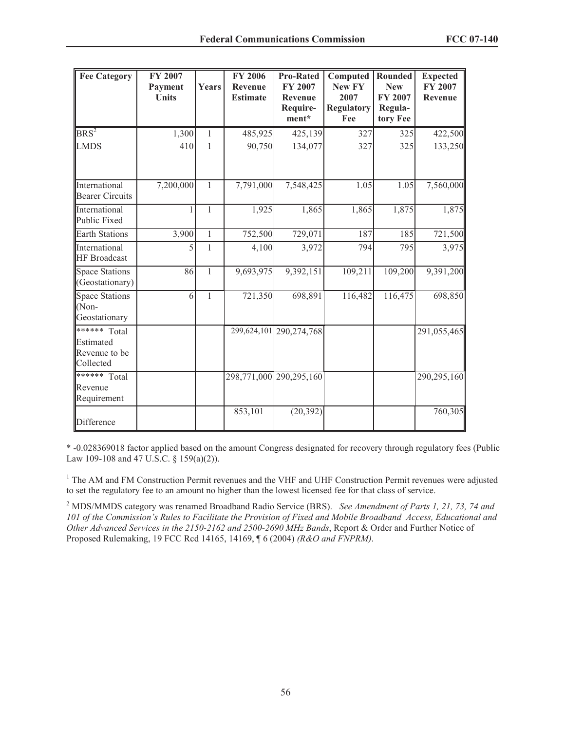| <b>Fee Category</b>                                     | <b>FY 2007</b><br>Payment<br><b>Units</b> | Years        | <b>FY 2006</b><br>Revenue<br><b>Estimate</b> | <b>Pro-Rated</b><br>FY 2007<br><b>Revenue</b><br>Require-<br>ment* | Computed<br><b>New FY</b><br>2007<br><b>Regulatory</b><br>Fee | Rounded<br><b>New</b><br><b>FY 2007</b><br>Regula-<br>tory Fee | <b>Expected</b><br><b>FY 2007</b><br>Revenue |
|---------------------------------------------------------|-------------------------------------------|--------------|----------------------------------------------|--------------------------------------------------------------------|---------------------------------------------------------------|----------------------------------------------------------------|----------------------------------------------|
| $BRS^2$                                                 | 1,300                                     | 1            | 485,925                                      | 425,139                                                            | 327                                                           | 325                                                            | 422,500                                      |
| <b>LMDS</b>                                             | 410                                       | 1            | 90,750                                       | 134,077                                                            | 327                                                           | 325                                                            | 133,250                                      |
| International<br><b>Bearer Circuits</b>                 | 7,200,000                                 | $\mathbf{1}$ | 7,791,000                                    | 7,548,425                                                          | 1.05                                                          | 1.05                                                           | 7,560,000                                    |
| International<br><b>Public Fixed</b>                    |                                           | 1            | 1,925                                        | 1,865                                                              | 1,865                                                         | 1,875                                                          | 1,875                                        |
| <b>Earth Stations</b>                                   | 3,900                                     | $\mathbf{1}$ | 752,500                                      | 729,071                                                            | 187                                                           | 185                                                            | 721,500                                      |
| International<br><b>HF</b> Broadcast                    | 5                                         | $\mathbf{1}$ | 4,100                                        | 3,972                                                              | 794                                                           | 795                                                            | 3,975                                        |
| <b>Space Stations</b><br>(Geostationary)                | 86                                        | $\mathbf{1}$ | 9,693,975                                    | 9,392,151                                                          | 109,211                                                       | 109,200                                                        | $\overline{9,391,200}$                       |
| <b>Space Stations</b><br>(Non-<br>Geostationary         | 6                                         | $\mathbf{1}$ | 721,350                                      | 698,891                                                            | 116,482                                                       | 116,475                                                        | 698,850                                      |
| ****** Total<br>Estimated<br>Revenue to be<br>Collected |                                           |              |                                              | 299,624,101 290,274,768                                            |                                                               |                                                                | 291,055,465                                  |
| ****** Total<br>Revenue<br>Requirement                  |                                           |              |                                              | 298,771,000 290,295,160                                            |                                                               |                                                                | 290,295,160                                  |
| Difference                                              |                                           |              | 853,101                                      | (20, 392)                                                          |                                                               |                                                                | 760,305                                      |

\* -0.028369018 factor applied based on the amount Congress designated for recovery through regulatory fees (Public Law 109-108 and 47 U.S.C. § 159(a)(2)).

<sup>1</sup> The AM and FM Construction Permit revenues and the VHF and UHF Construction Permit revenues were adjusted to set the regulatory fee to an amount no higher than the lowest licensed fee for that class of service.

<sup>2</sup> MDS/MMDS category was renamed Broadband Radio Service (BRS). *See Amendment of Parts 1, 21, 73, 74 and 101 of the Commission's Rules to Facilitate the Provision of Fixed and Mobile Broadband Access, Educational and Other Advanced Services in the 2150-2162 and 2500-2690 MHz Bands*, Report & Order and Further Notice of Proposed Rulemaking, 19 FCC Rcd 14165, 14169, ¶ 6 (2004) *(R&O and FNPRM)*.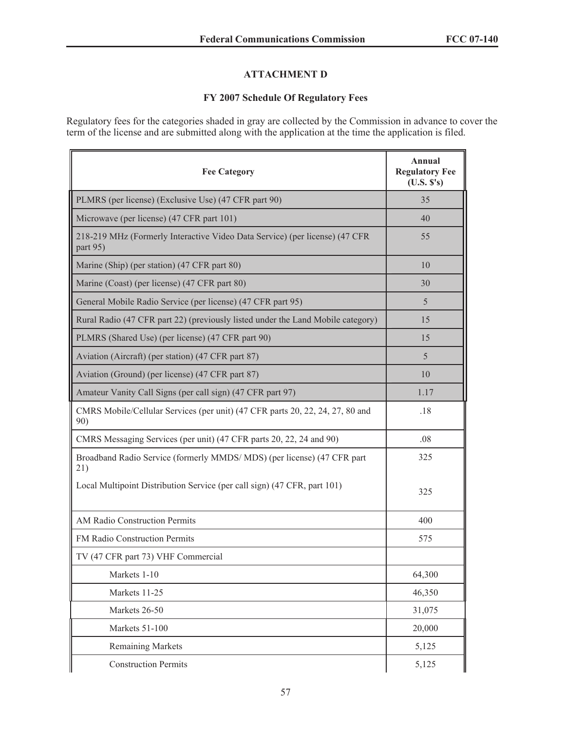## **ATTACHMENT D**

# **FY 2007 Schedule Of Regulatory Fees**

Regulatory fees for the categories shaded in gray are collected by the Commission in advance to cover the term of the license and are submitted along with the application at the time the application is filed.

| <b>Fee Category</b>                                                                     | Annual<br><b>Regulatory Fee</b><br>(U.S. S's) |
|-----------------------------------------------------------------------------------------|-----------------------------------------------|
| PLMRS (per license) (Exclusive Use) (47 CFR part 90)                                    | 35                                            |
| Microwave (per license) (47 CFR part 101)                                               | 40                                            |
| 218-219 MHz (Formerly Interactive Video Data Service) (per license) (47 CFR<br>part 95) | 55                                            |
| Marine (Ship) (per station) (47 CFR part 80)                                            | 10                                            |
| Marine (Coast) (per license) (47 CFR part 80)                                           | 30                                            |
| General Mobile Radio Service (per license) (47 CFR part 95)                             | 5                                             |
| Rural Radio (47 CFR part 22) (previously listed under the Land Mobile category)         | 15                                            |
| PLMRS (Shared Use) (per license) (47 CFR part 90)                                       | 15                                            |
| Aviation (Aircraft) (per station) (47 CFR part 87)                                      | 5                                             |
| Aviation (Ground) (per license) (47 CFR part 87)                                        | 10                                            |
| Amateur Vanity Call Signs (per call sign) (47 CFR part 97)                              | 1.17                                          |
| CMRS Mobile/Cellular Services (per unit) (47 CFR parts 20, 22, 24, 27, 80 and<br>90)    | .18                                           |
| CMRS Messaging Services (per unit) (47 CFR parts 20, 22, 24 and 90)                     | .08                                           |
| Broadband Radio Service (formerly MMDS/MDS) (per license) (47 CFR part<br>21)           | 325                                           |
| Local Multipoint Distribution Service (per call sign) (47 CFR, part 101)                | 325                                           |
| AM Radio Construction Permits                                                           | 400                                           |
| FM Radio Construction Permits                                                           | 575                                           |
| TV (47 CFR part 73) VHF Commercial                                                      |                                               |
| Markets 1-10                                                                            | 64,300                                        |
| Markets 11-25                                                                           | 46,350                                        |
| Markets 26-50                                                                           | 31,075                                        |
| Markets 51-100                                                                          | 20,000                                        |
| <b>Remaining Markets</b>                                                                | 5,125                                         |
| <b>Construction Permits</b>                                                             | 5,125                                         |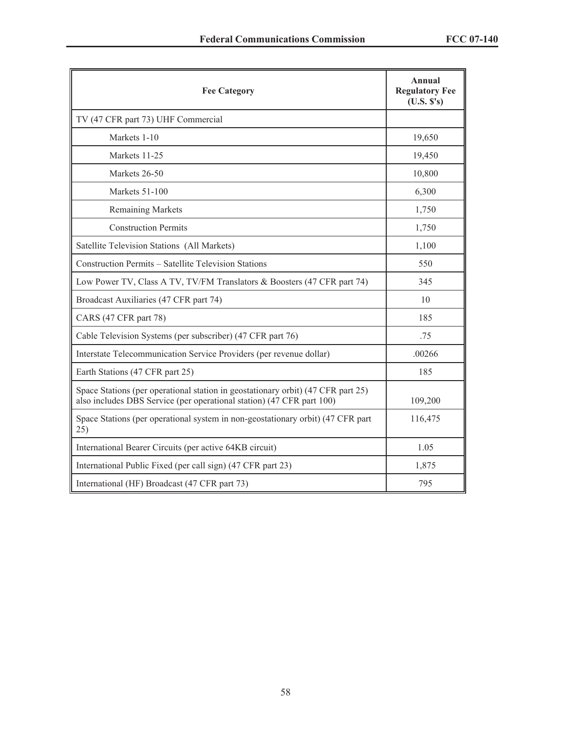| <b>Fee Category</b>                                                                                                                                       | <b>Annual</b><br><b>Regulatory Fee</b><br>(U.S. S's) |
|-----------------------------------------------------------------------------------------------------------------------------------------------------------|------------------------------------------------------|
| TV (47 CFR part 73) UHF Commercial                                                                                                                        |                                                      |
| Markets 1-10                                                                                                                                              | 19,650                                               |
| Markets 11-25                                                                                                                                             | 19,450                                               |
| Markets 26-50                                                                                                                                             | 10,800                                               |
| Markets 51-100                                                                                                                                            | 6,300                                                |
| <b>Remaining Markets</b>                                                                                                                                  | 1,750                                                |
| <b>Construction Permits</b>                                                                                                                               | 1,750                                                |
| Satellite Television Stations (All Markets)                                                                                                               | 1,100                                                |
| Construction Permits - Satellite Television Stations                                                                                                      | 550                                                  |
| Low Power TV, Class A TV, TV/FM Translators & Boosters (47 CFR part 74)                                                                                   | 345                                                  |
| Broadcast Auxiliaries (47 CFR part 74)                                                                                                                    | 10                                                   |
| CARS (47 CFR part 78)                                                                                                                                     | 185                                                  |
| Cable Television Systems (per subscriber) (47 CFR part 76)                                                                                                | .75                                                  |
| Interstate Telecommunication Service Providers (per revenue dollar)                                                                                       | .00266                                               |
| Earth Stations (47 CFR part 25)                                                                                                                           | 185                                                  |
| Space Stations (per operational station in geostationary orbit) (47 CFR part 25)<br>also includes DBS Service (per operational station) (47 CFR part 100) | 109,200                                              |
| Space Stations (per operational system in non-geostationary orbit) (47 CFR part<br>25)                                                                    | 116,475                                              |
| International Bearer Circuits (per active 64KB circuit)                                                                                                   | 1.05                                                 |
| International Public Fixed (per call sign) (47 CFR part 23)                                                                                               | 1,875                                                |
| International (HF) Broadcast (47 CFR part 73)                                                                                                             | 795                                                  |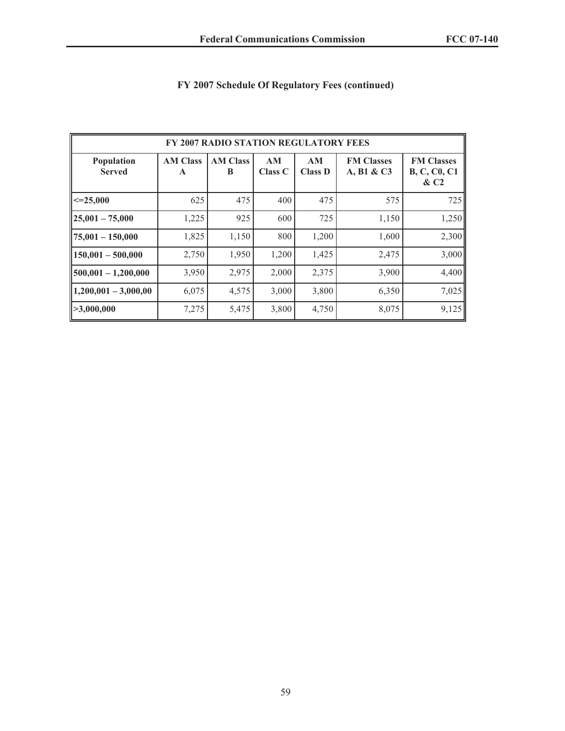| FY 2007 RADIO STATION REGULATORY FEES |                                 |                      |                      |                      |                                 |                                                    |  |
|---------------------------------------|---------------------------------|----------------------|----------------------|----------------------|---------------------------------|----------------------------------------------------|--|
| Population<br><b>Served</b>           | <b>AM Class</b><br>$\mathbf{A}$ | <b>AM Class</b><br>B | AM<br><b>Class C</b> | AM<br><b>Class D</b> | <b>FM Classes</b><br>A, B1 & C3 | <b>FM Classes</b><br><b>B, C, C0, C1</b><br>$\&C2$ |  |
| $\leq 25,000$                         | 625                             | 475                  | 400                  | 475                  | 575                             | 725                                                |  |
| $25,001 - 75,000$                     | 1,225                           | 925                  | 600                  | 725                  | 1,150                           | 1,250                                              |  |
| $ 75,001 - 150,000$                   | 1,825                           | 1,150                | 800                  | 1,200                | 1,600                           | 2,300                                              |  |
| $150,001 - 500,000$                   | 2,750                           | 1,950                | 1,200                | 1,425                | 2,475                           | 3,000                                              |  |
| $ 500,001 - 1,200,000$                | 3,950                           | 2,975                | 2,000                | 2,375                | 3,900                           | 4,400                                              |  |
| $1,200,001 - 3,000,00$                | 6,075                           | 4,575                | 3,000                | 3,800                | 6,350                           | 7,025                                              |  |
| >3,000,000                            | 7,275                           | 5,475                | 3,800                | 4,750                | 8,075                           | 9,125                                              |  |

# **FY 2007 Schedule Of Regulatory Fees (continued)**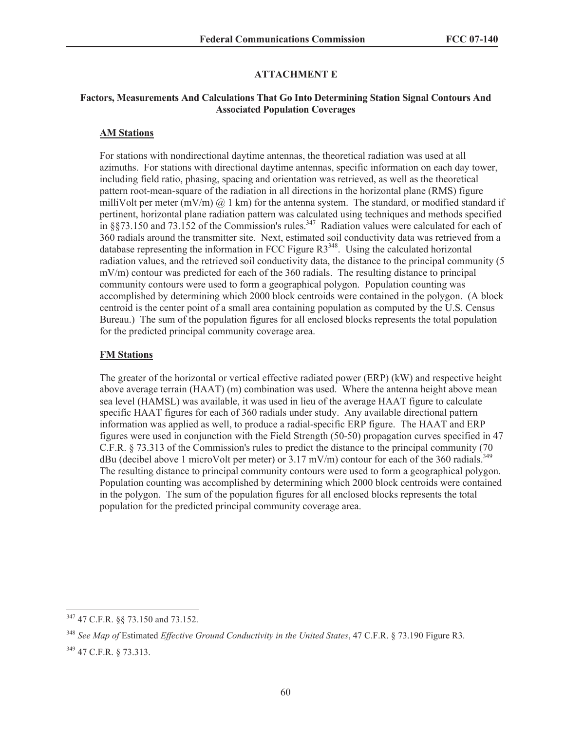### **ATTACHMENT E**

#### **Factors, Measurements And Calculations That Go Into Determining Station Signal Contours And Associated Population Coverages**

### **AM Stations**

For stations with nondirectional daytime antennas, the theoretical radiation was used at all azimuths. For stations with directional daytime antennas, specific information on each day tower, including field ratio, phasing, spacing and orientation was retrieved, as well as the theoretical pattern root-mean-square of the radiation in all directions in the horizontal plane (RMS) figure milliVolt per meter  $(mV/m)$  @ 1 km) for the antenna system. The standard, or modified standard if pertinent, horizontal plane radiation pattern was calculated using techniques and methods specified in  $\S 73.150$  and  $73.152$  of the Commission's rules.<sup>347</sup> Radiation values were calculated for each of 360 radials around the transmitter site. Next, estimated soil conductivity data was retrieved from a database representing the information in FCC Figure  $R3<sup>348</sup>$ . Using the calculated horizontal radiation values, and the retrieved soil conductivity data, the distance to the principal community (5 mV/m) contour was predicted for each of the 360 radials. The resulting distance to principal community contours were used to form a geographical polygon. Population counting was accomplished by determining which 2000 block centroids were contained in the polygon. (A block centroid is the center point of a small area containing population as computed by the U.S. Census Bureau.) The sum of the population figures for all enclosed blocks represents the total population for the predicted principal community coverage area.

#### **FM Stations**

The greater of the horizontal or vertical effective radiated power (ERP) (kW) and respective height above average terrain (HAAT) (m) combination was used. Where the antenna height above mean sea level (HAMSL) was available, it was used in lieu of the average HAAT figure to calculate specific HAAT figures for each of 360 radials under study. Any available directional pattern information was applied as well, to produce a radial-specific ERP figure. The HAAT and ERP figures were used in conjunction with the Field Strength (50-50) propagation curves specified in 47 C.F.R. § 73.313 of the Commission's rules to predict the distance to the principal community (70 dBu (decibel above 1 microVolt per meter) or  $3.17$  mV/m) contour for each of the 360 radials.<sup>349</sup> The resulting distance to principal community contours were used to form a geographical polygon. Population counting was accomplished by determining which 2000 block centroids were contained in the polygon. The sum of the population figures for all enclosed blocks represents the total population for the predicted principal community coverage area.

<sup>347</sup> 47 C.F.R. §§ 73.150 and 73.152.

<sup>348</sup> *See Map of* Estimated *Effective Ground Conductivity in the United States*, 47 C.F.R. § 73.190 Figure R3. <sup>349</sup> 47 C.F.R. § 73.313.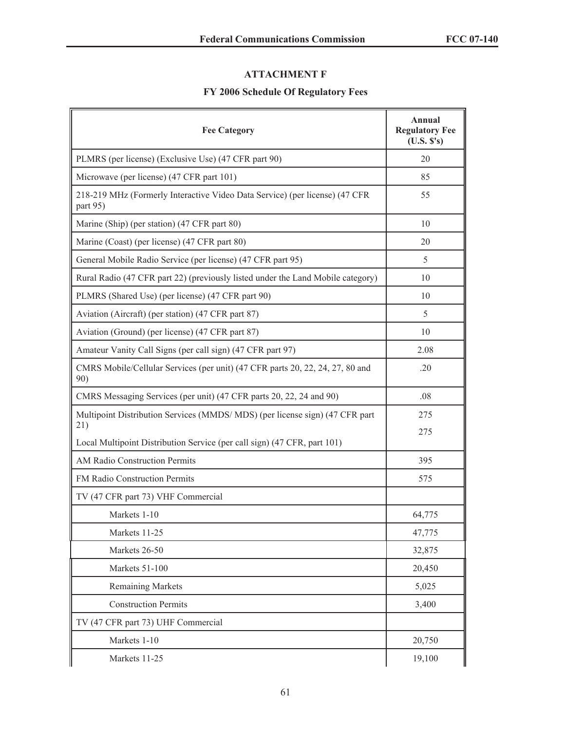# **ATTACHMENT F**

# **FY 2006 Schedule Of Regulatory Fees**

| <b>Fee Category</b>                                                                     | Annual<br><b>Regulatory Fee</b><br>(U.S. S's) |
|-----------------------------------------------------------------------------------------|-----------------------------------------------|
| PLMRS (per license) (Exclusive Use) (47 CFR part 90)                                    | 20                                            |
| Microwave (per license) (47 CFR part 101)                                               | 85                                            |
| 218-219 MHz (Formerly Interactive Video Data Service) (per license) (47 CFR<br>part 95) | 55                                            |
| Marine (Ship) (per station) (47 CFR part 80)                                            | 10                                            |
| Marine (Coast) (per license) (47 CFR part 80)                                           | 20                                            |
| General Mobile Radio Service (per license) (47 CFR part 95)                             | 5                                             |
| Rural Radio (47 CFR part 22) (previously listed under the Land Mobile category)         | 10                                            |
| PLMRS (Shared Use) (per license) (47 CFR part 90)                                       | 10                                            |
| Aviation (Aircraft) (per station) (47 CFR part 87)                                      | 5                                             |
| Aviation (Ground) (per license) (47 CFR part 87)                                        | 10                                            |
| Amateur Vanity Call Signs (per call sign) (47 CFR part 97)                              | 2.08                                          |
| CMRS Mobile/Cellular Services (per unit) (47 CFR parts 20, 22, 24, 27, 80 and<br>90)    | .20                                           |
| CMRS Messaging Services (per unit) (47 CFR parts 20, 22, 24 and 90)                     | .08                                           |
| Multipoint Distribution Services (MMDS/MDS) (per license sign) (47 CFR part<br>21)      | 275<br>275                                    |
| Local Multipoint Distribution Service (per call sign) (47 CFR, part 101)                |                                               |
| <b>AM Radio Construction Permits</b>                                                    | 395                                           |
| FM Radio Construction Permits                                                           | 575                                           |
| TV (47 CFR part 73) VHF Commercial                                                      |                                               |
| Markets 1-10                                                                            | 64,775                                        |
| Markets 11-25                                                                           | 47,775                                        |
| Markets 26-50                                                                           | 32,875                                        |
| Markets 51-100                                                                          | 20,450                                        |
| <b>Remaining Markets</b>                                                                | 5,025                                         |
| <b>Construction Permits</b>                                                             | 3,400                                         |
| TV (47 CFR part 73) UHF Commercial                                                      |                                               |
| Markets 1-10                                                                            | 20,750                                        |
| Markets 11-25                                                                           | 19,100                                        |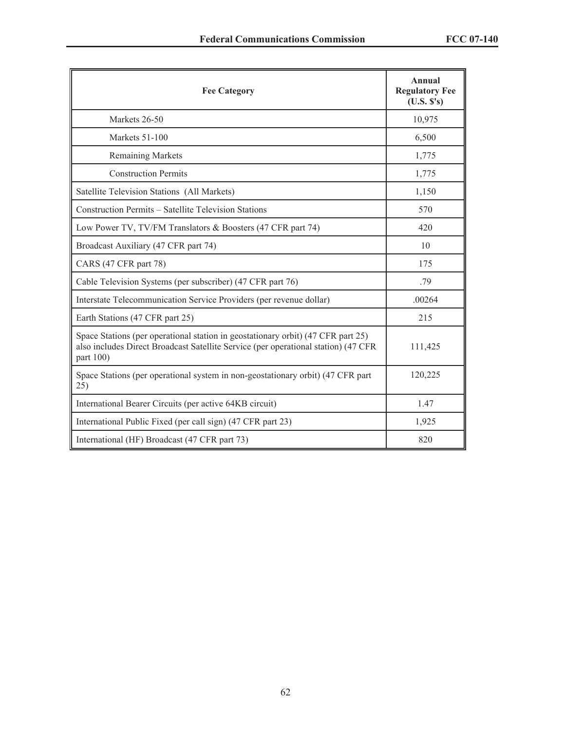| <b>Fee Category</b>                                                                                                                                                                 | Annual<br><b>Regulatory Fee</b><br>(U.S. S's) |
|-------------------------------------------------------------------------------------------------------------------------------------------------------------------------------------|-----------------------------------------------|
| Markets 26-50                                                                                                                                                                       | 10,975                                        |
| Markets 51-100                                                                                                                                                                      | 6,500                                         |
| <b>Remaining Markets</b>                                                                                                                                                            | 1,775                                         |
| <b>Construction Permits</b>                                                                                                                                                         | 1,775                                         |
| Satellite Television Stations (All Markets)                                                                                                                                         | 1,150                                         |
| Construction Permits - Satellite Television Stations                                                                                                                                | 570                                           |
| Low Power TV, TV/FM Translators & Boosters (47 CFR part 74)                                                                                                                         | 420                                           |
| Broadcast Auxiliary (47 CFR part 74)                                                                                                                                                | 10                                            |
| CARS (47 CFR part 78)                                                                                                                                                               | 175                                           |
| Cable Television Systems (per subscriber) (47 CFR part 76)                                                                                                                          | .79                                           |
| Interstate Telecommunication Service Providers (per revenue dollar)                                                                                                                 | .00264                                        |
| Earth Stations (47 CFR part 25)                                                                                                                                                     | 215                                           |
| Space Stations (per operational station in geostationary orbit) (47 CFR part 25)<br>also includes Direct Broadcast Satellite Service (per operational station) (47 CFR<br>part 100) | 111,425                                       |
| Space Stations (per operational system in non-geostationary orbit) (47 CFR part<br>25)                                                                                              | 120,225                                       |
| International Bearer Circuits (per active 64KB circuit)                                                                                                                             | 1.47                                          |
| International Public Fixed (per call sign) (47 CFR part 23)                                                                                                                         | 1,925                                         |
| International (HF) Broadcast (47 CFR part 73)                                                                                                                                       | 820                                           |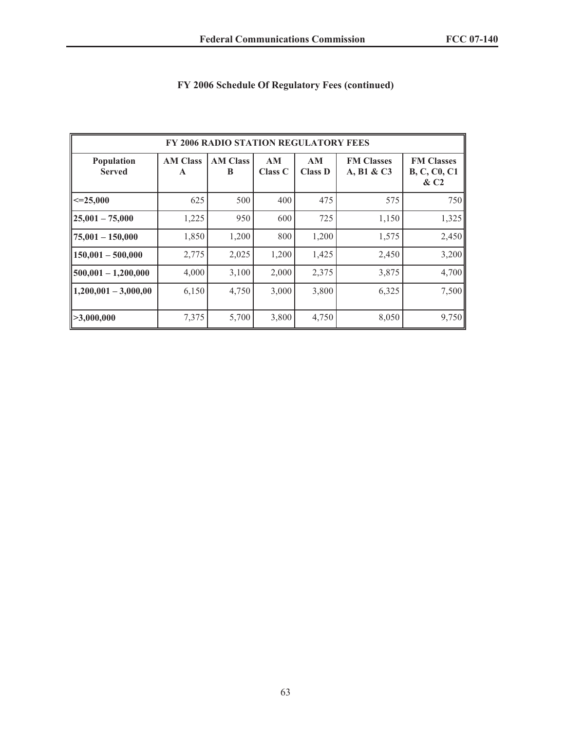| <b>FY 2006 RADIO STATION REGULATORY FEES</b> |                                 |                      |                      |                      |                                 |                                                    |  |
|----------------------------------------------|---------------------------------|----------------------|----------------------|----------------------|---------------------------------|----------------------------------------------------|--|
| Population<br><b>Served</b>                  | <b>AM Class</b><br>$\mathbf{A}$ | <b>AM Class</b><br>B | AM<br><b>Class C</b> | AM<br><b>Class D</b> | <b>FM Classes</b><br>A, B1 & C3 | <b>FM Classes</b><br><b>B, C, C0, C1</b><br>$\&C2$ |  |
| $\leq 25,000$                                | 625                             | 500                  | 400                  | 475                  | 575                             | 750                                                |  |
| $25,001 - 75,000$                            | 1,225                           | 950                  | 600                  | 725                  | 1,150                           | 1,325                                              |  |
| $ 75,001 - 150,000$                          | 1,850                           | 1,200                | 800                  | 1,200                | 1,575                           | 2,450                                              |  |
| $150,001 - 500,000$                          | 2,775                           | 2,025                | 1,200                | 1,425                | 2,450                           | 3,200                                              |  |
| $500,001 - 1,200,000$                        | 4,000                           | 3,100                | 2,000                | 2,375                | 3,875                           | 4,700                                              |  |
| $1,200,001 - 3,000,00$                       | 6,150                           | 4,750                | 3,000                | 3,800                | 6,325                           | 7,500                                              |  |
| >3,000,000                                   | 7,375                           | 5,700                | 3,800                | 4,750                | 8,050                           | 9,750                                              |  |

# **FY 2006 Schedule Of Regulatory Fees (continued)**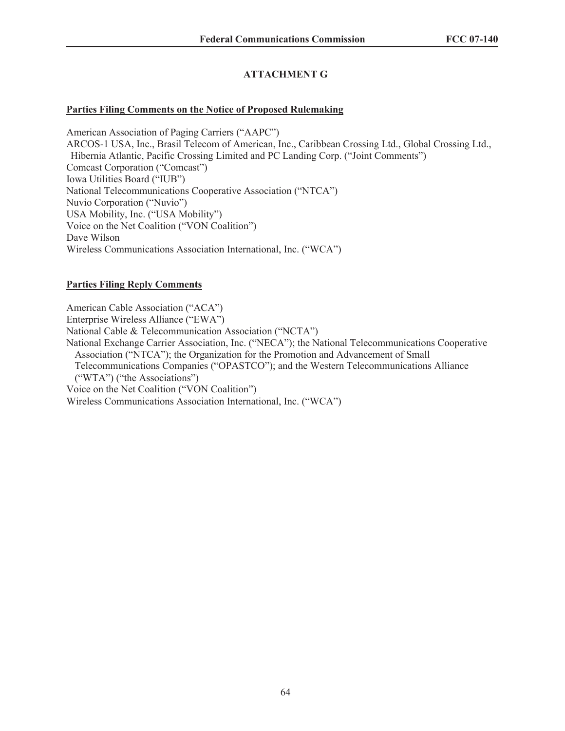# **ATTACHMENT G**

## **Parties Filing Comments on the Notice of Proposed Rulemaking**

American Association of Paging Carriers ("AAPC") ARCOS-1 USA, Inc., Brasil Telecom of American, Inc., Caribbean Crossing Ltd., Global Crossing Ltd., Hibernia Atlantic, Pacific Crossing Limited and PC Landing Corp. ("Joint Comments") Comcast Corporation ("Comcast") Iowa Utilities Board ("IUB") National Telecommunications Cooperative Association ("NTCA") Nuvio Corporation ("Nuvio") USA Mobility, Inc. ("USA Mobility") Voice on the Net Coalition ("VON Coalition") Dave Wilson Wireless Communications Association International, Inc. ("WCA")

## **Parties Filing Reply Comments**

American Cable Association ("ACA") Enterprise Wireless Alliance ("EWA") National Cable & Telecommunication Association ("NCTA") National Exchange Carrier Association, Inc. ("NECA"); the National Telecommunications Cooperative Association ("NTCA"); the Organization for the Promotion and Advancement of Small Telecommunications Companies ("OPASTCO"); and the Western Telecommunications Alliance ("WTA") ("the Associations") Voice on the Net Coalition ("VON Coalition") Wireless Communications Association International, Inc. ("WCA")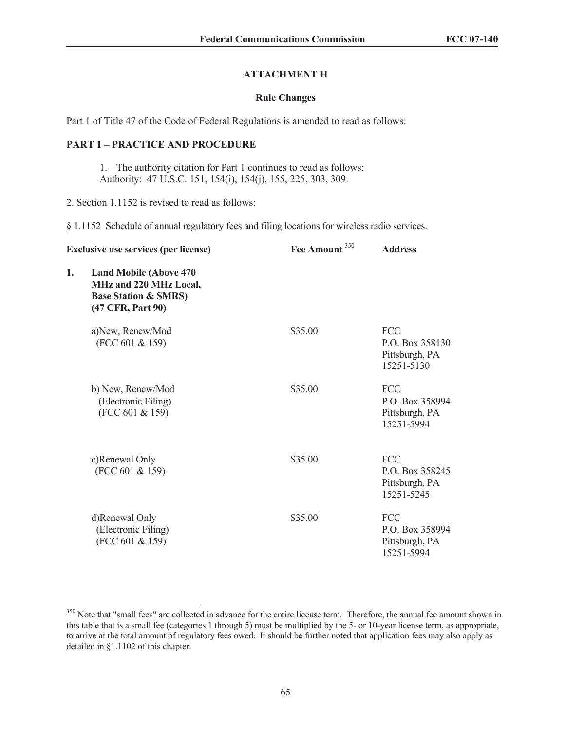## **ATTACHMENT H**

#### **Rule Changes**

Part 1 of Title 47 of the Code of Federal Regulations is amended to read as follows:

## **PART 1 – PRACTICE AND PROCEDURE**

1. The authority citation for Part 1 continues to read as follows: Authority: 47 U.S.C. 151, 154(i), 154(j), 155, 225, 303, 309.

2. Section 1.1152 is revised to read as follows:

§ 1.1152 Schedule of annual regulatory fees and filing locations for wireless radio services.

| <b>Exclusive use services (per license)</b> |                                                                                                                  | Fee Amount <sup>350</sup> | <b>Address</b>                                                |
|---------------------------------------------|------------------------------------------------------------------------------------------------------------------|---------------------------|---------------------------------------------------------------|
| 1.                                          | <b>Land Mobile (Above 470)</b><br>MHz and 220 MHz Local,<br><b>Base Station &amp; SMRS)</b><br>(47 CFR, Part 90) |                           |                                                               |
|                                             | a)New, Renew/Mod<br>(FCC 601 & 159)                                                                              | \$35.00                   | <b>FCC</b><br>P.O. Box 358130<br>Pittsburgh, PA<br>15251-5130 |
|                                             | b) New, Renew/Mod<br>(Electronic Filing)<br>(FCC 601 & 159)                                                      | \$35.00                   | <b>FCC</b><br>P.O. Box 358994<br>Pittsburgh, PA<br>15251-5994 |
|                                             | c)Renewal Only<br>(FCC 601 & 159)                                                                                | \$35.00                   | <b>FCC</b><br>P.O. Box 358245<br>Pittsburgh, PA<br>15251-5245 |
|                                             | d)Renewal Only<br>(Electronic Filing)<br>(FCC 601 & 159)                                                         | \$35.00                   | <b>FCC</b><br>P.O. Box 358994<br>Pittsburgh, PA<br>15251-5994 |

<sup>&</sup>lt;sup>350</sup> Note that "small fees" are collected in advance for the entire license term. Therefore, the annual fee amount shown in this table that is a small fee (categories 1 through 5) must be multiplied by the 5- or 10-year license term, as appropriate, to arrive at the total amount of regulatory fees owed. It should be further noted that application fees may also apply as detailed in §1.1102 of this chapter.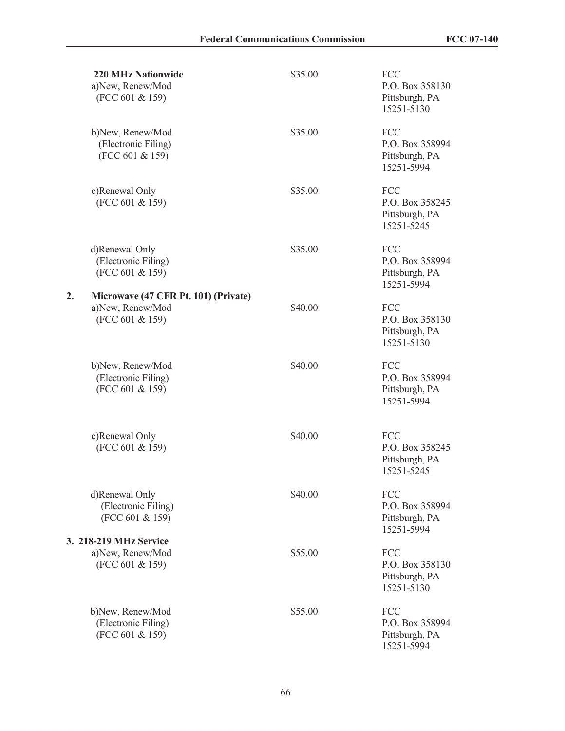|    | <b>220 MHz Nationwide</b><br>a)New, Renew/Mod<br>(FCC 601 & 159)            | \$35.00 | <b>FCC</b><br>P.O. Box 358130<br>Pittsburgh, PA<br>15251-5130 |
|----|-----------------------------------------------------------------------------|---------|---------------------------------------------------------------|
|    | b)New, Renew/Mod<br>(Electronic Filing)<br>(FCC 601 & 159)                  | \$35.00 | <b>FCC</b><br>P.O. Box 358994<br>Pittsburgh, PA<br>15251-5994 |
|    | c)Renewal Only<br>(FCC 601 & 159)                                           | \$35.00 | <b>FCC</b><br>P.O. Box 358245<br>Pittsburgh, PA<br>15251-5245 |
|    | d)Renewal Only<br>(Electronic Filing)<br>(FCC 601 & 159)                    | \$35.00 | <b>FCC</b><br>P.O. Box 358994<br>Pittsburgh, PA<br>15251-5994 |
| 2. | Microwave (47 CFR Pt. 101) (Private)<br>a)New, Renew/Mod<br>(FCC 601 & 159) | \$40.00 | <b>FCC</b><br>P.O. Box 358130<br>Pittsburgh, PA<br>15251-5130 |
|    | b)New, Renew/Mod<br>(Electronic Filing)<br>(FCC 601 & 159)                  | \$40.00 | <b>FCC</b><br>P.O. Box 358994<br>Pittsburgh, PA<br>15251-5994 |
|    | c)Renewal Only<br>(FCC 601 & 159)                                           | \$40.00 | <b>FCC</b><br>P.O. Box 358245<br>Pittsburgh, PA<br>15251-5245 |
|    | d)Renewal Only<br>(Electronic Filing)<br>(FCC 601 & 159)                    | \$40.00 | <b>FCC</b><br>P.O. Box 358994<br>Pittsburgh, PA<br>15251-5994 |
|    | 3. 218-219 MHz Service<br>a)New, Renew/Mod<br>(FCC 601 & 159)               | \$55.00 | <b>FCC</b><br>P.O. Box 358130<br>Pittsburgh, PA<br>15251-5130 |
|    | b)New, Renew/Mod<br>(Electronic Filing)<br>(FCC 601 & 159)                  | \$55.00 | <b>FCC</b><br>P.O. Box 358994<br>Pittsburgh, PA<br>15251-5994 |

**3.**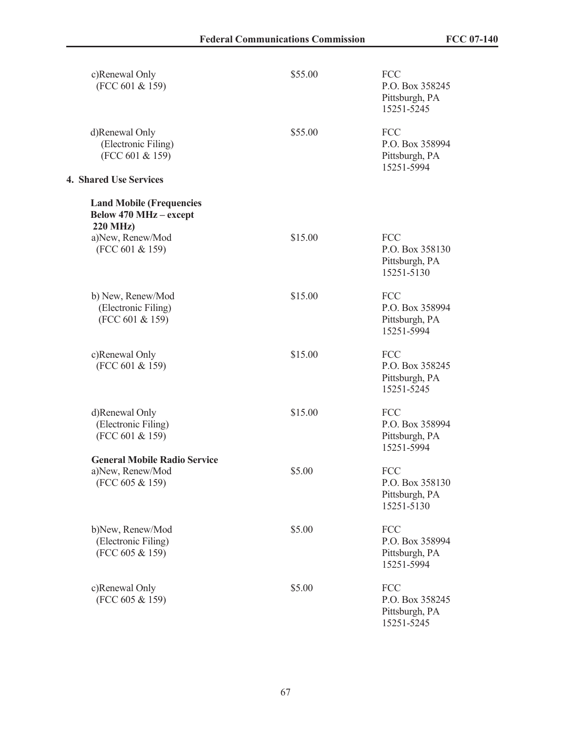| c)Renewal Only<br>(FCC 601 & 159)                                                   | \$55.00 | <b>FCC</b><br>P.O. Box 358245<br>Pittsburgh, PA<br>15251-5245 |
|-------------------------------------------------------------------------------------|---------|---------------------------------------------------------------|
| d)Renewal Only<br>(Electronic Filing)<br>(FCC 601 & 159)                            | \$55.00 | <b>FCC</b><br>P.O. Box 358994<br>Pittsburgh, PA<br>15251-5994 |
| 4. Shared Use Services                                                              |         |                                                               |
| <b>Land Mobile (Frequencies</b><br><b>Below 470 MHz - except</b><br><b>220 MHz)</b> |         |                                                               |
| a)New, Renew/Mod<br>(FCC 601 & 159)                                                 | \$15.00 | FCC<br>P.O. Box 358130<br>Pittsburgh, PA<br>15251-5130        |
| b) New, Renew/Mod<br>(Electronic Filing)<br>(FCC 601 & 159)                         | \$15.00 | <b>FCC</b><br>P.O. Box 358994<br>Pittsburgh, PA<br>15251-5994 |
| c)Renewal Only<br>(FCC 601 & 159)                                                   | \$15.00 | FCC<br>P.O. Box 358245<br>Pittsburgh, PA<br>15251-5245        |
| d)Renewal Only<br>(Electronic Filing)<br>(FCC 601 & 159)                            | \$15.00 | FCC<br>P.O. Box 358994<br>Pittsburgh, PA<br>15251-5994        |
| <b>General Mobile Radio Service</b><br>a)New, Renew/Mod<br>(FCC 605 & 159)          | \$5.00  | <b>FCC</b><br>P.O. Box 358130<br>Pittsburgh, PA<br>15251-5130 |
| b)New, Renew/Mod<br>(Electronic Filing)<br>(FCC 605 & 159)                          | \$5.00  | <b>FCC</b><br>P.O. Box 358994<br>Pittsburgh, PA<br>15251-5994 |
| c)Renewal Only<br>(FCC 605 & 159)                                                   | \$5.00  | <b>FCC</b><br>P.O. Box 358245<br>Pittsburgh, PA<br>15251-5245 |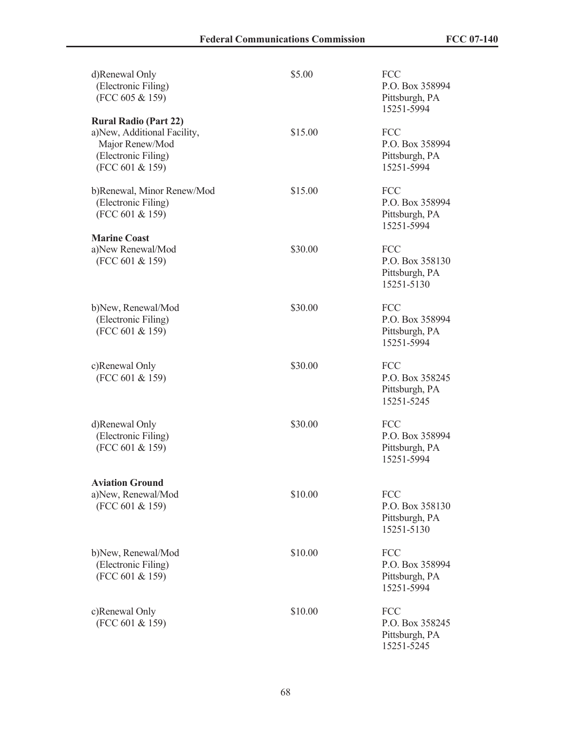| d)Renewal Only<br>(Electronic Filing)<br>(FCC 605 & 159)                                                                 | \$5.00  | <b>FCC</b><br>P.O. Box 358994<br>Pittsburgh, PA<br>15251-5994 |
|--------------------------------------------------------------------------------------------------------------------------|---------|---------------------------------------------------------------|
| <b>Rural Radio (Part 22)</b><br>a)New, Additional Facility,<br>Major Renew/Mod<br>(Electronic Filing)<br>(FCC 601 & 159) | \$15.00 | <b>FCC</b><br>P.O. Box 358994<br>Pittsburgh, PA<br>15251-5994 |
| b)Renewal, Minor Renew/Mod<br>(Electronic Filing)<br>(FCC 601 & 159)                                                     | \$15.00 | FCC<br>P.O. Box 358994<br>Pittsburgh, PA<br>15251-5994        |
| <b>Marine Coast</b><br>a)New Renewal/Mod<br>(FCC 601 & 159)                                                              | \$30.00 | <b>FCC</b><br>P.O. Box 358130<br>Pittsburgh, PA<br>15251-5130 |
| b)New, Renewal/Mod<br>(Electronic Filing)<br>(FCC 601 & 159)                                                             | \$30.00 | <b>FCC</b><br>P.O. Box 358994<br>Pittsburgh, PA<br>15251-5994 |
| c)Renewal Only<br>(FCC 601 & 159)                                                                                        | \$30.00 | <b>FCC</b><br>P.O. Box 358245<br>Pittsburgh, PA<br>15251-5245 |
| d)Renewal Only<br>(Electronic Filing)<br>(FCC 601 & 159)                                                                 | \$30.00 | <b>FCC</b><br>P.O. Box 358994<br>Pittsburgh, PA<br>15251-5994 |
| <b>Aviation Ground</b><br>a)New, Renewal/Mod<br>(FCC 601 & 159)                                                          | \$10.00 | FCC<br>P.O. Box 358130<br>Pittsburgh, PA<br>15251-5130        |
| b)New, Renewal/Mod<br>(Electronic Filing)<br>(FCC 601 & 159)                                                             | \$10.00 | <b>FCC</b><br>P.O. Box 358994<br>Pittsburgh, PA<br>15251-5994 |
| c)Renewal Only<br>(FCC 601 & 159)                                                                                        | \$10.00 | FCC<br>P.O. Box 358245<br>Pittsburgh, PA<br>15251-5245        |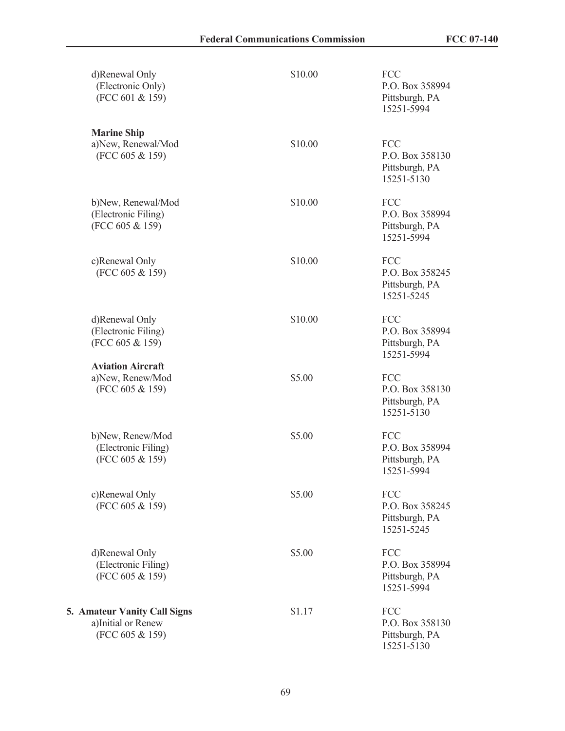| d)Renewal Only<br>(Electronic Only)<br>(FCC 601 & 159)                       | \$10.00 | <b>FCC</b><br>P.O. Box 358994<br>Pittsburgh, PA<br>15251-5994 |
|------------------------------------------------------------------------------|---------|---------------------------------------------------------------|
| <b>Marine Ship</b><br>a)New, Renewal/Mod<br>(FCC 605 & 159)                  | \$10.00 | FCC<br>P.O. Box 358130<br>Pittsburgh, PA<br>15251-5130        |
| b)New, Renewal/Mod<br>(Electronic Filing)<br>(FCC 605 & 159)                 | \$10.00 | FCC<br>P.O. Box 358994<br>Pittsburgh, PA<br>15251-5994        |
| c)Renewal Only<br>(FCC 605 & 159)                                            | \$10.00 | <b>FCC</b><br>P.O. Box 358245<br>Pittsburgh, PA<br>15251-5245 |
| d)Renewal Only<br>(Electronic Filing)<br>(FCC 605 & 159)                     | \$10.00 | <b>FCC</b><br>P.O. Box 358994<br>Pittsburgh, PA<br>15251-5994 |
| <b>Aviation Aircraft</b><br>a)New, Renew/Mod<br>(FCC 605 & 159)              | \$5.00  | <b>FCC</b><br>P.O. Box 358130<br>Pittsburgh, PA<br>15251-5130 |
| b)New, Renew/Mod<br>(Electronic Filing)<br>(FCC 605 & 159)                   | \$5.00  | FCC<br>P.O. Box 358994<br>Pittsburgh, PA<br>15251-5994        |
| c)Renewal Only<br>(FCC 605 & 159)                                            | \$5.00  | <b>FCC</b><br>P.O. Box 358245<br>Pittsburgh, PA<br>15251-5245 |
| d)Renewal Only<br>(Electronic Filing)<br>(FCC 605 & 159)                     | \$5.00  | <b>FCC</b><br>P.O. Box 358994<br>Pittsburgh, PA<br>15251-5994 |
| <b>5. Amateur Vanity Call Signs</b><br>a)Initial or Renew<br>(FCC 605 & 159) | \$1.17  | FCC<br>P.O. Box 358130<br>Pittsburgh, PA<br>15251-5130        |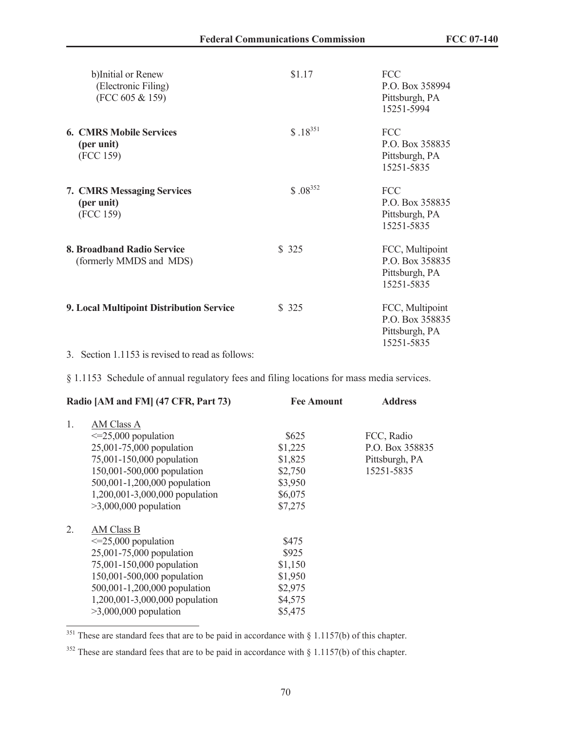| b)Initial or Renew<br>(Electronic Filing)<br>(FCC 605 & 159)                | \$1.17       | <b>FCC</b><br>P.O. Box 358994<br>Pittsburgh, PA<br>15251-5994      |
|-----------------------------------------------------------------------------|--------------|--------------------------------------------------------------------|
| <b>6. CMRS Mobile Services</b><br>(per unit)<br>(FCC 159)                   | $$.18^{351}$ | <b>FCC</b><br>P.O. Box 358835<br>Pittsburgh, PA<br>15251-5835      |
| <b>7. CMRS Messaging Services</b><br>(per unit)<br>(FCC 159)                | $$.08^{352}$ | <b>FCC</b><br>P.O. Box 358835<br>Pittsburgh, PA<br>15251-5835      |
| 8. Broadband Radio Service<br>(formerly MMDS and MDS)                       | \$ 325       | FCC, Multipoint<br>P.O. Box 358835<br>Pittsburgh, PA<br>15251-5835 |
| 9. Local Multipoint Distribution Service<br>$2 \times 11152$ $1 \times 121$ | \$325        | FCC, Multipoint<br>P.O. Box 358835<br>Pittsburgh, PA<br>15251-5835 |
|                                                                             |              |                                                                    |

3. Section 1.1153 is revised to read as follows:

§ 1.1153 Schedule of annual regulatory fees and filing locations for mass media services.

| Radio [AM and FM] (47 CFR, Part 73) |                                | <b>Fee Amount</b> | <b>Address</b>  |
|-------------------------------------|--------------------------------|-------------------|-----------------|
| 1.                                  | AM Class A                     |                   |                 |
|                                     | $\leq$ 25,000 population       | \$625             | FCC, Radio      |
|                                     | 25,001-75,000 population       | \$1,225           | P.O. Box 358835 |
|                                     | 75,001-150,000 population      | \$1,825           | Pittsburgh, PA  |
|                                     | 150,001-500,000 population     | \$2,750           | 15251-5835      |
|                                     | 500,001-1,200,000 population   | \$3,950           |                 |
|                                     | 1,200,001-3,000,000 population | \$6,075           |                 |
|                                     | $>3,000,000$ population        | \$7,275           |                 |
| 2.                                  | AM Class B                     |                   |                 |
|                                     | $\leq$ 25,000 population       | \$475             |                 |
|                                     | 25,001-75,000 population       | \$925             |                 |
|                                     | 75,001-150,000 population      | \$1,150           |                 |
|                                     | 150,001-500,000 population     | \$1,950           |                 |
|                                     | 500,001-1,200,000 population   | \$2,975           |                 |
|                                     | 1,200,001-3,000,000 population | \$4,575           |                 |
|                                     | $>3,000,000$ population        | \$5,475           |                 |
|                                     |                                |                   |                 |

<sup>351</sup> These are standard fees that are to be paid in accordance with § 1.1157(b) of this chapter.

 $352$  These are standard fees that are to be paid in accordance with § 1.1157(b) of this chapter.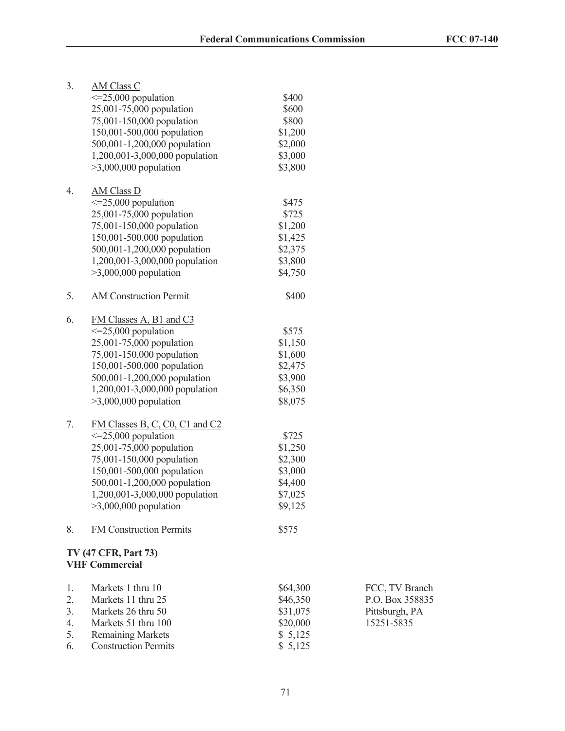| 3. | <b>AM Class C</b>                                    |          |
|----|------------------------------------------------------|----------|
|    | $\leq$ =25,000 population                            | \$400    |
|    | 25,001-75,000 population                             | \$600    |
|    | 75,001-150,000 population                            | \$800    |
|    | 150,001-500,000 population                           | \$1,200  |
|    | 500,001-1,200,000 population                         | \$2,000  |
|    | 1,200,001-3,000,000 population                       | \$3,000  |
|    | $>3,000,000$ population                              | \$3,800  |
|    |                                                      |          |
| 4. | <b>AM Class D</b>                                    |          |
|    | $\leq$ =25,000 population                            | \$475    |
|    | 25,001-75,000 population                             | \$725    |
|    | 75,001-150,000 population                            | \$1,200  |
|    | 150,001-500,000 population                           | \$1,425  |
|    | 500,001-1,200,000 population                         | \$2,375  |
|    | 1,200,001-3,000,000 population                       | \$3,800  |
|    |                                                      | \$4,750  |
|    | $>3,000,000$ population                              |          |
| 5. | <b>AM Construction Permit</b>                        | \$400    |
|    |                                                      |          |
| 6. |                                                      |          |
|    | FM Classes A, B1 and C3<br>$\leq$ =25,000 population | \$575    |
|    |                                                      |          |
|    | 25,001-75,000 population                             | \$1,150  |
|    | 75,001-150,000 population                            | \$1,600  |
|    | 150,001-500,000 population                           | \$2,475  |
|    | 500,001-1,200,000 population                         | \$3,900  |
|    | 1,200,001-3,000,000 population                       | \$6,350  |
|    | $>3,000,000$ population                              | \$8,075  |
|    |                                                      |          |
| 7. | FM Classes B, C, C0, C1 and C2                       |          |
|    | $\leq$ =25,000 population                            | \$725    |
|    | 25,001-75,000 population                             | \$1,250  |
|    | 75,001-150,000 population                            | \$2,300  |
|    | 150,001-500,000 population                           | \$3,000  |
|    | 500,001-1,200,000 population                         | \$4,400  |
|    | 1,200,001-3,000,000 population                       | \$7,025  |
|    | $>3,000,000$ population                              | \$9,125  |
|    |                                                      |          |
| 8. | <b>FM Construction Permits</b>                       | \$575    |
|    |                                                      |          |
|    | <b>TV (47 CFR, Part 73)</b>                          |          |
|    | <b>VHF Commercial</b>                                |          |
|    |                                                      |          |
| 1. | Markets 1 thru 10                                    | \$64,300 |
| 2. | Markets 11 thru 25                                   | \$46,350 |
| 3. | Markets 26 thru 50                                   | \$31,075 |
| 4. | Markets 51 thru 100                                  | \$20,000 |
| 5. | <b>Remaining Markets</b>                             | \$5,125  |
| 6. | <b>Construction Permits</b>                          | \$5,125  |

FCC, TV Branch P.O. Box 358835 Pittsburgh, PA 15251-5835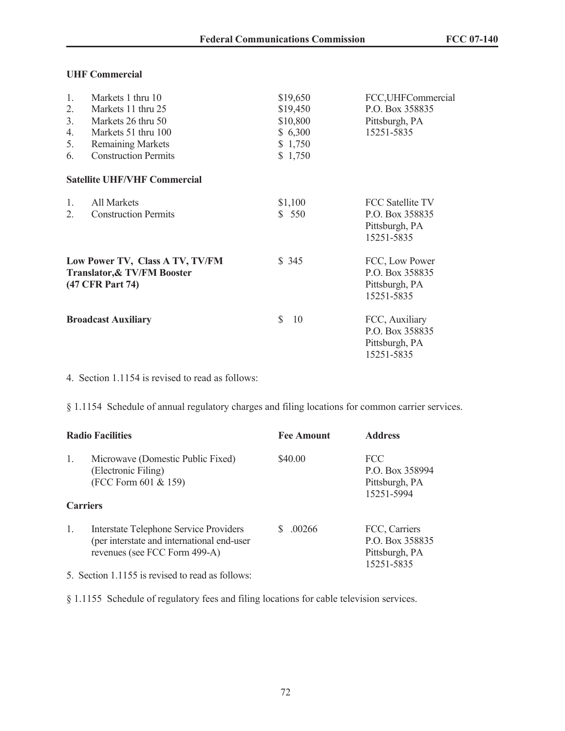## **UHF Commercial**

| 1.                                                         | Markets 1 thru 10                   | \$19,650           | FCC, UHFCommercial      |  |
|------------------------------------------------------------|-------------------------------------|--------------------|-------------------------|--|
| 2.                                                         | Markets 11 thru 25                  | \$19,450           | P.O. Box 358835         |  |
| 3 <sub>1</sub>                                             | Markets 26 thru 50                  | \$10,800           | Pittsburgh, PA          |  |
| 4.                                                         | Markets 51 thru 100                 | \$6,300            | 15251-5835              |  |
| 5.                                                         | <b>Remaining Markets</b>            | \$1,750            |                         |  |
| 6.                                                         | <b>Construction Permits</b>         | \$1,750            |                         |  |
|                                                            | <b>Satellite UHF/VHF Commercial</b> |                    |                         |  |
| 1.                                                         | <b>All Markets</b>                  | \$1,100            | <b>FCC Satellite TV</b> |  |
| 2.                                                         | <b>Construction Permits</b>         | \$550              | P.O. Box 358835         |  |
|                                                            |                                     |                    | Pittsburgh, PA          |  |
|                                                            |                                     |                    | 15251-5835              |  |
| Low Power TV, Class A TV, TV/FM                            |                                     | \$345              | FCC, Low Power          |  |
| <b>Translator, &amp; TV/FM Booster</b><br>(47 CFR Part 74) |                                     |                    | P.O. Box 358835         |  |
|                                                            |                                     |                    | Pittsburgh, PA          |  |
|                                                            |                                     |                    | 15251-5835              |  |
| <b>Broadcast Auxiliary</b>                                 |                                     | $\mathbb{S}$<br>10 | FCC, Auxiliary          |  |
|                                                            |                                     |                    | P.O. Box 358835         |  |
|                                                            |                                     |                    | Pittsburgh, PA          |  |
|                                                            |                                     |                    | 15251-5835              |  |

4. Section 1.1154 is revised to read as follows:

§ 1.1154 Schedule of annual regulatory charges and filing locations for common carrier services.

| <b>Radio Facilities</b> |                                                                                                                              | <b>Fee Amount</b> | <b>Address</b>                                                   |
|-------------------------|------------------------------------------------------------------------------------------------------------------------------|-------------------|------------------------------------------------------------------|
| 1.                      | Microwave (Domestic Public Fixed)<br>(Electronic Filing)<br>(FCC Form 601 & 159)                                             | \$40.00           | <b>FCC</b><br>P.O. Box 358994<br>Pittsburgh, PA<br>15251-5994    |
| <b>Carriers</b>         |                                                                                                                              |                   |                                                                  |
| 1.                      | <b>Interstate Telephone Service Providers</b><br>(per interstate and international end-user<br>revenues (see FCC Form 499-A) | 00266             | FCC, Carriers<br>P.O. Box 358835<br>Pittsburgh, PA<br>15251-5835 |

5. Section 1.1155 is revised to read as follows:

§ 1.1155 Schedule of regulatory fees and filing locations for cable television services.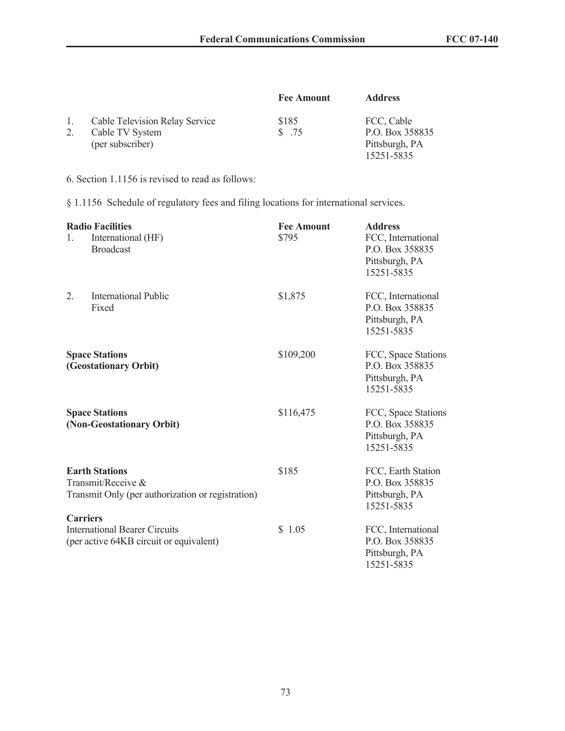|    |                                       | <b>Fee Amount</b> | <b>Address</b>  |
|----|---------------------------------------|-------------------|-----------------|
| 1. | <b>Cable Television Relay Service</b> | \$185             | FCC, Cable      |
|    | Cable TV System                       | \$ 75             | P.O. Box 358835 |
|    | (per subscriber)                      |                   | Pittsburgh, PA  |
|    |                                       |                   | 15251-5835      |

6. Section 1.1156 is revised to read as follows:

§ 1.1156 Schedule of regulatory fees and filing locations for international services.

| <b>Radio Facilities</b><br>International (HF)<br>$\mathbf{1}_{\cdot}$<br><b>Broadcast</b> |                                                                                                  | <b>Fee Amount</b><br>\$795 | <b>Address</b><br>FCC, International<br>P.O. Box 358835<br>Pittsburgh, PA<br>15251-5835 |
|-------------------------------------------------------------------------------------------|--------------------------------------------------------------------------------------------------|----------------------------|-----------------------------------------------------------------------------------------|
| 2.                                                                                        | <b>International Public</b><br>Fixed                                                             | \$1,875                    | FCC, International<br>P.O. Box 358835<br>Pittsburgh, PA<br>15251-5835                   |
| <b>Space Stations</b><br>(Geostationary Orbit)                                            |                                                                                                  | \$109,200                  | FCC, Space Stations<br>P.O. Box 358835<br>Pittsburgh, PA<br>15251-5835                  |
|                                                                                           | <b>Space Stations</b><br>(Non-Geostationary Orbit)                                               | \$116,475                  | FCC, Space Stations<br>P.O. Box 358835<br>Pittsburgh, PA<br>15251-5835                  |
|                                                                                           | <b>Earth Stations</b><br>Transmit/Receive &<br>Transmit Only (per authorization or registration) | \$185                      | FCC, Earth Station<br>P.O. Box 358835<br>Pittsburgh, PA<br>15251-5835                   |
| <b>Carriers</b>                                                                           | <b>International Bearer Circuits</b><br>(per active 64KB circuit or equivalent)                  | \$1.05                     | FCC, International<br>P.O. Box 358835<br>Pittsburgh, PA<br>15251-5835                   |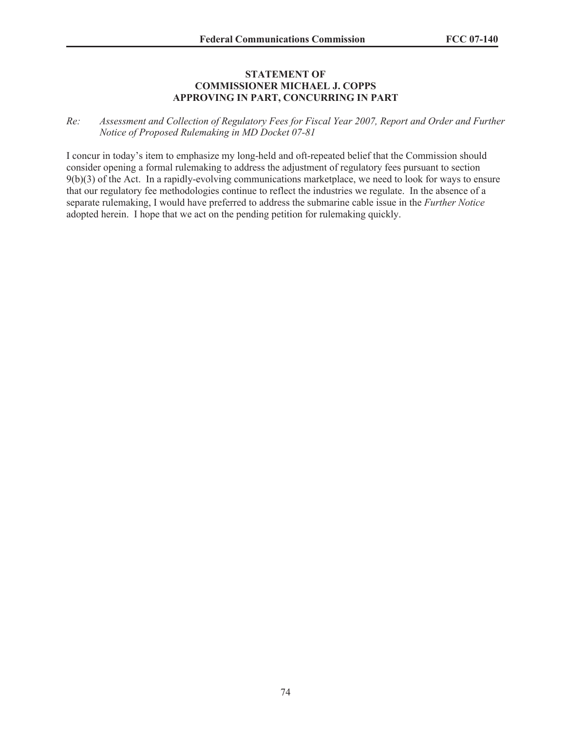## **STATEMENT OF COMMISSIONER MICHAEL J. COPPS APPROVING IN PART, CONCURRING IN PART**

## *Re: Assessment and Collection of Regulatory Fees for Fiscal Year 2007, Report and Order and Further Notice of Proposed Rulemaking in MD Docket 07-81*

I concur in today's item to emphasize my long-held and oft-repeated belief that the Commission should consider opening a formal rulemaking to address the adjustment of regulatory fees pursuant to section 9(b)(3) of the Act. In a rapidly-evolving communications marketplace, we need to look for ways to ensure that our regulatory fee methodologies continue to reflect the industries we regulate. In the absence of a separate rulemaking, I would have preferred to address the submarine cable issue in the *Further Notice* adopted herein. I hope that we act on the pending petition for rulemaking quickly.